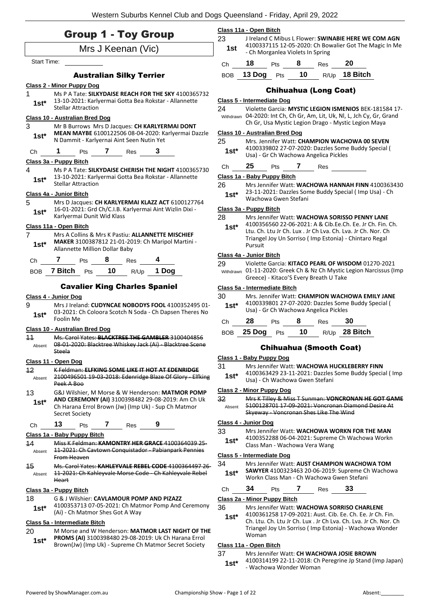|                    | <b>Group 1 - Toy Group</b>                                                                       | 23           | Class 11a - Open Bitch<br>J Ireland C M                         |
|--------------------|--------------------------------------------------------------------------------------------------|--------------|-----------------------------------------------------------------|
|                    | Mrs J Keenan (Vic)                                                                               | 1st          | 4100337115<br>- Ch Morganl                                      |
| <b>Start Time:</b> |                                                                                                  | Ch           | 18<br>Pts                                                       |
|                    | <b>Australian Silky Terrier</b>                                                                  | <b>BOB</b>   | 13 Dog<br>$\mathsf{P}$                                          |
|                    | <b>Class 2 - Minor Puppy Dog</b>                                                                 |              |                                                                 |
| 1                  | Ms P A Tate: SILKYDAISE REACH FOR THE SKY 4100365732                                             |              | Chil                                                            |
| $1st^*$            | 13-10-2021: Karlyermai Gotta Bea Rokstar - Allannette<br><b>Stellar Attraction</b>               | 24           | Class 5 - Intermediate I<br><b>Violette Garc</b>                |
|                    | Class 10 - Australian Bred Dog                                                                   |              | Withdrawn 04-2020: Int                                          |
| 3                  | Mr B Burrows Mrs D Jacques: CH KARLYERMAI DONT                                                   |              | Ch Gr, Usa M<br>Class 10 - Australian B                         |
| $1st^*$            | MEAN MAYBE 6100122506 08-04-2020: Karlyermai Dazzle<br>N Dammit - Karlyernai Aint Seen Nutin Yet | 25           | Mrs. Jennifer                                                   |
| Ch                 | Pts 7 Res 3<br>1.                                                                                | $1st^*$      | 4100339802                                                      |
|                    | Class 3a - Puppy Bitch                                                                           |              | Usa) - Gr Ch \                                                  |
| 4                  | Ms P A Tate: SILKYDAISE CHERISH THE NIGHT 4100365730                                             | Chine        | 25<br>Pts                                                       |
| $1st^*$            | 13-10-2021: Karlyermai Gotta Bea Rokstar - Allannette<br><b>Stellar Attraction</b>               | 26           | Class 1a - Baby Puppy<br>Mrs Jennifer                           |
|                    | Class 4a - Junior Bitch                                                                          | $1st*$       | 23-11-2021:                                                     |
| 5                  | Mrs D Jacques: CH KARLYERMAI KLAZZ ACT 6100127764                                                |              | Wachowa Gv                                                      |
| $1st*$             | 16-01-2021: Grd Ch/C.I.B. Karlyermai Aint Wizlin Dixi -<br>Karlyermai Dunit Wid Klass            |              | Class 3a - Puppy Bitch                                          |
|                    | Class 11a - Open Bitch                                                                           | 28<br>$1st*$ | Mrs Jennifer<br>4100356560                                      |
| 7                  | Mrs A Collins & Mrs K Pastiu: ALLANNETTE MISCHIEF                                                |              | Ltu. Ch. Ltu Jı                                                 |
| $1st^*$            | MAKER 3100387812 21-01-2019: Ch Maripol Martini -<br>Allannette Million Dollar Baby              |              | Triangel Joy l<br>Pursuit                                       |
| Ch                 | $7$ Pts $8$ Res $4$                                                                              |              | Class 4a - Junior Bitch                                         |
|                    | BOB 7 Bitch $P$ ts 10 R/Up 1 Dog                                                                 | 29           | <b>Violette Garc</b><br>Withdrawn 01-11-2020:<br>Greece) - Kita |
|                    | <b>Cavalier King Charles Spaniel</b>                                                             |              | Class 5a - Intermediate                                         |
|                    | <b>Class 4 - Junior Dog</b>                                                                      | 30           | Mrs. Jennifer                                                   |
| 9                  | Mrs J Ireland: CUDYNCAE NOBODYS FOOL 4100352495 01-                                              | $1st^*$      | 4100339801<br>Usa) - Gr Ch \                                    |
| $1st*$             | 03-2021: Ch Coloora Scotch N Soda - Ch Dapsen Theres No<br>Foolin Me                             |              | 28<br>Pts                                                       |
|                    | <b>Class 10 - Australian Bred Dog</b>                                                            | Ch           | 25 Dog                                                          |
| 11                 | Ms. Carol Yates: BLACKTREE THE GAMBLER 3100404856                                                | BOB          | $\overline{P}$                                                  |
|                    | Absent 08 01 2020: Blacktree Whiskey Jack (Ai) Blacktree Scene<br>Steela                         |              | Chihı                                                           |
|                    | Class 11 - Open Dog                                                                              |              | Class 1 - Baby Puppy I                                          |
| 42                 | K Feldman: ELFKING SOME LIKE IT HOT AT EDENRIDGE                                                 | 31           | Mrs Jennifer<br>4100363429                                      |
| Absent             | 2100496501 19 03 2018: Edenridge Blaze Of Glory Elfking<br>Peek A Boo                            | $1st*$       | Usa) - Ch Wa                                                    |
| 13                 | G&J Wilshier, M Morse & W Henderson: MATMOR POMP                                                 |              | Class 2 - Minor Puppy                                           |
| $1st^*$            | AND CEREMONY (AI) 3100398482 29-08-2019: Am Ch Uk                                                | 32           | Mrs K Tilley &                                                  |
|                    | Ch Harana Errol Brown (Jw) (Imp Uk) - Sup Ch Matmor<br>Secret Society                            | Absent       | 5100128701<br>Skyeway Vo                                        |
| Ch                 | 13<br>7<br>9<br>Pts<br>Res                                                                       |              | Class 4 - Junior Dog                                            |
|                    | Class 1a - Baby Puppy Bitch                                                                      | 33           | Mrs Jennifer<br>4100352288                                      |
| 44                 | Miss K Feldman: KAMONTRY HER GRACE 4100364039 25-                                                | $1st*$       | Class Man - V                                                   |
| Absent             | 11-2021: Ch Cavtown Conquistador - Pabianpark Pennies<br>From Heaven                             |              | Class 5 - Intermediate I                                        |
| 45                 | Ms. Carol Yates: KAHLEYVALE REBEL CODE 4100364497 26-                                            | 34           | Mrs Jennifer                                                    |
| Absent             | 11-2021: Ch Kahleyvale Morse Code - Ch Kahleyvale Rebel<br>Heart                                 | $1st*$       | SAWYER 410<br>Workn Class                                       |
|                    | Class 3a - Puppy Bitch                                                                           | Ch           | 34<br>Pts                                                       |
| 18                 | G & J Wilshier: CAVLAMOUR POMP AND PIZAZZ                                                        |              | Class 2a - Minor Puppy                                          |
| $1st*$             | 4100353713 07-05-2021: Ch Matmor Pomp And Ceremony<br>(Ai) - Ch Matmor Shes Got A Way            | 36           | Mrs Jennifer<br>4100361258                                      |
|                    | Class 5a - Intermediate Bitch                                                                    | $1st*$       | Ch. Ltu. Ch. L                                                  |
|                    |                                                                                                  |              |                                                                 |

#### 20 M Morse and W Henderson: **MATMOR LAST NIGHT OF THE PROMS (AI)** 3100398480 29-08-2019: Uk Ch Harana Errol

**1st\*** PROMS (AI) 3100398480 29-08-2019: UK Ch Harana Errol<br>Brown(Jw) (Imp Uk) - Supreme Ch Matmor Secret Society

- Wachowa Wonder Woman **1st\***

|            | Class 11a - Open Bitch |            |                                  |                  |                                                                                                                |  |
|------------|------------------------|------------|----------------------------------|------------------|----------------------------------------------------------------------------------------------------------------|--|
| 23<br>1st  |                        |            | - Ch Morganlea Violets In Spring |                  | J Ireland C Mibus L Flower: SWINABIE HERE WE COM AGN<br>4100337115 12-05-2020: Ch Bowalier Got The Magic In Me |  |
| Ch         | 18                     | <b>Pts</b> | 8                                | Res              | 20                                                                                                             |  |
| <b>BOB</b> | 13 Dog                 | Pts        | 10                               | R/U <sub>p</sub> | 18 Bitch                                                                                                       |  |
|            |                        |            |                                  |                  |                                                                                                                |  |

#### Chihuahua (Long Coat)

#### **iate Dog**

| 24<br>Withdrawn | Violette Garcia: MYSTIC LEGION ISMENIOS BEK-181584 17-<br>04-2020: Int Ch, Ch Gr, Am, Lit, Uk, Nl, L, Jch Cy, Gr, Grand<br>Ch Gr, Usa Mystic Legion Drago - Mystic Legion Maya |
|-----------------|--------------------------------------------------------------------------------------------------------------------------------------------------------------------------------|
|                 | Class 10 - Australian Bred Dog                                                                                                                                                 |
| 25.             | Mrs. Jennifer Watt: CHAMPION WACHOWA 00 SEVEN                                                                                                                                  |
| $1st*$          | 4100339802 27-07-2020: Dazzles Some Buddy Special (                                                                                                                            |
|                 | Usa) - Gr Ch Wachowa Angelica Pickles                                                                                                                                          |

## Pts **7** Res

#### **Class 1a - Baby Puppy Bitch**

- nifer Watt: WACHOWA HANNAH FINN 4100363430
- 021: Dazzles Some Buddy Special ( Imp Usa) Ch  $\alpha$ a Gwen Stefani

#### **Bitch**

| 28 | Mrs Jennifer Watt: WACHOWA SORISSO PENNY LANE |
|----|-----------------------------------------------|
|----|-----------------------------------------------|

### 5560 22-06-2021: A & Cib.Ee.Ch. Ee. Jr Ch. Fin. Ch. Ltu Jr Ch. Lux . Jr Ch Lva. Ch. Lva. Jr Ch. Nor. Ch Joy Un Sorriso ( Imp Estonia) - Chintaro Regal

#### **Ritch**

| 29 | Violette Garcia: KITACO PEARL OF WISDOM 01270-2021 |  |  |  |  |  |  |  |
|----|----------------------------------------------------|--|--|--|--|--|--|--|
|    |                                                    |  |  |  |  |  |  |  |

020: Greek Ch & Nz Ch Mystic Legion Narcissus (Imp - Kitaco'S Every Breath U Take

#### **Class 5a - Intermediate Bitch**

| 30<br>$1st*$ |    |                 |   | Usa) - Gr Ch Wachowa Angelica Pickles | Mrs. Jennifer Watt: CHAMPION WACHOWA EMILY JANE<br>4100339801 27-07-2020: Dazzles Some Buddy Special ( |  |
|--------------|----|-----------------|---|---------------------------------------|--------------------------------------------------------------------------------------------------------|--|
| $\sim$       | າຂ | D <sub>ta</sub> | Ω | <b>D</b> <sub>22</sub>                | 2Λ                                                                                                     |  |

#### Ch **28** Pts **8** Res **30** BOB **25 Dog** Pts **10** R/Up **28 Bitch**

#### hihuahua (Smooth Coat)

#### **Class 1 - Baby Puppy Dog**

nifer Watt: WACHOWA HUCKLEBERRY FINN 4100363429 23-11-2021: Dazzles Some Buddy Special ( Imp **1 Wachowa Gwen Stefani** 

#### **Class 2 - Minor Puppy Dog**

**12 Mars K Artists T Sunman: VONCRONAN HE GOT GAME** s<br>1701 17-09-2021: Voncronan Diamond Desire At **Voncronan Shes Like The Wind** 

#### **Class 4 - Junior Dog**

- 11 Matt: **WACHOWA WORKN FOR THE MAN**
- 2288 06-04-2021: Supreme Ch Wachowa Workn
- Class Man Wachowa Vera Wang **1st\***

#### **iate Dog**

- 34 Mrs Jennifer Watt: **AUST CHAMPION WACHOWA TOM SAWYER** 4100323463 20-06-2019: Supreme Ch Wachowa **Class Man - Ch Wachowa Gwen Stefani**
- Ch **34** Pts **7** Res **33**

#### **Class 2a - Minor Puppy Bitch**

36 Mrs Jennifer Watt: **WACHOWA SORRISO CHARLENE**

1258 17-09-2021: Aust. Cib. Ee. Ch. Ee. Jr Ch. Fin. Ch. Ltu Jr Ch. Lux . Jr Ch Lva. Ch. Lva. Jr Ch. Nor. Ch Triangel Joy Un Sorriso ( Imp Estonia) - Wachowa Wonder Woman

### **Class 11a - Open Bitch**

37 Mrs Jennifer Watt: **CH WACHOWA JOSIE BROWN** 4100314199 22-11-2018: Ch Peregrine Jp Stand (Imp Japan)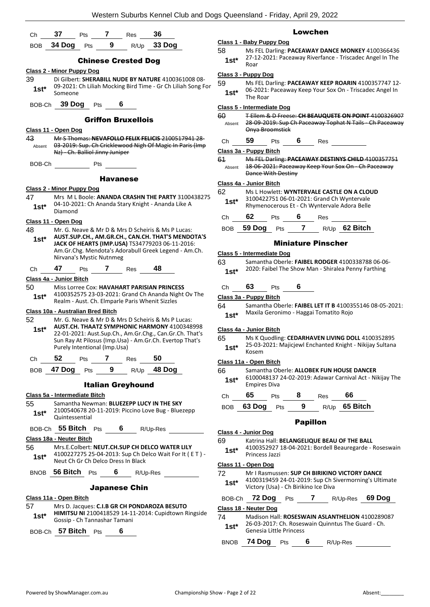|              |                                   |                              |                 |                                    | <u>VVESIEM SUDUIDS NEMIELŪJUD AND DOGS QUEENSIANO - FIIGAV, APNI Z9, ZUZZ</u>                                  |            |                                   |                         |                             |                                                     |               |                                                          |
|--------------|-----------------------------------|------------------------------|-----------------|------------------------------------|----------------------------------------------------------------------------------------------------------------|------------|-----------------------------------|-------------------------|-----------------------------|-----------------------------------------------------|---------------|----------------------------------------------------------|
| Ch           | 37                                | Pts                          | 7               | Res                                | 36                                                                                                             |            |                                   |                         | <b>Lowchen</b>              |                                                     |               |                                                          |
|              | BOB 34 Dog Pts                    |                              | 9               |                                    | R/Up 33 Dog                                                                                                    |            | Class 1 - Baby Puppy Dog          |                         |                             |                                                     |               |                                                          |
|              |                                   |                              |                 |                                    |                                                                                                                | 58         |                                   |                         |                             |                                                     |               | Ms FEL Darling: PACEAWAY DANCE MONKEY 4100366436         |
|              |                                   |                              |                 | <b>Chinese Crested Dog</b>         |                                                                                                                | $1st^*$    | Roar                              |                         |                             |                                                     |               | 27-12-2021: Paceaway Riverfance - Triscadec Angel In The |
|              | <b>Class 2 - Minor Puppy Dog</b>  |                              |                 |                                    |                                                                                                                |            | Class 3 - Puppy Dog               |                         |                             |                                                     |               |                                                          |
| 39           |                                   |                              |                 |                                    | Di Gilbert: SHERABILL NUDE BY NATURE 4100361008 08-                                                            | 59         |                                   |                         |                             |                                                     |               | Ms FEL Darling: PACEAWAY KEEP ROARIN 4100357747 12-      |
| $1st^*$      | Someone                           |                              |                 |                                    | 09-2021: Ch Liliah Mocking Bird Time - Gr Ch Liliah Song For                                                   | $1st*$     | The Roar                          |                         |                             |                                                     |               | 06-2021: Paceaway Keep Your Sox On - Triscadec Angel In  |
|              | BOB-Ch 39 Dog Pts                 |                              |                 | 6                                  |                                                                                                                |            | Class 5 - Intermediate Dog        |                         |                             |                                                     |               |                                                          |
|              |                                   |                              |                 |                                    |                                                                                                                | 60         |                                   |                         |                             |                                                     |               | T Ellem & D Freese: CH BEAUQUETE ON POINT 4100326907     |
|              |                                   |                              |                 | <b>Griffon Bruxellois</b>          |                                                                                                                | Absent     |                                   |                         |                             |                                                     |               | 28-09-2019: Sup Ch Paceaway Tophat N Tails - Ch Paceaway |
|              | Class 11 - Open Dog               |                              |                 |                                    |                                                                                                                |            |                                   | Onya Broomstick         |                             |                                                     |               |                                                          |
| 43<br>Absent |                                   |                              |                 |                                    | Mr S Thomas: NEVAFOLLO FELIX FELICIS 2100517941 28<br>03-2019: Sup. Ch Cricklewood Nigh Of Magic In Paris (Imp | Ch         | 59                                | Pts                     | $6 \qquad$                  | Res                                                 |               |                                                          |
|              | Nz) - Ch. Balliol Jinny Juniper   |                              |                 |                                    |                                                                                                                |            | Class 3a - Puppy Bitch            |                         |                             |                                                     |               |                                                          |
| BOB-Ch       |                                   | Pts                          |                 |                                    |                                                                                                                | 61         |                                   |                         |                             |                                                     |               | Ms FEL Darling: PACEAWAY DESTINYS CHILD 4100357751       |
|              |                                   |                              |                 |                                    |                                                                                                                | Absent     | <b>Dance With Destiny</b>         |                         |                             |                                                     |               | 18-06-2021: Paceaway Keep Your Sox On - Ch Paceaway      |
|              |                                   |                              | <b>Havanese</b> |                                    |                                                                                                                |            |                                   |                         |                             |                                                     |               |                                                          |
|              | <b>Class 2 - Minor Puppy Dog</b>  |                              |                 |                                    |                                                                                                                | 62         | Class 4a - Junior Bitch           |                         |                             | Ms L Howlett: WYNTERVALE CASTLE ON A CLOUD          |               |                                                          |
| 47           |                                   |                              |                 |                                    | Mrs ML Boole: ANANDA CRASHN THE PARTY 3100438275                                                               | $1st^*$    |                                   |                         |                             | 3100422751 06-01-2021: Grand Ch Wyntervale          |               |                                                          |
| $1st*$       | Diamond                           |                              |                 |                                    | 04-10-2021: Ch Ananda Stary Knight - Ananda Like A                                                             |            |                                   |                         |                             | Rhymenocerous Et - Ch Wyntervale Adora Belle        |               |                                                          |
|              | Class 11 - Open Dog               |                              |                 |                                    |                                                                                                                | Ch         | 62                                |                         | Pts $\overline{\mathbf{6}}$ | Res                                                 |               |                                                          |
| 48           |                                   |                              |                 |                                    | Mr. G. Neave & Mr D & Mrs D Scheiris & Ms P Lucas:                                                             |            |                                   |                         |                             | BOB 59 Dog Pts 7 R/Up 62 Bitch                      |               |                                                          |
| $1st*$       |                                   |                              |                 |                                    | AUST.SUP.CH., AM.GR.CH., CAN.CH. THAT'S MENDOTA'S                                                              |            |                                   |                         |                             |                                                     |               |                                                          |
|              |                                   |                              |                 |                                    | JACK OF HEARTS (IMP.USA) TS34779203 06-11-2016:                                                                |            |                                   |                         |                             | <b>Miniature Pinscher</b>                           |               |                                                          |
|              |                                   | Nirvana's Mystic Nutnmeg     |                 |                                    | Am.Gr.Chg. Mendota's Adorabull Greek Legend - Am.Ch.                                                           |            | <b>Class 5 - Intermediate Dog</b> |                         |                             |                                                     |               |                                                          |
|              |                                   |                              |                 |                                    |                                                                                                                | 63         |                                   |                         |                             |                                                     |               | Samantha Oberle: FAIBEL RODGER 4100338788 06-06-         |
| Ch           | 47                                |                              |                 | Pts 7 Res                          | 48                                                                                                             | $1st*$     |                                   |                         |                             | 2020: Faibel The Show Man - Shiralea Penny Farthing |               |                                                          |
|              | Class 4a - Junior Bitch           |                              |                 |                                    |                                                                                                                |            |                                   |                         |                             |                                                     |               |                                                          |
| 50           |                                   |                              |                 |                                    | Miss Lorree Cox: HAVAHART PARISIAN PRINCESS<br>4100352575 23-03-2021: Grand Ch Ananda Night Ov The             | Ch         | 63                                | <b>Pts</b>              | 6                           |                                                     |               |                                                          |
| $1st*$       |                                   |                              |                 |                                    | Realm - Aust. Ch. Elmparle Paris Whenit Sizzles                                                                |            | Class 3a - Puppy Bitch            |                         |                             |                                                     |               |                                                          |
|              | Class 10a - Australian Bred Bitch |                              |                 |                                    |                                                                                                                | 64         |                                   |                         |                             | Maxila Geronimo - Haggai Tomatito Rojo              |               | Samantha Oberle: FAIBEL LET IT B 4100355146 08-05-2021:  |
| 52           |                                   |                              |                 |                                    | Mr. G. Neave & Mr D & Mrs D Scheiris & Ms P Lucas:                                                             | $1st*$     |                                   |                         |                             |                                                     |               |                                                          |
| $1st*$       |                                   |                              |                 |                                    | AUST.CH. THAATZ SYMPHONIC HARMONY 4100348998                                                                   |            | Class 4a - Junior Bitch           |                         |                             |                                                     |               |                                                          |
|              |                                   |                              |                 |                                    | 22-01-2021: Aust.Sup.Ch., Am.Gr.Chg., Can.Gr.Ch. That's                                                        | 65         |                                   |                         |                             |                                                     |               | Ms K Quodling: CEDARHAVEN LIVING DOLL 4100352895         |
|              |                                   | Purely Intentional (Imp.Usa) |                 |                                    | Sun Ray At Pilosus (Imp.Usa) - Am.Gr.Ch. Evertop That's                                                        | $1st*$     |                                   |                         |                             |                                                     |               | 25-03-2021: Majicjewl Enchanted Knight - Nikijay Sultana |
|              | 52                                | Pts                          | 7               | Res                                | 50                                                                                                             |            | Kosem                             |                         |                             |                                                     |               |                                                          |
| Ch           |                                   |                              |                 |                                    |                                                                                                                |            | Class 11a - Open Bitch            |                         |                             |                                                     |               |                                                          |
| <b>BOB</b>   | 47 Dog $Pts$ 9                    |                              |                 |                                    | R/Up 48 Dog                                                                                                    | 66         |                                   |                         |                             | Samantha Oberle: ALLOBEK FUN HOUSE DANCER           |               | 6100048137 24-02-2019: Adawar Carnival Act - Nikijay The |
|              |                                   |                              |                 | <b>Italian Greyhound</b>           |                                                                                                                | $1st^*$    | <b>Empires Diva</b>               |                         |                             |                                                     |               |                                                          |
|              | Class 5a - Intermediate Bitch     |                              |                 |                                    |                                                                                                                | Christ     | 65                                | Pts                     | 8                           | Res                                                 | 66            |                                                          |
| 55           |                                   |                              |                 |                                    | Samantha Newman: BLUEZEPP LUCY IN THE SKY                                                                      |            | 63 Dog Pts                        |                         | 9                           |                                                     | R/Up 65 Bitch |                                                          |
| $1st^*$      |                                   |                              |                 |                                    | 2100540678 20-11-2019: Piccino Love Bug - Bluezepp                                                             | <b>BOB</b> |                                   |                         |                             |                                                     |               |                                                          |
|              | Quintessential                    |                              |                 |                                    |                                                                                                                |            |                                   |                         | <b>Papillon</b>             |                                                     |               |                                                          |
|              | BOB-Ch 55 Bitch Pts 6             |                              |                 |                                    | R/Up-Res                                                                                                       |            | Class 4 - Junior Dog              |                         |                             |                                                     |               |                                                          |
|              | Class 18a - Neuter Bitch          |                              |                 |                                    |                                                                                                                | 69         |                                   |                         |                             | Katrina Hall: BELANGELIQUE BEAU OF THE BALL         |               |                                                          |
| 56           |                                   |                              |                 |                                    | Mrs.E.Colbert: NEUT.CH.SUP CH DELCO WATER LILY                                                                 | $1st^*$    |                                   |                         |                             |                                                     |               | 4100352927 18-04-2021: Bordell Beauregarde - Roseswain   |
| $1st^*$      |                                   |                              |                 |                                    | 4100227275 25-04-2013: Sup Ch Delco Wait For It (ET) -                                                         |            | Princess Jazzi                    |                         |                             |                                                     |               |                                                          |
|              |                                   |                              |                 | Neut Ch Gr Ch Delco Dress In Black |                                                                                                                |            | Class 11 - Open Dog               |                         |                             |                                                     |               |                                                          |
|              |                                   |                              |                 |                                    | BNOB 56 Bitch Pts 6 R/Up-Res                                                                                   | 72         |                                   |                         |                             | Mr I Rasmussen: SUP CH BIRIKINO VICTORY DANCE       |               |                                                          |
|              |                                   |                              |                 |                                    |                                                                                                                | $1st^*$    |                                   |                         |                             | Victory (Usa) - Ch Birikino Ice Diva                |               | 4100319459 24-01-2019: Sup Ch Sivermorning's Ultimate    |
|              |                                   |                              |                 | <b>Japanese Chin</b>               |                                                                                                                |            |                                   |                         |                             |                                                     |               |                                                          |
| 57           | Class 11a - Open Bitch            |                              |                 |                                    | Mrs D. Jacques: C.I.B GR CH PONDAROZA BESUTO                                                                   |            |                                   |                         |                             |                                                     |               | BOB-Ch 72 Dog Pts 7 R/Up-Res 69 Dog                      |
|              |                                   |                              |                 |                                    | HIMITSU NI 2100418529 14-11-2014: Cupidtown Ringside                                                           |            | Class 18 - Neuter Dog             |                         |                             |                                                     |               |                                                          |
| $1st*$       |                                   | Gossip - Ch Tannashar Tamani |                 |                                    |                                                                                                                | 74         |                                   |                         |                             | 26-03-2017: Ch. Roseswain Quinntus The Guard - Ch.  |               | Madison Hall: ROSESWAIN ASLANTHELION 4100289087          |
|              | BOB-Ch 57 Bitch Pts               |                              |                 | 6                                  |                                                                                                                | $1st*$     |                                   | Genesia Little Princess |                             |                                                     |               |                                                          |
|              |                                   |                              |                 |                                    |                                                                                                                |            |                                   |                         |                             |                                                     |               |                                                          |

BNOB **74 Dog** Pts **6** R/Up-Res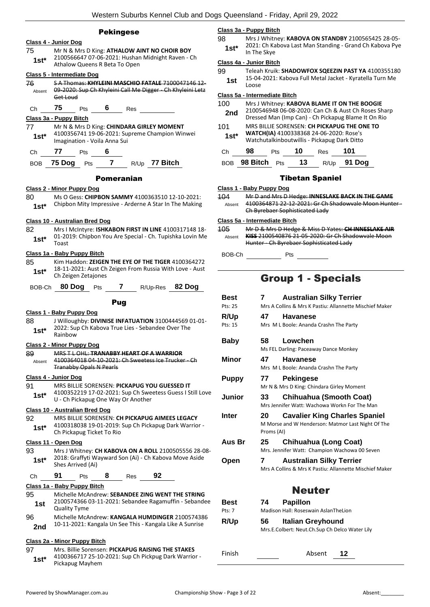#### Pekingese

#### **Class 4 - Junior Dog**

75 Mr N & Mrs D King: **ATHALOW AINT NO CHOIR BOY** 2100566647 07-06-2021: Hushan Midnight Raven - Ch **1st\*** 2100566647 07-06-2021: Hushar<br>Athalow Queens R Beta To Open

#### **Class 5 - Intermediate Dog**

76 S A Thomas: **KHYLEINI MASCHIO FATALE** 7100047146 12- 09-2020: Sup Ch Khyleini Call Me Digger - Ch Khyleini Letz Get Loud Absent

Ch **75** Pts **6** Res

#### **Class 3a - Puppy Bitch**

- 77 Mr N & Mrs D King: **CHINDARA GIRLEY MOMENT** 4100356741 19-06-2021: Supreme Champion Winwei **1st**\* 4100356741 19-06-2021: Sum<br>Imagination - Voila Anna Sui
- Ch **77** Pts **6**

BOB **75 Dog** Pts **7** R/Up **77 Bitch**

#### Pomeranian

#### **Class 2 - Minor Puppy Dog**

80 Ms O Gess: **CHIPBON SAMMY** 4100363510 12-10-2021: 1st\* Chipbon Mity Impressive - Arderne A Star In The Making

#### **Class 10 - Australian Bred Dog**

82 Mrs I McIntyre: **ISHKABON FIRST IN LINE** 4100317148 18- 01-2019: Chipbon You Are Special - Ch. Tupishka Lovin Me  $1$ **st**<sup>\*</sup>  $\frac{01-20}{Total}$ 

#### **Class 1a - Baby Puppy Bitch**

85 Kim Haddon: **ZEIGEN THE EYE OF THE TIGER** 4100364272 18-11-2021: Aust Ch Zeigen From Russia With Love - Aust **1st**\* 18-11-2021: Aust Ch<br>Ch Zeigen Zetajones

| BOB-Ch 80 Dog Pts |  | R/Up-Res 82 Dog |  |
|-------------------|--|-----------------|--|
|                   |  |                 |  |

#### Pug

**Class 1 - Baby Puppy Dog** 88 J Willoughby: **DIVINISE INFATUATION** 3100444569 01-01- 2022: Sup Ch Kabova True Lies - Sebandee Over The 1st<sup>\*</sup> <sup>2022:</sup> 20<br>Rainbow **Class 2 - Minor Puppy Dog** 89 MRS T L OHL: **TRANABBY HEART OF A WARRIOR** 4100364018 04-10-2021: Ch Sweetess Ice Trucker - Ch Tranabby Opals N Pearls Absent

#### **Class 4 - Junior Dog**

91 MRS BILLIE SORENSEN: **PICKAPUG YOU GUESSED IT** 4100352219 17-02-2021: Sup Ch Sweetess Guess I Still Love U - Ch Pickapug One Way Or Another **1st\***

#### **Class 10 - Australian Bred Dog**

92 MRS BILLIE SORENSEN: **CH PICKAPUG AIMEES LEGACY** 4100318038 19-01-2019: Sup Ch Pickapug Dark Warrior - 1st\* 4100318038 19-01-2019:<br>Ch Pickapug Ticket To Rio

#### **Class 11 - Open Dog**

93 Mrs J Whitney: **CH KABOVA ON A ROLL** 2100505556 28-08- 2018: Graffyti Wayward Son (Ai) - Ch Kabova Move Aside **1st**\* <sup>2018: Graffyti W<br>Shes Arrived (Ai)</sup>

#### Ch **91** Pts **8** Res **92**

#### **Class 1a - Baby Puppy Bitch**

- 95 Michelle McAndrew: **SEBANDEE ZING WENT THE STRING** 2100574366 03-11-2021: Sebandee Ragamuffin - Sebandee **1st** <sup>21005743661</sup> 96 Michelle McAndrew: **KANGALA HUMDINGER** 2100574386
- 2nd 10-11-2021: Kangala Un See This Kangala Like A Sunrise

#### **Class 2a - Minor Puppy Bitch**

| 97     | Mrs. Billie Sorensen: PICKAPUG RAISING THE STAKES    |
|--------|------------------------------------------------------|
| $1st*$ | 4100366717 25-10-2021: Sup Ch Pickpug Dark Warrior - |
|        | Pickapug Mayhem                                      |

#### **Class 3a - Puppy Bitch**

98 Mrs J Whitney: **KABOVA ON STANDBY** 2100565425 28-05- 2021: Ch Kabova Last Man Standing - Grand Ch Kabova Pye **1st**\* <sup>2021</sup> ULN

#### **Class 4a - Junior Bitch**

- 99 Teleah Kruik: **SHADOWFOX SQEEZIN PAST YA** 4100355180 15-04-2021: Kabova Full Metal Jacket - Kyratella Turn Me
- **1st**  $\frac{13-04}{10056}$

#### **Class 5a - Intermediate Bitch**

| 100    |    |     |    |     | Mrs J Whitney: KABOVA BLAME IT ON THE BOOGIE                                                               |  |
|--------|----|-----|----|-----|------------------------------------------------------------------------------------------------------------|--|
| 2nd    |    |     |    |     | 2100546948 06-08-2020: Can Ch & Aust Ch Roses Sharp<br>Dressed Man (Imp Can) - Ch Pickapug Blame It On Rio |  |
| 101    |    |     |    |     | MRS BILLIE SORENSEN: CH PICKAPUG THE ONE TO                                                                |  |
| $1st*$ |    |     |    |     | WATCH(IA) 4100338368 24-06-2020: Rose's                                                                    |  |
|        |    |     |    |     | Watchutalkinboutwillis - Pickapug Dark Ditto                                                               |  |
| Сh     | 98 | Pts | 10 | Res | 101                                                                                                        |  |

| BOB 98 Bitch Pts<br>R/Up 91 Dog<br>13 |  |
|---------------------------------------|--|
|---------------------------------------|--|

#### Tibetan Spaniel

#### **Class 1 - Baby Puppy Dog**

| 104    | Mr D and Mrs D Hedge: INNESLAKE BACK IN THE GAME    |
|--------|-----------------------------------------------------|
| Absent | 4100364871 22 12 2021: Gr Ch Shadowyale Moon Hunter |
|        | Ch Byrebaer Sophisticated Lady                      |

#### **Class 5a - Intermediate Bitch**

| 105    | Mr D & Mrs D Hedge & Miss D Yates: CH INNESLAKE AIR                                          |
|--------|----------------------------------------------------------------------------------------------|
| Ahsent | KISS 2100540876 21-05-2020: Gr Ch Shadowvale Moon<br>Hunter - Ch Byrebaer Sophisticated Lady |
|        |                                                                                              |

BOB-Ch Pts

### Group 1 - Specials

| Best           | 7                | <b>Australian Silky Terrier</b>                                                            |
|----------------|------------------|--------------------------------------------------------------------------------------------|
| Pts: 25        |                  | Mrs A Collins & Mrs K Pastiu: Allannette Mischief Maker                                    |
| R/Up           | 47               | <b>Havanese</b>                                                                            |
| Pts: 15        |                  | Mrs M L Boole: Ananda Crashn The Party                                                     |
| Baby           | 58               | Lowchen<br>Ms FEL Darling: Paceaway Dance Monkey                                           |
| Minor          | 47               | <b>Havanese</b><br>Mrs M L Boole: Ananda Crashn The Party                                  |
| <b>Puppy</b>   | 77               | <b>Pekingese</b><br>Mr N & Mrs D King: Chindara Girley Moment                              |
| Junior         | 33               | Chihuahua (Smooth Coat)<br>Mrs Jennifer Watt: Wachowa Workn For The Man                    |
| <b>Inter</b>   | 20<br>Proms (AI) | <b>Cavalier King Charles Spaniel</b><br>M Morse and W Henderson: Matmor Last Night Of The  |
| Aus Br         | 25               | Chihuahua (Long Coat)<br>Mrs. Jennifer Watt: Champion Wachowa 00 Seven                     |
| Open           | 7                | <b>Australian Silky Terrier</b><br>Mrs A Collins & Mrs K Pastiu: Allannette Mischief Maker |
|                |                  |                                                                                            |
|                |                  | <b>Neuter</b>                                                                              |
| Best<br>Pts: 7 | 74               | <b>Papillon</b><br>Madison Hall: Roseswain AslanTheLion                                    |
| <b>R/Up</b>    | 56               | Italian Greyhound<br>Mrs.E.Colbert: Neut.Ch.Sup Ch Delco Water Lily                        |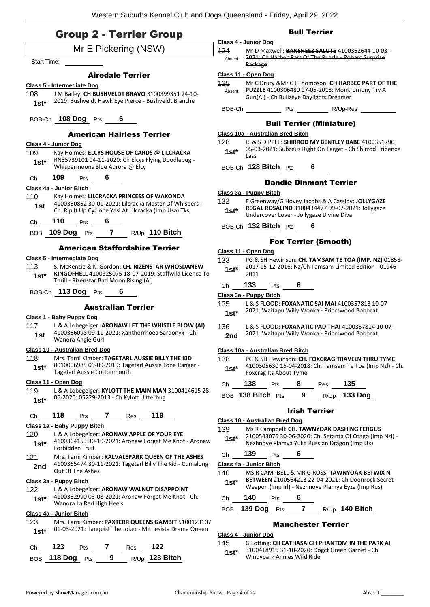### Group 2 - Terrier Group

| $\frac{1}{2}$                                                                                                                                                     | Class 4 - Junior Dog                                               |
|-------------------------------------------------------------------------------------------------------------------------------------------------------------------|--------------------------------------------------------------------|
| Mr E Pickering (NSW)<br>Start Time:                                                                                                                               | Mr D Maxwell: B<br>124<br>2021: Ch Harbec<br>Absent                |
|                                                                                                                                                                   | Package                                                            |
| <b>Airedale Terrier</b>                                                                                                                                           | Class 11 - Open Dog<br><u>125 —</u><br>Mr C Drury & Mr             |
| <b>Class 5 - Intermediate Dog</b><br>J M Bailey: CH BUSHVELDT BRAVO 3100399351 24-10-<br>108                                                                      | <b>PUZZLE 4100306</b><br>Absent                                    |
| 2019: Bushveldt Hawk Eye Pierce - Bushveldt Blanche<br>$1st^*$                                                                                                    | Gun(Ai) - Ch Bull                                                  |
|                                                                                                                                                                   | $\overline{P}$<br>BOB-Ch                                           |
| BOB-Ch 108 Dog Pts 6                                                                                                                                              | <b>Bull T</b>                                                      |
| <b>American Hairless Terrier</b>                                                                                                                                  | Class 10a - Australian Bre                                         |
| Class 4 - Junior Dog                                                                                                                                              | R & S DIPPLE: SH<br>128<br>05-03-2021: Sub                         |
| Kay Holmes: ELCYS HOUSE OF CARDS @ LILCRACKA<br>109                                                                                                               | 1st $^{\star}$<br>Lass                                             |
| RN35739101 04-11-2020: Ch Elcys Flying Doodlebug -<br>$1st^*$<br>Whispermoons Blue Aurora @ Elcy                                                                  | BOB-Ch 128 Bitch P                                                 |
| <b>109</b> Pts 6<br>Ch                                                                                                                                            | <b>Dandie</b>                                                      |
| Class 4a - Junior Bitch                                                                                                                                           |                                                                    |
| 110<br>Kay Holmes: LILCRACKA PRINCESS OF WAKONDA                                                                                                                  | Class 3a - Puppy Bitch<br>E Greenway/G H<br>132                    |
| 4100350852 30-01-2021: Lilcracka Master Of Whispers -<br>1st<br>Ch. Rip It Up Cyclone Yasi At Lilcracka (Imp Usa) Tks                                             | <b>REGAL ROSALIN</b><br>$1st^*$                                    |
| 110 $Pts$ 6<br>Ch                                                                                                                                                 | Undercover Love                                                    |
| 109 Dog Pts 7 R/Up 110 Bitch<br>BOB                                                                                                                               | BOB-Ch 132 Bitch P                                                 |
|                                                                                                                                                                   | Fox 1                                                              |
| <b>American Staffordshire Terrier</b>                                                                                                                             | Class 11 - Open Dog                                                |
| Class 5 - Intermediate Dog                                                                                                                                        | 133<br>PG & SH Hewins                                              |
| 113<br>S. McKenzie & K. Gordon: CH. RIZENSTAR WHOSDANEW<br>KINGOFHELL 4100325075 18-07-2019: Staffwild Licence To                                                 | 2017 15-12-2016<br>$1st^*$<br>2011                                 |
| $1st^*$<br>Thrill - Rizenstar Bad Moon Rising (Ai)                                                                                                                | 133<br>Pts<br>Ch                                                   |
| BOB-Ch 113 Dog Pts 6                                                                                                                                              | Class 3a - Puppy Bitch                                             |
| <b>Australian Terrier</b>                                                                                                                                         | 135<br>L & S FLOOD: FO                                             |
| Class 1 - Baby Puppy Dog                                                                                                                                          | 2021: Waitapu V<br>$1st^*$                                         |
| 117<br>L & A Lobegeiger: ARONAW LET THE WHISTLE BLOW (AI)                                                                                                         | 136<br><b>L &amp; S FLOOD: FO</b>                                  |
| 4100366098 09-11-2021: Xanthorrhoea Sardonyx - Ch.<br>1st                                                                                                         | 2021: Waitapu V<br>2nd                                             |
| Wanora Angie Gurl                                                                                                                                                 |                                                                    |
| Class 10 - Australian Bred Dog                                                                                                                                    | Class 10a - Australian Bre                                         |
| Mrs. Tarni Kimber: TAGETARL AUSSIE BILLY THE KID<br>118  <br>8010006985 09-09-2019: Tagetarl Aussie Lone Ranger -<br>$1st*$<br><b>Tagetarl Aussie Cottonmouth</b> | 138 PG & SH Hewins<br>4100305630 15-<br>$1st*$<br>Foxcrag Its Abou |
| Class 11 - Open Dog                                                                                                                                               | 138<br>Ch<br>Pts                                                   |
| 119<br>L & A Lobegeiger: KYLOTT THE MAIN MAN 3100414615 28-                                                                                                       |                                                                    |
| 06-2020: 05229-2013 - Ch Kylott Jitterbug<br>$1st*$                                                                                                               | BOB 138 Bitch Pts                                                  |
| 118<br>119<br>7<br>Res<br>Ch<br>Pts                                                                                                                               | <b>Class 10 - Australian Bred</b>                                  |
| Class 1a - Baby Puppy Bitch                                                                                                                                       | 139<br>Ms R Campbell: 0                                            |
| 120<br>L & A Lobegeiger: ARONAW APPLE OF YOUR EYE                                                                                                                 | 2100543076 30-<br>$1st^*$                                          |
| 4100364153 30-10-2021: Aronaw Forget Me Knot - Aronaw<br>$1st*$<br>Forbidden Fruit                                                                                | Nezhnoye Plamy                                                     |
| 121<br>Mrs. Tarni Kimber: KALVALEPARK QUEEN OF THE ASHES                                                                                                          | 139<br>Ch<br>Pts                                                   |
| 4100365474 30-11-2021: Tagetarl Billy The Kid - Cumalong<br>2nd<br>Out Of The Ashes                                                                               | Class 4a - Junior Bitch                                            |
| Class 3a - Puppy Bitch                                                                                                                                            | MS R CAMPBELL<br>140<br><b>BETWEEN 21005</b>                       |
| 122<br>L & A Lobegeiger: ARONAW WALNUT DISAPPOINT                                                                                                                 | $1st*$<br>Weapon (Imp Irl)                                         |
| 4100362990 03-08-2021: Aronaw Forget Me Knot - Ch.<br>$1st*$                                                                                                      | 140<br>Ch<br>Pts                                                   |
| Wanora La Red High Heels<br>Class 4a - Junior Bitch                                                                                                               | 139 Dog<br>BOB<br>Pts                                              |
| Mrs. Tarni Kimber: PAXTERR QUEENS GAMBIT 5100123107<br>123                                                                                                        | Man                                                                |
| 01-03-2021: Tanquist The Joker - Mittlesista Drama Queen<br>$1st*$                                                                                                | Class 4 - Junior Dog                                               |
|                                                                                                                                                                   | G Lofting: CH CA<br>145                                            |
| 123<br>7<br>122<br>Res<br>Ch<br>Pts                                                                                                                               | 3100418916 31-<br>$1st^*$                                          |
| 9<br>R/Up 123 Bitch<br>118 Dog<br>BOB<br>Pts                                                                                                                      | Windypark Annie                                                    |

### Bull Terrier

- 124 Mr D Maxwell: **BANSHEEZ SALUTE** 4100352644 10-03- Part Of The Puzzle - Robarc Surprise
- $C$  J Thompson: **CH HARBEC PART OF THE** <u>Puzzle 45-2018: Monkromony Try A</u> zeye Daylights Dreamer

ts \_\_\_\_\_\_\_\_\_\_\_\_\_\_R/Up-Res \_

#### errier (Miniature)

#### **Class 10a - Australian Bred Bitch**

- **HIRROD MY BENTLEY BABE** 4100351790 zeus Right On Target - Ch Shirrod Tripence
- ts **6**

#### e Dinmont Terrier

- lovey Jacobs & A Cassidy: **JOLLYGAZE REGAL ROSALIND** 3100434477 09-07-2021: Jollygaze er - Jollygaze Divine Diva
- ts **6**

#### **Ferrier (Smooth)**

- on: **CH. TAMSAM TE TOA (IMP. NZ)** 01858- $5:$  Nz/Ch Tamsam Limited Edition - 01946-
- Ch **133** Pts **6**
- 135 L & S FLOOD: **FOXANATIC SAI MAI** 4100357813 10-07- 2021: Waitapu Willy Wonka - Priorswood Bobbcat **1st\***
- 
- 136 L & S FLOOD: **FOXANATIC PAD THAI** 4100357814 10-07- **2021: Wonka - Priorswood Bobbcat**

#### **Class 10a - Australian Bred Bitch**

**138 PM EXAMPLE TRAVELN THRU TYME** 04-2018: Ch. Tamsam Te Toa (Imp Nzl) - Ch. It Tyme

| Ch | 138               | <b>Pts</b> | - 8 | Res | -135                |
|----|-------------------|------------|-----|-----|---------------------|
|    | BOB 138 Bitch Pts |            | - 9 |     | R/Up <b>133 Dog</b> |

#### Irish Terrier

### **Class 10 - Australian Bred Dog**

- 139 Ms R Campbell: **CH. TAWNYOAK DASHING FERGUS** 06-2020: Ch. Setanta Of Otago (Imp Nzl) a Yulia Russian Dragon (Imp Uk)
- Ch **139** Pts **6**
- $18$  MR G ROSS: **TAWNYOAK BETWIX N BETWEEN** 2100564213 22-04-2021: Ch Doonrock Secret Weapon (Imp Irl) - Nezhnoye Plamya Eyza (Imp Rus) **1st\***
- Ch **140** Pts **6**
	- BOB **139 Dog** Pts **7** R/Up **140 Bitch**

### chester Terrier

145 G Lofting: **CH CATHASAIGH PHANTOM IN THE PARK AI** -10-2020: Dogct Green Garnet - Ch <sub>ies</sub> Wild Ride<sup>'</sup>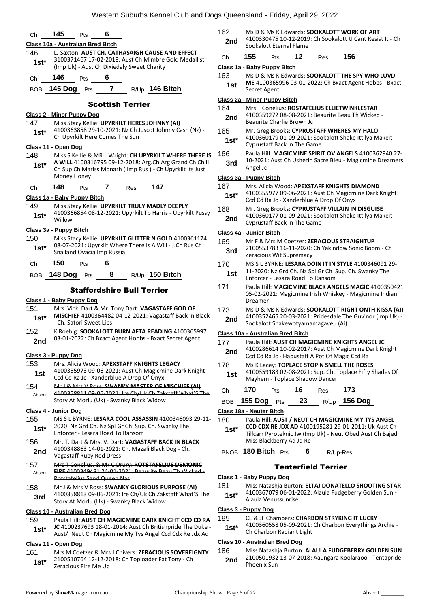| Сh            | 145                                   | Pts                              | 6 |                                            |                                                          |                                                                                                                  | 162                 |
|---------------|---------------------------------------|----------------------------------|---|--------------------------------------------|----------------------------------------------------------|------------------------------------------------------------------------------------------------------------------|---------------------|
|               | Class 10a - Australian Bred Bitch     |                                  |   |                                            |                                                          |                                                                                                                  | 2n                  |
| 146           |                                       |                                  |   |                                            | LJ Saxton: AUST CH. CATHASAIGH CAUSE AND EFFECT          |                                                                                                                  | Ch                  |
| $1st^*$       |                                       |                                  |   | (Imp Uk) - Aust Ch Dixiedaly Sweet Charity |                                                          | 3100371467 17-02-2018: Aust Ch Mimbre Gold Medallist                                                             | Class               |
|               |                                       |                                  |   |                                            |                                                          |                                                                                                                  | 163                 |
| Ch            | 146                                   | <b>Pts</b>                       | 6 |                                            |                                                          |                                                                                                                  | 1 <sub>s</sub>      |
|               |                                       |                                  |   |                                            | BOB 145 Dog Pts 7 R/Up 146 Bitch                         |                                                                                                                  |                     |
|               |                                       |                                  |   | <b>Scottish Terrier</b>                    |                                                          |                                                                                                                  | <b>Class</b><br>164 |
|               | <b>Class 2 - Minor Puppy Dog</b>      |                                  |   |                                            |                                                          |                                                                                                                  | 2n                  |
| 147           |                                       |                                  |   |                                            | Miss Stacy Kellie: UPYRKILT HERES JOHNNY (AI)            |                                                                                                                  |                     |
| $1st^*$       |                                       | Ch Upyrkilt Here Comes The Sun   |   |                                            |                                                          | 4100363858 29-10-2021: Nz Ch Juscot Johnny Cash (Nz) -                                                           | 165                 |
|               | Class 11 - Open Dog                   |                                  |   |                                            |                                                          |                                                                                                                  | 1s                  |
| 148           |                                       |                                  |   |                                            |                                                          | Miss S Kellie & MR L Wright: CH UPYRKILT WHERE THERE IS                                                          | 166                 |
| $1st*$        |                                       |                                  |   |                                            |                                                          | A WILL 4100316795 09-12-2018: Arg.Ch Arg Grand Ch Chill                                                          | 3r                  |
|               | Money Honey                           |                                  |   |                                            |                                                          | Ch Sup Ch Mariss Monarh (Imp Rus) - Ch Upyrkilt Its Just                                                         | <b>Class</b>        |
| Ch            | 148                                   | <b>Pts</b>                       |   | <b>7</b> Res 147                           |                                                          |                                                                                                                  | 167                 |
|               | Class 1a - Baby Puppy Bitch           |                                  |   |                                            |                                                          |                                                                                                                  | 1s                  |
| 149           |                                       |                                  |   |                                            | Miss Stacy Kellie: UPYRKILT TRULY MADLY DEEPLY           |                                                                                                                  | 168                 |
| $1st^*$       |                                       |                                  |   |                                            |                                                          | 4100366854 08-12-2021: Upyrkilt Tb Harris - Upyrkilt Pussy                                                       | 2n                  |
|               | Willow                                |                                  |   |                                            |                                                          |                                                                                                                  |                     |
| 150           | Class 3a - Puppy Bitch                |                                  |   |                                            |                                                          | Miss Stacy Kellie: UPYRKILT GLITTER N GOLD 4100361174                                                            | <u>Class</u>        |
| $1st*$        |                                       |                                  |   |                                            | 08-07-2021: Upyrkilt Where There Is A Will - J.Ch Rus Ch |                                                                                                                  | 169                 |
|               |                                       | Snailand Ovacia Imp Russia       |   |                                            |                                                          |                                                                                                                  | Зr                  |
| Ch            | 150                                   | Pts                              | 6 |                                            |                                                          |                                                                                                                  | 170.                |
| BOB           |                                       |                                  |   |                                            | 148 Dog Pts 8 R/Up 150 Bitch                             |                                                                                                                  | 1៵                  |
|               |                                       |                                  |   | <b>Staffordshire Bull Terrier</b>          |                                                          |                                                                                                                  | 171                 |
|               | Class 1 - Baby Puppy Dog              |                                  |   |                                            |                                                          |                                                                                                                  |                     |
| 151           |                                       |                                  |   |                                            | Mrs. Vicki Dart & Mr. Tony Dart: VAGASTAFF GOD OF        |                                                                                                                  | 173                 |
| $1st^*$       |                                       | - Ch. Satori Sweet Lips          |   |                                            |                                                          | MISCHIEF 4100364482 04-12-2021: Vagastaff Back In Black                                                          | 2n                  |
| 152           |                                       |                                  |   |                                            |                                                          | K Roebig: SOOKALOTT BURN AFTA READING 4100365997                                                                 | <u>Class</u>        |
| 2nd           |                                       |                                  |   |                                            | 03-01-2022: Ch Bxact Agent Hobbs - Bxact Secret Agent    |                                                                                                                  | 177                 |
|               | Class 3 - Puppy Dog                   |                                  |   |                                            |                                                          |                                                                                                                  | 2n                  |
| 153           |                                       |                                  |   |                                            | Mrs. Alicia Wood: APEXSTAFF KNIGHTS LEGACY               |                                                                                                                  | 178                 |
| 1st           |                                       |                                  |   |                                            |                                                          | 4100355973 09-06-2021: Aust Ch Magicmine Dark Knight                                                             | 1៵                  |
| 154           |                                       |                                  |   | Ccd Cd Ra Jc - Xanderblue A Drop Of Onyx   | Mr J & Mrs V Ross: SWANKY MASTER OF MISCHIEF (AI)        |                                                                                                                  |                     |
| Absent        |                                       |                                  |   |                                            |                                                          | 4100358811 09-06-2021: Ire Ch/Uk Ch Zakstaff What'S The                                                          | Ch                  |
|               |                                       |                                  |   | Story At Morlu (Uk) Swanky Black Widow     |                                                          |                                                                                                                  | <b>BOE</b>          |
|               | Class 4 - Junior Dog                  |                                  |   |                                            |                                                          | MS S L BYRNE: LESARA COOL ASSASSIN 4100346093 29-11-                                                             | Class               |
| 155<br>$1st*$ |                                       |                                  |   |                                            | 2020: Nz Grd Ch. Nz Spl Gr Ch Sup. Ch. Swanky The        |                                                                                                                  | 180                 |
|               |                                       | Enforcer - Lesara Road To Ransom |   |                                            |                                                          |                                                                                                                  | 1s                  |
| 156           |                                       |                                  |   |                                            | Mr. T. Dart & Mrs. V. Dart: VAGASTAFF BACK IN BLACK      |                                                                                                                  |                     |
| 2nd           |                                       | Vagastaff Ruby Red Dress         |   |                                            | 4100348863 14-01-2021: Ch. Mazali Black Dog - Ch.        |                                                                                                                  | <b>BNC</b>          |
| 157           |                                       |                                  |   |                                            | Mrs T Conelius. & Mr C Drury: ROTSTAFELIUS DEMONIC       |                                                                                                                  |                     |
| Absent        |                                       | Rotstafelius Sand Queen Nas      |   |                                            |                                                          | <b>FIRE</b> 4100349481 24-01-2021: Beaurite Beau Th Wicked-                                                      | <b>Class</b>        |
| 158           |                                       |                                  |   |                                            | Mr J & Mrs V Ross: SWANKY GLORIOUS PURPOSE (AI)          |                                                                                                                  | 181                 |
| 3rd           |                                       |                                  |   |                                            |                                                          | 4100358813 09-06-2021: Ire Ch/Uk Ch Zakstaff What'S The                                                          | 1s                  |
|               |                                       |                                  |   | Story At Morlu (Uk) - Swanky Black Widow   |                                                          |                                                                                                                  | <b>Class</b>        |
|               | <b>Class 10 - Australian Bred Dog</b> |                                  |   |                                            |                                                          |                                                                                                                  | 185                 |
| 159           |                                       |                                  |   |                                            |                                                          | Paula Hill: AUST CH MAGICMINE DARK KNIGHT CCD CD RA<br>JC 4100237693 18-01-2014: Aust Ch Britishpride The Duke - | 1s                  |
| 1st*          |                                       |                                  |   |                                            |                                                          | Aust/ Neut Ch Magicmine My Tys Angel Ccd Cdx Re Jdx Ad                                                           |                     |
|               | Class 11 - Open Dog                   |                                  |   |                                            |                                                          |                                                                                                                  | Class               |
| 161           |                                       |                                  |   |                                            |                                                          | Mrs M Coetzer & Mrs J Chivers: ZERACIOUS SOVEREIGNTY                                                             | 186                 |

2100510764 12-12-2018: Ch Toploader Fat Tony - Ch **1st**\* 2100510764 12-12-20<br>Zeracious Fire Me Up

Ms D & Ms K Edwards: **SOOKALOTT WORK OF ART** 4100330475 10-12-2019: Ch Sookalott U Cant Resist It - Ch Sookalott Eternal Flame **2nd** Ch **155** Pts **12** Res **156 Class 1a - Baby Puppy Bitch** Ms D & Ms K Edwards: **SOOKALOTT THE SPY WHO LUVD ME** 4100365996 03-01-2022: Ch Bxact Agent Hobbs - Bxact Secret Agent **1st Class 2a - Minor Puppy Bitch** 164 Mrs T Conelius: **ROSTAFELIUS ELLIETWINKLESTAR**

4100359272 08-08-2021: Beaurite Beau Th Wicked ad <sup>4100359272</sup> 08-08-2021:<br> Beaurite Charlie Brown Jc

#### 165 Mr. Greg Brooks: **CYPRUSTAFF WHERES MY HALO**

- 4100360179 01-09-2021: Sookalott Shake Ittilya Makeit Cyprustaff Back In The Game **1st\***
- 166 Paula Hill: **MAGICMINE SPIRIT OV ANGELS** 4100362940 27- 10-2021: Aust Ch Usherin Sacre Bleu - Magicmine Dreamers d <sup>10-2021</sup><br>Angel Jc

#### **Class 3a - Puppy Bitch**

#### 167 Mrs. Alicia Wood: **APEXSTAFF KNIGHTS DIAMOND**

- 4100355977 09-06-2021: Aust Ch Magicmine Dark Knight **t\*** 4100355977 09-06-2021: Aust Ch Magicm<br>Ccd Cd Ra Jc - Xanderblue A Drop Of Onyx
- 168 Mr. Greg Brooks: **CYPRUSTAFF VILLAIN IN DISGUISE**
- 4100360177 01-09-2021: Sookalott Shake Ittilya Makeit **d** 4100360177 01-09-2021: Soc<br>Cyprustaff Back In The Game

#### **Class 4a - Junior Bitch**

- 169 Mr F & Mrs M Coetzer: **ZERACIOUS STRAIGHTUP** 2100553783 16-11-2020: Ch Yakindow Sonic Boom - Ch
- **d** ZIUU553783 Ib-11-2020:<br>Zeracious Wit Supremacy 170 MS S L BYRNE: **LESARA DOIN IT IN STYLE** 4100346091 29-
- 11-2020: Nz Grd Ch. Nz Spl Gr Ch Sup. Ch. Swanky The Enforcer - Lesara Road To Ransom **1st**
- Paula Hill: MAGICMINE BLACK ANGELS MAGIC 4100350421 05-02-2021: Magicmine Irish Whiskey - Magicmine Indian Dreamer
- Ms D & Ms K Edwards: **SOOKALOTT RIGHT ONTH KISSA (AI)**
- 4100352465 20-03-2021: Pridesdale The Guv'nor (Imp Uk) **d** 4100352465 20-03-2021: Pridesdale Transport Sookalott Shakewotyamamagaveu (Ai)

#### **Class 10a - Australian Bred Bitch**

- Paula Hill: **AUST CH MAGICMINE KNIGHTS ANGEL JC**
- 4100286614 10-02-2017: Aust Ch Magicmine Dark Knight **d** 4100286614 10-02-2017: Aust Ch Magicmine D<br>Ccd Cd Ra Jc - Hapustaff A Pot Of Magic Ccd Ra
- 178 Ms K Lacey: **TOPLACE STOP N SMELL THE ROSES** 4100359183 02-08-2021: Sup. Ch. Toplace Fifty Shades Of Mayhem - Toplace Shadow Dancer **1st**

| Ch 170 Pts 16 Res 173 |  |                                   |
|-----------------------|--|-----------------------------------|
|                       |  | BOB 155 Dog Pts 23 $R/Up$ 156 Dog |

#### **Class 18a - Neuter Bitch**

- Paula Hill: **AUST / NEUT CH MAGICMINE MY TYS ANGEL CCD CDX RE JDX AD** 4100195281 29-01-2011: Uk Aust Ch Tillcarr Pyroteknic Jw (Imp Uk) - Neut Obed Aust Ch Bajed Miss Blackberry Ad Jd Re **1st\***
- BNOB **180 Bitch** Pts **6** R/Up-Res

#### Tenterfield Terrier

#### **Class 1 - Baby Puppy Dog**

- 181 Miss Natashja Burton: **ELTAJ DONATELLO SHOOTING STAR**
- 4100367079 06-01-2022: Alaula Fudgeberry Golden Sun Alaula Venussunrise **1st\***

#### **Class 3 - Puppy Dog**

- 185 CE & JF Chambers: **CHARBON STRYKING IT LUCKY**
- 4100360558 05-09-2021: Ch Charbon Everythings Archie **Ch Charbon Radiant Light**

#### **Class 10 - Australian Bred Dog**

186 Miss Natashja Burton: **ALAULA FUDGEBERRY GOLDEN SUN** 2100501932 13-07-2018: Aaungara Koolaraoo - Tentapride **2nd 2100301932**<br>Phoenix Sun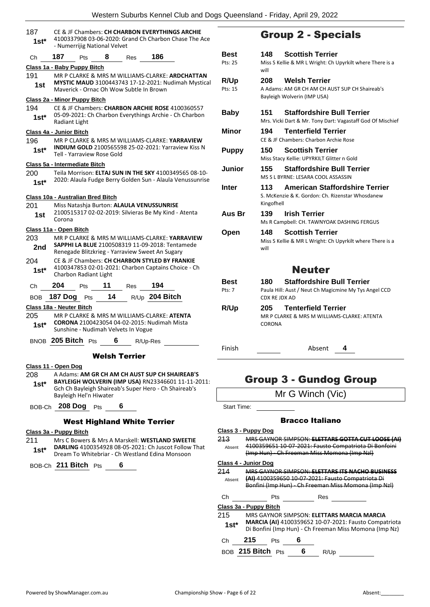| 187<br>$1st*$            |                        | - Numerrijig National Velvet                                                                                                                             |                            |                      | CE & JF Chambers: CH CHARBON EVERYTHINGS ARCHIE<br>4100337908 03-06-2020: Grand Ch Charbon Chase The Ace            |  |  |
|--------------------------|------------------------|----------------------------------------------------------------------------------------------------------------------------------------------------------|----------------------------|----------------------|---------------------------------------------------------------------------------------------------------------------|--|--|
| Сh                       | 187                    | Pts                                                                                                                                                      | 8                          | Res                  | 186                                                                                                                 |  |  |
|                          |                        | Class 1a - Baby Puppy Bitch                                                                                                                              |                            |                      |                                                                                                                     |  |  |
| 191<br>1st               |                        | MR P CLARKE & MRS M WILLIAMS-CLARKE: ARDCHATTAN<br><b>MYSTIC MAUD</b> 3100443743 17-12-2021: Nudimah Mystical<br>Maverick - Ornac Oh Wow Subtle In Brown |                            |                      |                                                                                                                     |  |  |
|                          |                        | <u> Class 2a - Minor Puppy Bitch</u>                                                                                                                     |                            |                      |                                                                                                                     |  |  |
| 194<br>$1st^*$           | Radiant Light          |                                                                                                                                                          |                            |                      | CE & JF Chambers: CHARBON ARCHIE ROSE 4100360557<br>05-09-2021: Ch Charbon Everythings Archie - Ch Charbon          |  |  |
| Class 4a - Junior Bitch  |                        |                                                                                                                                                          |                            |                      |                                                                                                                     |  |  |
| 196<br>$1st^*$           |                        | Tell - Yarraview Rose Gold                                                                                                                               |                            |                      | MR P CLARKE & MRS M WILLIAMS-CLARKE: <b>YARRAVIEW</b><br><b>INDIUM GOLD</b> 2100565598 25-02-2021: Yarraview Kiss N |  |  |
|                          |                        | <u> Class 5a - Intermediate Bitch</u>                                                                                                                    |                            |                      |                                                                                                                     |  |  |
| 200                      |                        |                                                                                                                                                          |                            |                      | Teila Morrison: ELTAJ SUN IN THE SKY 4100349565 08-10-                                                              |  |  |
| $1st^*$                  |                        |                                                                                                                                                          |                            |                      | 2020: Alaula Fudge Berry Golden Sun - Alaula Venussunrise                                                           |  |  |
| 201<br>1st               | Corona                 | Class 10a - Australian Bred Bitch                                                                                                                        |                            |                      | Miss Natashia Burton: ALAULA VENUSSUNRISE<br>2100515317 02-02-2019: Silvieras Be My Kind - Atenta                   |  |  |
|                          | Class 11a - Open Bitch |                                                                                                                                                          |                            |                      |                                                                                                                     |  |  |
| 203                      |                        |                                                                                                                                                          |                            |                      | MR P CLARKE & MRS M WILLIAMS-CLARKE: YARRAVIEW                                                                      |  |  |
| 2nd                      |                        |                                                                                                                                                          |                            |                      | SAPPHI LA BLUE 2100508319 11-09-2018: Tentamede<br>Renegade Blitzkrieg - Yarraview Sweet An Sugary                  |  |  |
| 204<br>$1st*$            |                        | Charbon Radiant Light                                                                                                                                    |                            |                      | CE & JF Chambers: CH CHARBON STYLED BY FRANKIE<br>4100347853 02-01-2021: Charbon Captains Choice - Ch               |  |  |
| Ch                       | 204                    | Pts                                                                                                                                                      | 11                         | <b>Res</b>           | 194                                                                                                                 |  |  |
| <b>BOB</b>               |                        | 187 Dog Pts                                                                                                                                              | 14                         |                      | R/Up 204 Bitch                                                                                                      |  |  |
| Class 18a - Neuter Bitch |                        |                                                                                                                                                          |                            |                      |                                                                                                                     |  |  |
| 205                      |                        |                                                                                                                                                          |                            |                      | MR P CLARKE & MRS M WILLIAMS-CLARKE: ATENTA                                                                         |  |  |
| $1st^*$                  |                        | Sunshine - Nudimah Velvets In Vogue                                                                                                                      |                            |                      | <b>CORONA</b> 2100423054 04-02-2015: Nudimah Mista                                                                  |  |  |
|                          |                        | BNOB 205 Bitch Pts                                                                                                                                       |                            |                      |                                                                                                                     |  |  |
|                          |                        |                                                                                                                                                          |                            | $6\degree$           | R/Up-Res                                                                                                            |  |  |
|                          |                        |                                                                                                                                                          |                            | <b>Welsh Terrier</b> |                                                                                                                     |  |  |
| Class 11 - Open Dog      |                        |                                                                                                                                                          |                            |                      |                                                                                                                     |  |  |
| 208                      |                        |                                                                                                                                                          |                            |                      | A Adams: AM GR CH AM CH AUST SUP CH SHAIREAB'S                                                                      |  |  |
| $1st^*$                  |                        |                                                                                                                                                          |                            |                      | <b>BAYLEIGH WOLVERIN (IMP USA) RN23346601 11-11-2011:</b><br>Gch Ch Bayleigh Shaireab's Super Hero - Ch Shaireab's  |  |  |
|                          |                        | Bayleigh Hel'n Hiwater                                                                                                                                   |                            |                      |                                                                                                                     |  |  |
|                          |                        | BOB-Ch 208 Dog Pts                                                                                                                                       | $\overline{\phantom{0}}$ 6 |                      |                                                                                                                     |  |  |
|                          |                        |                                                                                                                                                          |                            |                      | <b>West Highland White Terrier</b>                                                                                  |  |  |

#### **Class 3a - Puppy Bitch**

211 Mrs C Bowers & Mrs A Marskell: **WESTLAND SWEETIE DARLING** 4100354928 08-05-2021: Ch Juscot Follow That **1st\*** DARLING 4100354928 08-05-2021: Ch Juscot Follow<br>Dream To Whitebriar - Ch Westland Edina Monsoon

BOB-Ch **211 Bitch** Pts **6**

## Group 2 - Specials

| Best<br>Pts: 25        | <b>Scottish Terrier</b><br>148<br>Miss S Kellie & MR L Wright: Ch Upyrkilt where There is a                          |
|------------------------|----------------------------------------------------------------------------------------------------------------------|
| <b>R/Up</b><br>Pts: 15 | will<br><b>Welsh Terrier</b><br>208<br>A Adams: AM GR CH AM CH AUST SUP CH Shaireab's<br>Bayleigh Wolverin (IMP USA) |
| <b>Baby</b>            | <b>Staffordshire Bull Terrier</b><br>151<br>Mrs. Vicki Dart & Mr. Tony Dart: Vagastaff God Of Mischief               |
| <b>Minor</b>           | <b>Tenterfield Terrier</b><br>194<br>CE & JF Chambers: Charbon Archie Rose                                           |
| <b>Puppy</b>           | <b>Scottish Terrier</b><br>150<br>Miss Stacy Kellie: UPYRKILT Glitter n Gold                                         |
| Junior                 | 155<br><b>Staffordshire Bull Terrier</b><br>MS S L BYRNE: LESARA COOL ASSASSIN                                       |
| Inter                  | American Staffordshire Terrier<br>113<br>S. McKenzie & K. Gordon: Ch. Rizenstar Whosdanew<br>Kingofhell              |
| Aus Br                 | 139<br>Irish Terrier<br>Ms R Campbell: CH. TAWNYOAK DASHING FERGUS                                                   |
| Open                   | <b>Scottish Terrier</b><br>148<br>Miss S Kellie & MR L Wright: Ch Upyrkilt where There is a<br>will                  |
|                        | <b>Neuter</b>                                                                                                        |
| Best<br>Pts: 7         | <b>Staffordshire Bull Terrier</b><br>180<br>Paula Hill: Aust / Neut Ch Magicmine My Tys Angel CCD<br>CDX RE IDX AD   |
| R/Up                   | <b>Tenterfield Terrier</b><br>205<br>MR P CLARKE & MRS M WILLIAMS-CLARKE: ATENTA<br>CORONA                           |
| Finish                 | Absent<br>4                                                                                                          |

### Group 3 - Gundog Group

Mr G Winch (Vic)

Start Time:

#### Bracco Italiano

### **Class 3 - Puppy Dog**

|               | olass o - i uppy pog         |                                                                                                                                     |
|---------------|------------------------------|-------------------------------------------------------------------------------------------------------------------------------------|
| 213<br>Absent |                              | <b>MRS GAYNOR SIMPSON: ELETTARS G</b><br><u>4100359651 10-07-2021: Fausto Compatriota Di Bonfo</u><br>Freeman Miss Momona (Imp NzI) |
|               | Class 4 - Junior Dog         |                                                                                                                                     |
| 214           |                              | <u> MRS GAYNOR SIMPSON: ELETTARS ITS NACHO BI</u>                                                                                   |
| Absent        |                              | <b>(AI)</b> 4100359650 10-07-2021: Fausto Compatriota Di                                                                            |
|               | <del>Bonfini (Imp Hun)</del> | - Ch Freeman Miss Momona (Imp Nzl)                                                                                                  |
| Сh            | Pts                          | Res                                                                                                                                 |
|               |                              |                                                                                                                                     |
|               | Class 3a - Puppy Bitch       |                                                                                                                                     |
| 215           |                              | MRS GAYNOR SIMPSON: ELETTARS MARCIA MARCIA                                                                                          |
|               |                              |                                                                                                                                     |
| $1st^*$       |                              | <b>MARCIA (AI)</b> 4100359652 10-07-2021: Fausto Compatriota<br>Di Bonfini (Imp Hun) - Ch Freeman Miss Momona (Imp Nz)              |

BOB **215 Bitch** Pts **6** R/Up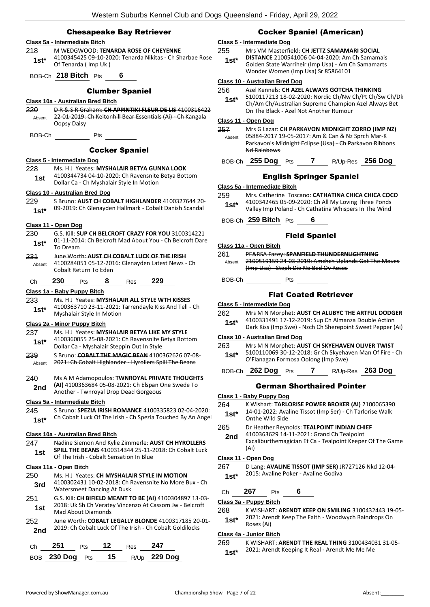#### Chesapeake Bay Retriever

| 218<br>1st*    | Class 5a - Intermediate Bitch<br>Of Tenarda (Imp Uk)                   |                        |     | M WEDGWOOD: TENARDA ROSE OF CHEYENNE<br>4100345425 09-10-2020: Tenarda Nikitas - Ch Sharbae Rose                    |
|----------------|------------------------------------------------------------------------|------------------------|-----|---------------------------------------------------------------------------------------------------------------------|
|                | BOB-Ch 218 Bitch Pts                                                   | - 6                    |     |                                                                                                                     |
|                |                                                                        | <b>Clumber Spaniel</b> |     |                                                                                                                     |
| 220<br>Absent  | Class 10a - Australian Bred Bitch<br>Oopsy Daisy                       |                        |     | DR& SR Graham: CH APPINTIKI FLEUR DE LIS 4100316422<br>22-01-2019: Ch Keltonhill Bear Essentials (Ai) - Ch Kangala  |
| BOB-Ch         |                                                                        | Pts                    |     |                                                                                                                     |
|                |                                                                        | <b>Cocker Spaniel</b>  |     |                                                                                                                     |
| 228<br>1st     | Class 5 - Intermediate Dog<br>Dollar Ca - Ch Myshalair Style In Motion |                        |     | Ms. HJ Yeates: MYSHALAIR BETYA GUNNA LOOK<br>4100344734 04-10-2020: Ch Ravensnite Betya Bottom                      |
| 229<br>$1st^*$ | Class 10 - Australian Bred Dog                                         |                        |     | S Bruno: AUST CH COBALT HIGHLANDER 4100327644 20-<br>09-2019: Ch Glenayden Hallmark - Cobalt Danish Scandal         |
| 230<br>$1st^*$ | Class 11 - Open Dog<br>To Dream                                        |                        |     | G.S. Kill: SUP CH BELCROFT CRAZY FOR YOU 3100314221<br>01-11-2014: Ch Belcroft Mad About You - Ch Belcroft Dare     |
| 231<br>Absent  | Cobalt Return To Eden                                                  |                        |     | June Worth: AUST CH COBALT LUCK OF THE IRISH<br>4100284051 05-12-2016: Glenayden Latest News - Ch                   |
| Сh             | 230<br><b>Pts</b>                                                      | $8^{\circ}$            | Res | 229                                                                                                                 |
|                | Class 1a - Baby Puppy Bitch                                            |                        |     |                                                                                                                     |
| 233<br>1st*    | Myshalair Style In Motion                                              |                        |     | Ms. HJ Yeates: MYSHALAIR ALL STYLE WTH KISSES<br>4100363710 23-11-2021: Tarrendayle Kiss And Tell - Ch              |
|                | Class 2a - Minor Puppy Bitch                                           |                        |     |                                                                                                                     |
| 237<br>$1st*$  | Dollar Ca - Myshalair Steppin Out In Style                             |                        |     | Ms. H J Yeates: MYSHALAIR BETYA LIKE MY STYLE<br>4100360055 25-08-2021: Ch Ravensnite Betya Bottom                  |
| 239<br>Absent  |                                                                        |                        |     | S Bruno: COBALT THE MAGIC BEAN 4100362626 07-08-<br>2021: Ch Cobalt Highlander - Hyrollers Spill The Beans          |
| 240<br>2nd     | Another - Twnroyal Drop Dead Gorgeous                                  |                        |     | Ms A M Adamopoulos: TWNROYAL PRIVATE THOUGHTS<br>(AI) 4100363684 05-08-2021: Ch Elspan One Swede To                 |
|                | Class 5a - Intermediate Bitch                                          |                        |     |                                                                                                                     |
| 245<br>$1st*$  |                                                                        |                        |     | S Bruno: SPEZIA IRISH ROMANCE 4100335823 02-04-2020:<br>Ch Cobalt Luck Of The Irish - Ch Spezia Touched By An Angel |
|                | <b>Class 10a - Australian Bred Bitch</b>                               |                        |     |                                                                                                                     |
| 247<br>1st     | Of The Irish - Cobalt Sensation In Blue                                |                        |     | Nadine Siemon And Kylie Zimmerle: AUST CH HYROLLERS<br>SPILL THE BEANS 4100314344 25-11-2018: Ch Cobalt Luck        |
|                | Class 11a - Open Bitch                                                 |                        |     |                                                                                                                     |
| 250<br>3rd     | <b>Watersmeet Dancing At Dusk</b>                                      |                        |     | Ms. H J Yeates: CH MYSHALAIR STYLE IN MOTION<br>4100302431 10-02-2018: Ch Ravensnite No More Bux - Ch               |
| 251<br>1st     | <b>Mad About Diamonds</b>                                              |                        |     | G.S. Kill: CH BIFIELD MEANT TO BE (AI) 4100304897 13-03-<br>2018: Uk Sh Ch Veratey Vincenzo At Cassom Jw - Belcroft |
| 252<br>2nd     |                                                                        |                        |     | June Worth: COBALT LEGALLY BLONDE 4100317185 20-01-<br>2019: Ch Cobalt Luck Of The Irish - Ch Cobalt Goldilocks     |
| Ch             | 251<br><b>Pts</b>                                                      | 12                     | Res | 247                                                                                                                 |

## **Class 5 - Intermediate Dog**

255 Mrs VM Masterfield: **CH JETTZ SAMAMARI SOCIAL DISTANCE** 2100541006 04-04-2020: Am Ch Samamais Golden State Warriheir (Imp Usa) - Am Ch Samamarts Wonder Women (Imp Usa) Sr 85864101 **1st\***

Cocker Spaniel (American)

#### **Class 10 - Australian Bred Dog**

| 256 | Azel Kennels: CH AZEL ALWAYS GOTCHA THINKING |  |
|-----|----------------------------------------------|--|
|     |                                              |  |

5100117213 18-02-2020: Nordic Ch/Nw Ch/Pt Ch/Sw Ch/Dk Ch/Am Ch/Australian Supreme Champion Azel Always Bet On The Black - Azel Not Another Rumour **1st\***

#### **Class 11 - Open Dog**

| 257    | Mrs G Lazar: CH PARKAVON MIDNIGHT ZORRO (IMP NZ)      |
|--------|-------------------------------------------------------|
| Absent | 05884-2017 19-05-2017: Am & Can & Nz Sprch Mar-K      |
|        | Parkavon's Midnight Eclipse (Usa) Ch Parkavon Ribbons |
|        | <b>Nd Rainbows</b>                                    |
|        |                                                       |

#### BOB-Ch **255 Dog** Pts **7** R/Up-Res **256 Dog**

#### English Springer Spaniel

#### **Class 5a - Intermediate Bitch**

- 259 Mrs. Catherine Toscano: **CATHATINA CHICA CHICA COCO** 4100342465 05-09-2020: Ch All My Loving Three Ponds **1st** 4100342465 05-09-2020: Ch All My Loving Three Ponds<br>Valley Imp Poland - Ch Cathatina Whispers In The Wind
- BOB-Ch **259 Bitch** Pts **6**

#### Field Spaniel

**Class 11a - Open Bitch** 261 PE&RSA Fazey: **SPANFIELD THUNDERNLIGHTNING** 2100519159 24-03-2019: Amchch Uplands Got The Moves (Imp Usa) - Steph Die No Bed Ov Roses Absent

BOB-Ch Pts

#### Flat Coated Retriever

#### **Class 5 - Intermediate Dog**

262 Mrs M N Morphet: **AUST CH ALUBYC THE ARTFUL DODGER** 4100331491 17-12-2019: Sup Ch Almanza Double Action **1st** <sup>4100331491 17-12-2019: Sup on Almanza Double Action<br>Dark Kiss (Imp Swe) - Nzch Ch Sherepoint Sweet Pepper (Ai)</sup>

#### **Class 10 - Australian Bred Dog**

- 263 Mrs M N Morphet: **AUST CH SKYEHAVEN OLIVER TWIST**
	- 5100110069 30-12-2018: Gr Ch Skyehaven Man Of Fire Ch **1st** 3100110069 30-12-2018: Gr Ch Skyeha<br>O'Flanagan Formosa Oolong (Imp Swe)

#### BOB-Ch **262 Dog** Pts **7** R/Up-Res **263 Dog**

#### German Shorthaired Pointer

- **Class 1 - Baby Puppy Dog**
- 264 K Wishart: **TARLORISE POWER BROKER (AI)** 2100065390
- 14-01-2022: Avaline Tissot (Imp Ser) Ch Tarlorise Walk **Onthe Wild Side**
- 265 Dr Heather Reynolds: **TEALPOINT INDIAN CHIEF**
- 4100363629 14-11-2021: Grand Ch Tealpoint Excaliburthemagician Et Ca - Tealpoint Keeper Of The Game (Ai) **2nd**

#### **Class 11 - Open Dog**

- 267 D Lang: **AVALINE TISSOT (IMP SER)** JR727126 Nkd 12-04- 2015: Avaline Poker - Avaline Godiva **1st\***
- 
- Ch **267** Pts **6**

**Class 3a - Puppy Bitch**

268 K WISHART: **ARENDT KEEP ON SMILING** 3100432443 19-05- 2021: Arendt Keep The Faith - Woodwych Raindrops On 1st<sup>\*</sup> <sup>2021: Area</sup>

#### **Class 4a - Junior Bitch**

269 K WISHART: **ARENDT THE REAL THING** 3100434031 31-05-

2021: Arendt Keeping It Real - Arendt Me Me Me **1st\***

BOB **230 Dog** Pts **15** R/Up **229 Dog**

|        | assı - Davy Fuppy Duy                        |
|--------|----------------------------------------------|
| ነ4     | K Wishart: TARLORISE POWER BROKER (AI)       |
| $1st*$ | 14-01-2022: Avaline Tissot (Imp Ser) - Ch Ta |
|        | Onthe Wild Side                              |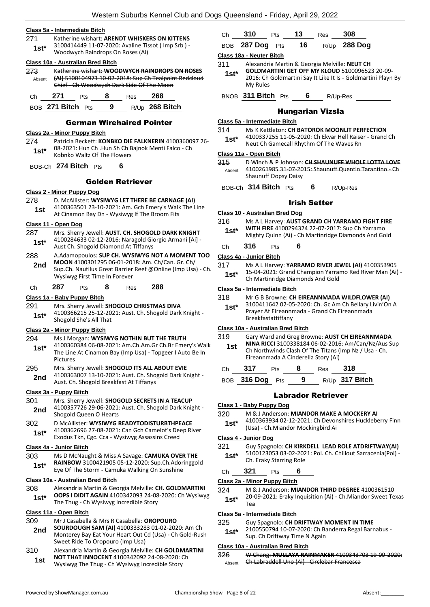#### **Class 5a - Intermediate Bitch**

- 271 Katherine wishart: **ARENDT WHISKERS ON KITTENS**
- 3100414449 11-07-2020: Avaline Tissot ( Imp Srb ) Woodwych Raindrops On Roses (Ai) **1st\***

#### **Class 10a - Australian Bred Bitch**

| 273    | Katherine wishart: WOODWYCH RAINDROPS ON ROSES        |
|--------|-------------------------------------------------------|
| Ahsent | (AI) 5100104971 10-02-2018: Sup Ch Tealpoint Redcloud |
|        | Chief - Ch Woodwych Dark Side Of The Moon             |

#### Ch **271** Pts **8** Res **268** BOB **271 Bitch** Pts **9** R/Up **268 Bitch**

#### German Wirehaired Pointer

#### **Class 2a - Minor Puppy Bitch**

274 Patricia Beckett: **KONBKO DIE FALKNERIN** 4100360097 26- 08-2021: Hun Ch .Hun Sh Ch Bajnok Menti Falco - Ch Kobnko Waltz Of The Flowers **1st\***

### BOB-Ch **274 Bitch** Pts **6**

#### Golden Retriever

#### **Class 2 - Minor Puppy Dog**

- 278 D. McAllister: **WYSIWYG LET THERE BE CARNAGE (AI)** 4100363501 23-10-2021: Am. Gch Emery's Walk The Line
- **1st** 4100363501 23-10-2021: Am. GCN Emery S Walk<br>At Cinamon Bay Dn Wysiwyg If The Broom Fits

#### **Class 11 - Open Dog**

- 287 Mrs. Sherry Jewell: **AUST. CH. SHOGOLD DARK KNIGHT**
- 4100284633 02-12-2016: Naragold Giorgio Armani [Ai] Aust Ch. Shogold Diamond At Tiffanys **1st\***
- 288 A.Adamopoulos: **SUP CH. WYSIWYG NOT A MOMENT TOO MOON** 4100301295 06-01-2018: Am. Ch/Can. Gr. Ch/ Sup.Ch. Nautilus Great Barrier Reef @Online (Imp Usa) - Ch. Wysiwyg First Time In Forever **2nd**

#### Ch **287** Pts **8** Res **288**

#### **Class 1a - Baby Puppy Bitch**

291 Mrs. Sherry Jewell: **SHOGOLD CHRISTMAS DIVA** 4100366215 25-12-2021: Aust. Ch. Shogold Dark Knight - Shogold She's All That **1st\***

#### **Class 2a - Minor Puppy Bitch**

#### 294 Ms J Morgan: **WYSIWYG NOTHIN BUT THE TRUTH**

- 4100360384 06-08-2021: Am.Ch.Am.Gr Ch.Br Emery's Walk The Line At Cinamon Bay (Imp Usa) - Topgeer I Auto Be In Pictures **1st\***
- 295 Mrs. Sherry Jewell: **SHOGOLD ITS ALL ABOUT EVIE** 4100363007 13-10-2021: Aust. Ch. Shogold Dark Knight - 2nd 4100363007 13-10-2021: Aust. Ch. Shogold Breakfast At Tiffanys

#### **Class 3a - Puppy Bitch**

#### 301 Mrs. Sherry Jewell: **SHOGOLD SECRETS IN A TEACUP**

4100357726 29-06-2021: Aust. Ch. Shogold Dark Knight - Shogold Queen O Hearts **2nd**

#### 302 D McAllister: **WYSIWYG READYTODISTURBTHPEACE** 4100362696 27-08-2021: Can Gch Camelot's Deep River Exodus Tkn, Cgc. Cca - Wysiwyg Assassins Creed **1st\***

#### **Class 4a - Junior Bitch**

303 Ms D McNaught & Miss A Savage: **CAMUKA OVER THE RAINBOW** 3100421905 05-12-2020: Sup.Ch.Adoringgold Eye Of The Storm - Camuka Walking On Sunshine **1st\***

#### **Class 10a - Australian Bred Bitch**

308 Alexandria Martin & Georgia Melville: **CH. GOLDMARTINI OOPS I DIDIT AGAIN** 4100342093 24-08-2020: Ch Wysiwyg The Thug - Ch Wysiwyg Incredible Story **1st\***

#### **Class 11a - Open Bitch**

- 309 Mr J Casabella & Mrs R Casabella: **OROPOURO**
- **SOURDOUGH SAM (AI)** 4100333283 01-02-2020: Am Ch Monterey Bay Eat Your Heart Out Cd (Usa) - Ch Gold-Rush Sweet Ride To Oropouro (Imp Usa) **2nd**
- 310 Alexandria Martin & Georgia Melville: **CH GOLDMARTINI NOT THAT INNOCENT** 4100342092 24-08-2020: Ch Wysiwyg The Thug - Ch Wysiwyg Incredible Story **1st**

| Ch 310 Pts 13 Res 308 |  |                                 |
|-----------------------|--|---------------------------------|
|                       |  | BOB 287 Dog Pts 16 R/Up 288 Dog |

#### **Class 18a - Neuter Bitch**

- 311 Alexandria Martin & Georgia Melville: **NEUT CH** 
	- **GOLDMARTINI GET OFF MY KLOUD** 5100096523 20-09- 2016: Ch Goldmartini Say It Like It Is - Goldmartini Playn By My Rules **1st\***

BNOB **311 Bitch** Pts **6** R/Up-Res

#### Hungarian Vizsla

#### **Class 5a - Intermediate Bitch**

- 314 Ms K Kettleton: **CH BATOROK MOONLIT PERFECTION**
- 4100337255 11-05-2020: Ch Ekvar Hell Raiser Grand Ch **1st** <sup>4100337255 11-05-2020: Ch Ekvar Hell Raise<br>Neut Ch Gamecall Rhythm Of The Waves Rn</sup>

### **Class 11a - Open Bitch**

- 315 D Winch & P Johnson: **CH SHAUNUFF WHOLE LOTTA LOVE** 4100261985 31-07-2015: Shaunuff Quentin Tarantino - Ch Shaunuff Oopsy Daisy Absent
- BOB-Ch **314 Bitch** Pts **6** R/Up-Res

### Irish Setter

#### **Class 10 - Australian Bred Dog**

316 Ms A L Harvey: **AUST GRAND CH YARRAMO FIGHT FIRE WITH FIRE** 4100294324 22-07-2017: Sup Ch Yarramo **1st\*** WITH FIKE 4100294324 22-07-2017: Sup Ch Yarramo<br>Mighty Quinn (Ai) - Ch Martinridge Diamonds And Gold

### Ch **316** Pts **6**

#### **Class 4a - Junior Bitch**

317 Ms A L Harvey: **YARRAMO RIVER JEWEL (AI)** 4100353905 15-04-2021: Grand Champion Yarramo Red River Man (Ai) - **1st**\* Ib-04-2021: Grand Champion Yarra<br>Ch Martinridge Diamonds And Gold

#### **Class 5a - Intermediate Bitch**

- 318 Mr G B Browne: **CH EIREANNMADA WILDFLOWER (AI)**
	- 3100411642 02-05-2020: Ch. Gc Am Ch Bellary Livin'On A Prayer At Eireannmada - Grand Ch Eireannmada Breakfastattiffany **1st\***

#### **Class 10a - Australian Bred Bitch**

- 319 Gary Ward and Greg Browne: **AUST CH EIREANNMADA NINA RICCI** 3100338184 06-02-2016: Am/Can/Nz/Aus Sup Ch Northwinds Clash Of The Titans (Imp Nz / Usa - Ch. Eireannmada A Cinderella Story (Ai) **1st**
- Ch **317** Pts **8** Res **318**

BOB **316 Dog** Pts **9** R/Up **317 Bitch**

#### Labrador Retriever

- 320 M & J Anderson: **MIANDOR MAKE A MOCKERY AI**
- 4100363934 02-12-2021: Ch Devonshires Huckleberry Finn (Usa) - Ch.Miandor Mockingbird Ai **1st\***

#### **Class 4 - Junior Dog**

- 321 Guy Spagnolo: **CH KIRKDELL LEAD ROLE ATDRIFTWAY(AI)**
- 5100123053 03-02-2021: Pol. Ch. Chillout Sarracenia(Pol) 1st\* 5100123053 03-02-202<br>Ch. Eraky Starring Role

#### Ch **321** Pts **6**

#### **Class 2a - Minor Puppy Bitch**

- 324 M & J Anderson: **MIANDOR THIRD DEGREE** 4100361510
- 20-09-2021: Eraky Inquisition (Ai) Ch.Miandor Sweet Texas Tea **1st\***

#### **Class 5a - Intermediate Bitch**

- 325 Guy Spagnolo: **CH DRIFTWAY MOMENT IN TIME**
	- 2100550794 10-07-2020: Ch Banderra Regal Barnabus **1st**\* 2100550794 10-07-2020: Ch Band Sup. Ch Driftway Time N Again

#### **Class 10a - Australian Bred Bitch**

326 W Chang: **MULLAYA RAINMAKER** 4100343703 19-09-2020: Absent Ch Labraddell Uno (Ai) Circlebar Francesca

# **Class 1 - Baby Puppy Dog**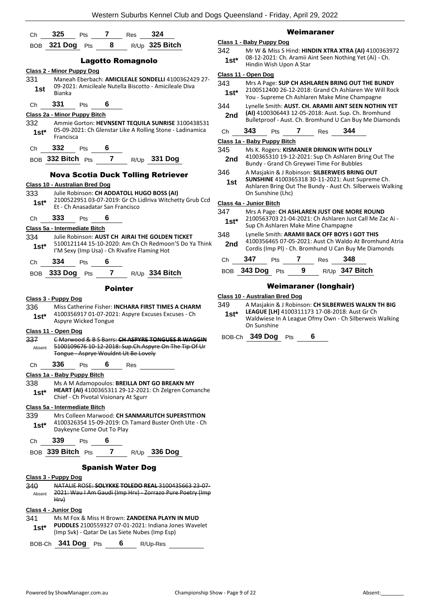| Ch             | 325                              | Pts                  | 7                                                              | Res | 324                                                                                                     |                                                                                                                  |               |  |                             |     |     |              | Weimaraner                                                                             |     |                                                                                                                                                           |  |
|----------------|----------------------------------|----------------------|----------------------------------------------------------------|-----|---------------------------------------------------------------------------------------------------------|------------------------------------------------------------------------------------------------------------------|---------------|--|-----------------------------|-----|-----|--------------|----------------------------------------------------------------------------------------|-----|-----------------------------------------------------------------------------------------------------------------------------------------------------------|--|
| <b>BOB</b>     | 321 Dog                          | Pts                  | 8                                                              |     | R/Up 325 Bitch                                                                                          |                                                                                                                  |               |  | Class 1 - Baby Puppy Dog    |     |     |              |                                                                                        |     |                                                                                                                                                           |  |
|                |                                  |                      | <b>Lagotto Romagnolo</b>                                       |     |                                                                                                         |                                                                                                                  | 342<br>$1st*$ |  | Hindin Wish Upon A Star     |     |     |              |                                                                                        |     | Mr W & Miss S Hind: HINDIN XTRA XTRA (AI) 4100363972<br>08-12-2021: Ch. Aramii Aint Seen Nothing Yet (Ai) - Ch.                                           |  |
|                | <b>Class 2 - Minor Puppy Dog</b> |                      |                                                                |     |                                                                                                         |                                                                                                                  |               |  | Class 11 - Open Dog         |     |     |              |                                                                                        |     |                                                                                                                                                           |  |
| 331<br>1st     | <b>Bianka</b>                    |                      |                                                                |     | 09-2021: Amicileale Nutella Biscotto - Amicileale Diva                                                  | Maneah Eberbach: AMICILEALE SONDELLI 4100362429 27-                                                              | 343<br>$1st*$ |  |                             |     |     |              |                                                                                        |     | Mrs A Page: SUP CH ASHLAREN BRING OUT THE BUNDY<br>2100512400 26-12-2018: Grand Ch Ashlaren We Will Rock<br>You - Supreme Ch Ashlaren Make Mine Champagne |  |
| Ch             | 331                              | Pts                  | 6                                                              |     |                                                                                                         |                                                                                                                  | 344           |  |                             |     |     |              |                                                                                        |     | Lynelle Smith: AUST. CH. ARAMII AINT SEEN NOTHIN YET                                                                                                      |  |
|                | Class 2a - Minor Puppy Bitch     |                      |                                                                |     |                                                                                                         |                                                                                                                  | 2nd           |  |                             |     |     |              |                                                                                        |     | (AI) 4100306443 12-05-2018: Aust. Sup. Ch. Bromhund<br>Bulletproof - Aust. Ch. Bromhund U Can Buy Me Diamonds                                             |  |
| 332<br>$1st^*$ | Francisca                        |                      |                                                                |     |                                                                                                         | Ammie Gorton: HEVNSENT TEQUILA SUNRISE 3100438531<br>05-09-2021: Ch Glenstar Like A Rolling Stone - Ladinamica   | Ch            |  | 343                         | Pts |     | $\mathbf{7}$ | Res                                                                                    | 344 |                                                                                                                                                           |  |
| Ch             | 332                              | Pts                  | 6                                                              |     |                                                                                                         |                                                                                                                  | 345           |  | Class 1a - Baby Puppy Bitch |     |     |              |                                                                                        |     |                                                                                                                                                           |  |
|                |                                  |                      |                                                                |     | BOB 332 Bitch Pts 7 R/Up 331 Dog                                                                        |                                                                                                                  | 2nd           |  |                             |     |     |              | Ms K. Rogers: KISMANER DRINKIN WITH DOLLY<br>Bundy - Grand Ch Greywei Time For Bubbles |     | 4100365310 19-12-2021: Sup Ch Ashlaren Bring Out The                                                                                                      |  |
|                |                                  |                      |                                                                |     | <b>Nova Scotia Duck Tolling Retriever</b>                                                               |                                                                                                                  | 346<br>1st    |  |                             |     |     |              | A Masjakin & J Robinson: SILBERWEIS BRING OUT                                          |     | SUNSHINE 4100365318 30-11-2021: Aust Supreme Ch.                                                                                                          |  |
| 333            | Class 10 - Australian Bred Dog   |                      |                                                                |     | Julie Robinson: CH ADDATOLL HUGO BOSS (AI)                                                              |                                                                                                                  |               |  | On Sunshine (Lhc)           |     |     |              |                                                                                        |     | Ashlaren Bring Out The Bundy - Aust Ch. Silberweis Walking                                                                                                |  |
| $1st*$         |                                  |                      |                                                                |     |                                                                                                         | 2100522951 03-07-2019: Gr Ch Lidlriva Witchetty Grub Ccd                                                         |               |  | Class 4a - Junior Bitch     |     |     |              |                                                                                        |     |                                                                                                                                                           |  |
|                |                                  |                      | Et - Ch Anasadatar San Francisco                               |     |                                                                                                         |                                                                                                                  | 347           |  |                             |     |     |              |                                                                                        |     | Mrs A Page: CH ASHLAREN JUST ONE MORE ROUND                                                                                                               |  |
| Ch             | 333                              | Pts                  | 6                                                              |     |                                                                                                         |                                                                                                                  | $1st*$        |  |                             |     |     |              | Sup Ch Ashlaren Make Mine Champagne                                                    |     | 2100563703 21-04-2021: Ch Ashlaren Just Call Me Zac Ai -                                                                                                  |  |
|                | Class 5a - Intermediate Bitch    |                      |                                                                |     |                                                                                                         |                                                                                                                  | 348           |  |                             |     |     |              | Lynelle Smith: ARAMII BACK OFF BOYS I GOT THIS                                         |     |                                                                                                                                                           |  |
| 334<br>$1st^*$ |                                  |                      |                                                                |     | Julie Robinson: AUST CH AIRAI THE GOLDEN TICKET<br>I'M Sexy (Imp Usa) - Ch Rivafire Flaming Hot         | 5100121144 15-10-2020: Am Ch Ch Redmoon'S Do Ya Think                                                            | 2nd           |  |                             |     |     |              |                                                                                        |     | 4100356465 07-05-2021: Aust Ch Waldo At Bromhund Atria<br>Cordis (Imp PI) - Ch. Bromhund U Can Buy Me Diamonds                                            |  |
| Ch             | 334                              | Pts                  | 6                                                              |     |                                                                                                         |                                                                                                                  | Ch            |  | 347                         | Pts |     | 7            | Res                                                                                    | 348 |                                                                                                                                                           |  |
|                | BOB 333 Dog Pts                  |                      | $\overline{7}$                                                 |     | R/Up 334 Bitch                                                                                          |                                                                                                                  |               |  | BOB 343 Dog Pts             |     |     | $9^{\circ}$  |                                                                                        |     | R/Up 347 Bitch                                                                                                                                            |  |
|                |                                  |                      |                                                                |     |                                                                                                         |                                                                                                                  |               |  |                             |     |     |              |                                                                                        |     |                                                                                                                                                           |  |
| <b>Pointer</b> |                                  |                      | <b>Weimaraner (longhair)</b><br>Class 10 - Australian Bred Dog |     |                                                                                                         |                                                                                                                  |               |  |                             |     |     |              |                                                                                        |     |                                                                                                                                                           |  |
|                | <b>Class 3 - Puppy Dog</b>       |                      |                                                                |     |                                                                                                         |                                                                                                                  | 349           |  |                             |     |     |              |                                                                                        |     | A Masjakin & J Robinson: CH SILBERWEIS WALKN TH BIG                                                                                                       |  |
| 336<br>$1st^*$ |                                  | Aspyre Wicked Tongue |                                                                |     | 4100356917 01-07-2021: Aspyre Excuses Excuses - Ch                                                      | Miss Catherine Fisher: <b>INCHARA FIRST TIMES A CHARM</b>                                                        | $1st*$        |  | On Sunshine                 |     |     |              | LEAGUE [LH] 4100311173 17-08-2018: Aust Gr Ch                                          |     | Waldwiese In A League Ofmy Own - Ch Silberweis Walking                                                                                                    |  |
|                | Class 11 - Open Dog              |                      |                                                                |     |                                                                                                         |                                                                                                                  |               |  | BOB-Ch 349 Dog              |     |     |              | 6                                                                                      |     |                                                                                                                                                           |  |
| 337<br>Absent  |                                  |                      | Tongue - Asprye Wouldnt Ut Be Lovely                           |     |                                                                                                         | C Marwood & B S Barrs: CH ASPYRE TONGUES R WAGGIN<br>5100109676 10 12 2018: Sup.Ch.Aspyre On The Tip Of Ur       |               |  |                             |     | Pts |              |                                                                                        |     |                                                                                                                                                           |  |
| Ch             | 336                              | <b>Pts</b>           | 6 Res                                                          |     |                                                                                                         |                                                                                                                  |               |  |                             |     |     |              |                                                                                        |     |                                                                                                                                                           |  |
|                | Class 1a - Baby Puppy Bitch      |                      |                                                                |     |                                                                                                         |                                                                                                                  |               |  |                             |     |     |              |                                                                                        |     |                                                                                                                                                           |  |
| 338<br>$1st^*$ |                                  |                      | Chief - Ch Pivotal Visionary At Sgurr                          |     | Ms A M Adamopoulos: BREILLA DNT GO BREAKN MY                                                            | HEART (AI) 4100365311 29-12-2021: Ch Zelgren Comanche                                                            |               |  |                             |     |     |              |                                                                                        |     |                                                                                                                                                           |  |
|                | Class 5a - Intermediate Bitch    |                      |                                                                |     |                                                                                                         |                                                                                                                  |               |  |                             |     |     |              |                                                                                        |     |                                                                                                                                                           |  |
| 339<br>$1st*$  |                                  |                      | Daykeyne Come Out To Play                                      |     |                                                                                                         | Mrs Colleen Marwood: CH SANMARLITCH SUPERSTITION<br>4100326354 15-09-2019: Ch Tamard Buster Onth Ute - Ch        |               |  |                             |     |     |              |                                                                                        |     |                                                                                                                                                           |  |
| Ch             | 339                              | Pts                  | 6                                                              |     |                                                                                                         |                                                                                                                  |               |  |                             |     |     |              |                                                                                        |     |                                                                                                                                                           |  |
|                | BOB 339 Bitch Pts                |                      | $\overline{7}$                                                 |     | $R/Up$ 336 Dog                                                                                          |                                                                                                                  |               |  |                             |     |     |              |                                                                                        |     |                                                                                                                                                           |  |
|                |                                  |                      | <b>Spanish Water Dog</b>                                       |     |                                                                                                         |                                                                                                                  |               |  |                             |     |     |              |                                                                                        |     |                                                                                                                                                           |  |
|                | Class 3 - Puppy Dog              |                      |                                                                |     |                                                                                                         |                                                                                                                  |               |  |                             |     |     |              |                                                                                        |     |                                                                                                                                                           |  |
| 340<br>Absent  | Hrv                              |                      |                                                                |     |                                                                                                         | NATALIE ROSE: SOLYKKE TOLEDO REAL 3100435663 23-07-<br>2021: Wau I Am Gaudi (Imp Hrv) - Zorrazo Pure Poetry (Imp |               |  |                             |     |     |              |                                                                                        |     |                                                                                                                                                           |  |
|                | Class 4 - Junior Dog             |                      |                                                                |     |                                                                                                         |                                                                                                                  |               |  |                             |     |     |              |                                                                                        |     |                                                                                                                                                           |  |
| 341<br>$1st^*$ |                                  |                      |                                                                |     | Ms M Fox & Miss H Brown: <b>ZANDEENA PLAYN IN MUD</b><br>(Imp Svk) - Qatar De Las Siete Nubes (Imp Esp) | <b>PUDDLES</b> 2100559327 07-01-2021: Indiana Jones Wavelet                                                      |               |  |                             |     |     |              |                                                                                        |     |                                                                                                                                                           |  |
|                | BOB-Ch 341 Dog Pts               |                      | 6                                                              |     | R/Up-Res                                                                                                |                                                                                                                  |               |  |                             |     |     |              |                                                                                        |     |                                                                                                                                                           |  |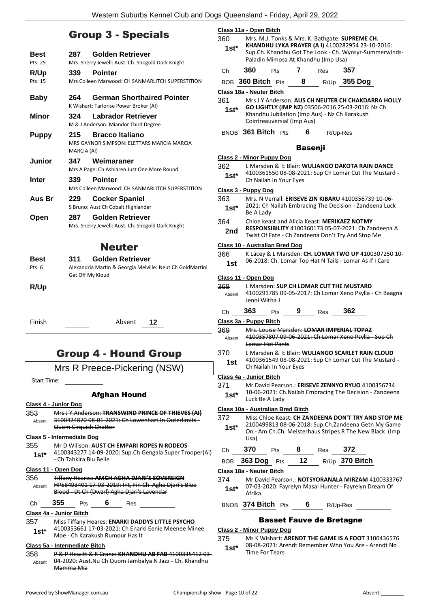### Group 3 - Specials

|                                   |                    | <b>Group 3 - Specials</b>                                                     |
|-----------------------------------|--------------------|-------------------------------------------------------------------------------|
| Best                              | 287                | <b>Golden Retriever</b>                                                       |
| Pts: 25                           |                    | Mrs. Sherry Jewell: Aust. Ch. Shogold Dark Knight                             |
| R/Up                              | 339                | <b>Pointer</b>                                                                |
| Pts: 15                           |                    | Mrs Colleen Marwood: CH SANMARLITCH SUPERSTITION                              |
| <b>Baby</b>                       | 264                | <b>German Shorthaired Pointer</b><br>K Wishart: Tarlorise Power Broker (AI)   |
| Minor                             | 324                | Labrador Retriever<br>M & J Anderson: Miandor Third Degree                    |
| <b>Puppy</b>                      | 215<br>MARCIA (AI) | <b>Bracco Italiano</b><br>MRS GAYNOR SIMPSON: ELETTARS MARCIA MARCIA          |
| <b>Junior</b>                     | 347                | Weimaraner                                                                    |
|                                   |                    | Mrs A Page: Ch Ashlaren Just One More Round                                   |
| Inter                             | 339                | <b>Pointer</b>                                                                |
|                                   |                    | Mrs Colleen Marwood: CH SANMARLITCH SUPERSTITION                              |
| Aus Br                            | 229                | <b>Cocker Spaniel</b><br>S Bruno: Aust Ch Cobalt Highlander                   |
|                                   |                    | <b>Golden Retriever</b>                                                       |
| Open                              | 287                | Mrs. Sherry Jewell: Aust. Ch. Shogold Dark Knight                             |
|                                   |                    | <b>Neuter</b>                                                                 |
| Best                              | 311                | Golden Retriever                                                              |
| Pts: 6                            |                    | Alexandria Martin & Georgia Melville: Neut Ch GoldMartini<br>Get Off My Kloud |
| R/Up                              |                    |                                                                               |
| Finish                            |                    | Absent<br>12                                                                  |
|                                   |                    | Group 4 - Hound Group                                                         |
|                                   |                    | Mrs R Preece-Pickering (NSW)                                                  |
| <b>Start Time:</b>                |                    |                                                                               |
|                                   |                    | <b>Afghan Hound</b>                                                           |
| <u> Class 4 - Junior Dog</u>      |                    |                                                                               |
| 353.                              |                    | Mrs J Y Anderson: TRANSWIND PRINCE OF THIEVES (AI)                            |
| Absent                            |                    | 3100424870 08 01 2021: Ch Lowenhart In Outerlimits-<br>Quom Cirquish Chatter  |
| <b>Class 5 - Intermediate Dog</b> |                    |                                                                               |
| 355                               |                    | Mr D Willson: AUST CH EMPARI ROPES N RODEOS                                   |
|                                   |                    | 1100313277 11-09-2020: Sun Ch Gengala Super Trooper(A                         |

| $1st*$ | 4100343277 14-09-2020: Sup.Ch Gengala Super Trooper(Ai) |
|--------|---------------------------------------------------------|
|        | - Ch Tahkira Blu Belle                                  |

**Class 11 - Open Dog**

| 356    | <b>Tiffany Heares: AMCH AGHA DJARI'S SOVEREIGN</b>   |
|--------|------------------------------------------------------|
| Absent | HP58493401 17-03-2019: Int, Fin Ch Agha Djari's Blue |
|        | Blood - Dt Ch (Dwzrl) Agha Djari's Lavendar          |
|        |                                                      |

Ch **355** Pts **6** Res

### **Class 4a - Junior Bitch**

357 Miss Tiffany Heares: **ENARKI DADDYS LITTLE PSYCHO** 4100353661 17-03-2021: Ch Enarki Eenie Meenee Minee Moe - Ch Karakush Rumour Has It **1st\***

#### **Class 5a - Intermediate Bitch**

358 P & P Hewitt & K Crane: **KHANDHU AB FAB** 4100335412 03- 04-2020: Aust.Nu Ch Quom Jambalya N Jazz - Ch. Khandhu Mamma Mia Absent

|                                                                                                                      | Class 11a - Open Bitch            |                            |                |                                     |                                                                                                            |  |  |
|----------------------------------------------------------------------------------------------------------------------|-----------------------------------|----------------------------|----------------|-------------------------------------|------------------------------------------------------------------------------------------------------------|--|--|
| 360                                                                                                                  |                                   |                            |                |                                     | Mrs. M.J. Tonks & Mrs. K. Bathgate: SUPREME CH.                                                            |  |  |
| KHANDHU LYKA PRAYER (AI) 4100282954 23-10-2016:<br>$1st^*$<br>Sup.Ch. Khandhu Got The Look - Ch. Wynsyr-Summerwinds- |                                   |                            |                |                                     |                                                                                                            |  |  |
|                                                                                                                      |                                   |                            |                | Paladin Mimosa At Khandhu (Imp Usa) |                                                                                                            |  |  |
| Сh                                                                                                                   | 360                               | Pts                        | 7              | Res                                 | 357                                                                                                        |  |  |
|                                                                                                                      | BOB 360 Bitch Pts                 |                            | 8              |                                     | R/Up 355 Dog                                                                                               |  |  |
|                                                                                                                      | Class 18a - Neuter Bitch          |                            |                |                                     |                                                                                                            |  |  |
| 361                                                                                                                  |                                   |                            |                |                                     | Mrs JY Anderson: AUS CH NEUTER CH CHAKDARRA HOLLY                                                          |  |  |
| 1st*                                                                                                                 |                                   |                            |                |                                     | GO LIGHTLY (IMP NZ) 03506-2016 25-03-2016: Nz Ch<br>Khandhu Jubilation (Imp Aus) - Nz Ch Karakush          |  |  |
|                                                                                                                      |                                   | Cointreauversial (Imp Aus) |                |                                     |                                                                                                            |  |  |
|                                                                                                                      | BNOB 361 Bitch Pts                |                            | 6              | R/Up-Res                            |                                                                                                            |  |  |
|                                                                                                                      |                                   |                            | <b>Basenji</b> |                                     |                                                                                                            |  |  |
|                                                                                                                      | <b>Class 2 - Minor Puppy Dog</b>  |                            |                |                                     |                                                                                                            |  |  |
| 362                                                                                                                  |                                   |                            |                |                                     | L Marsden & E Blair: WULIANGO DAKOTA RAIN DANCE                                                            |  |  |
| $1st*$                                                                                                               |                                   |                            |                |                                     | 4100361550 08-08-2021: Sup Ch Lomar Cut The Mustard -                                                      |  |  |
|                                                                                                                      |                                   | Ch Nailah In Your Eyes     |                |                                     |                                                                                                            |  |  |
| 363                                                                                                                  | <u> Class 3 - Puppy Dog</u>       |                            |                |                                     | Mrs. N Verrall: ERISEVE ZIN KIBARU 4100356739 10-06-                                                       |  |  |
| 1st*                                                                                                                 |                                   |                            |                |                                     | 2021: Ch Nailah Embracing The Decision - Zandeena Luck                                                     |  |  |
|                                                                                                                      | Be A Lady                         |                            |                |                                     |                                                                                                            |  |  |
| 364                                                                                                                  |                                   |                            |                |                                     | Chloe keast and Alicia Keast: MERIKAEZ NOTMY                                                               |  |  |
| 2nd                                                                                                                  |                                   |                            |                |                                     | RESPONSIBILITY 4100360173 05-07-2021: Ch Zandeena A<br>Twist Of Fate - Ch Zandeena Don't Try And Stop Me   |  |  |
|                                                                                                                      | Class 10 - Australian Bred Dog    |                            |                |                                     |                                                                                                            |  |  |
| 366                                                                                                                  |                                   |                            |                |                                     | K Lacey & L Marsden: CH. LOMAR TWO UP 4100307250 10-                                                       |  |  |
| 1st                                                                                                                  |                                   |                            |                |                                     | 06-2018: Ch. Lomar Top Hat N Tails - Lomar As If I Care                                                    |  |  |
|                                                                                                                      | Class 11 - Open Dog               |                            |                |                                     |                                                                                                            |  |  |
| 368                                                                                                                  |                                   |                            |                |                                     | <b>L Marsden: SUP CH LOMAR CUT THE MUSTARD</b>                                                             |  |  |
| Absent                                                                                                               |                                   |                            |                |                                     | 4100291785 09-05-2017: Ch Lomar Xeno Psylla - Ch Baagna                                                    |  |  |
| Сh                                                                                                                   | <del>Jenni Witha J</del><br>363   | Pts                        | 9              | Res                                 | 362                                                                                                        |  |  |
|                                                                                                                      | Class 3a - Puppy Bitch            |                            |                |                                     |                                                                                                            |  |  |
| 369                                                                                                                  |                                   |                            |                |                                     | Mrs. Louise Marsden: LOMAR IMPERIAL TOPAZ                                                                  |  |  |
| Absent                                                                                                               |                                   | Lomar Hot Pants            |                |                                     | 4100357807 09 06 2021: Ch Lomar Xeno Psylla Sup Ch                                                         |  |  |
| 370                                                                                                                  |                                   |                            |                |                                     | L Marsden & E Blair: WULIANGO SCARLET RAIN CLOUD                                                           |  |  |
| 1st                                                                                                                  |                                   | Ch Nailah In Your Eyes     |                |                                     | 4100361549 08-08-2021: Sup Ch Lomar Cut The Mustard -                                                      |  |  |
|                                                                                                                      | Class 4a - Junior Bitch           |                            |                |                                     |                                                                                                            |  |  |
| 371                                                                                                                  |                                   |                            |                |                                     | Mr David Pearson.: ERISEVE ZENNYO RYUO 4100356734                                                          |  |  |
| $1st*$                                                                                                               | Luck Be A Lady                    |                            |                |                                     | 10-06-2021: Ch. Nailah Embracing The Decision - Zandeena                                                   |  |  |
|                                                                                                                      | Class 10a - Australian Bred Bitch |                            |                |                                     |                                                                                                            |  |  |
| 372                                                                                                                  |                                   |                            |                |                                     | Miss Chloe Keast: CH ZANDEENA DON'T TRY AND STOP ME<br>2100499813 08-06-2018: Sup.Ch.Zandeena Getn My Game |  |  |
| $1st^*$                                                                                                              | Usa)                              |                            |                |                                     | On - Am.Ch.Ch. Meisterhaus Stripes R The New Black (Imp                                                    |  |  |
| Ch                                                                                                                   | 370                               |                            |                | Pts 8 Res 372                       |                                                                                                            |  |  |
|                                                                                                                      |                                   |                            |                |                                     | BOB 363 Dog Pts 12 R/Up 370 Bitch                                                                          |  |  |
|                                                                                                                      | Class 18a - Neuter Bitch          |                            |                |                                     |                                                                                                            |  |  |
| 374 -                                                                                                                |                                   |                            |                |                                     | Mr David Pearson.: NOTSYORANALA MIRZAM 4100333767                                                          |  |  |
| $1st^*$                                                                                                              | Afrika                            |                            |                |                                     | 07-03-2020: Fayrelyn Masai Hunter - Fayrelyn Dream Of                                                      |  |  |
|                                                                                                                      | BNOB 374 Bitch Pts 6 R/Up-Res     |                            |                |                                     |                                                                                                            |  |  |
|                                                                                                                      |                                   |                            |                | <b>Basset Fauve de Bretagne</b>     |                                                                                                            |  |  |
|                                                                                                                      | Class 2 - Minor Puppy Dog         |                            |                |                                     |                                                                                                            |  |  |

375 Ms K Wishart: **ARENDT THE GAME IS A FOOT** 3100436576 08-08-2021: Arendt Remember Who You Are - Arendt No **1st**\* 08-08-2021: Arm<br>Time For Tears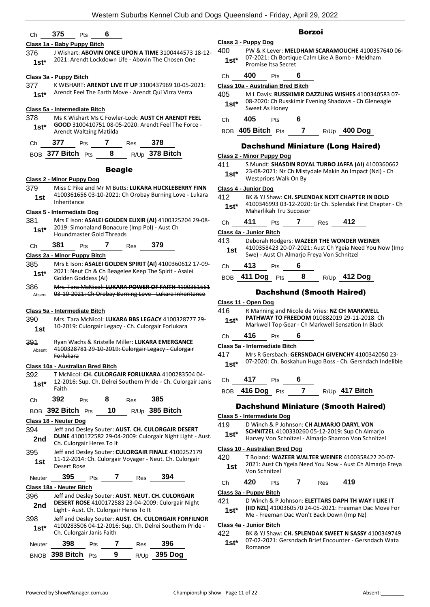#### Ch **375** Pts **6**

#### **Class 1a - Baby Puppy Bitch**

376 J Wishart: **ABOVIN ONCE UPON A TIME** 3100444573 18-12- 2021: Arendt Lockdown Life - Abovin The Chosen One **1st\***

#### **Class 3a - Puppy Bitch**

377 K WISHART: **ARENDT LIVE IT UP** 3100437969 10-05-2021: Arendt Feel The Earth Move - Arendt Qui Virra Verra **1st\***

#### **Class 5a - Intermediate Bitch**

378 Ms K Wishart Ms C Fowler-Lock: **AUST CH ARENDT FEEL GOOD** 3100410751 08-05-2020: Arendt Feel The Force - Arendt Waltzing Matilda **1st\***

| 377                  | Pts | Res | 378              |
|----------------------|-----|-----|------------------|
| BOB 377 Bitch $P$ ts |     |     | $R/Up$ 378 Bitch |

#### Beagle

#### **Class 2 - Minor Puppy Dog**

379 Miss C Pike and Mr M Butts: **LUKARA HUCKLEBERRY FINN** 4100361656 03-10-2021: Ch Orobay Burning Love - Lukara Inheritance **1st**

#### **Class 5 - Intermediate Dog**

381 Mrs E Ison: **ASALEI GOLDEN ELIXIR (AI)** 4100325204 29-08- 2019: Simonaland Bonacure (Imp Pol) - Aust Ch **1st**\* 2019: Simonaland Bonacure<br>Houndmaster Gold Threads

#### Ch **381** Pts **7** Res **379**

#### **Class 2a - Minor Puppy Bitch**

- 385 Mrs E Ison: **ASALEI GOLDEN SPIRIT (AI)** 4100360612 17-09- 2021: Neut Ch & Ch Beagelee Keep The Spirit - Asalei **1st**\* <sup>2021:</sup> Neut Ch & Ch<br>Golden Goddess (Ai)
- 386 Mrs. Tara McNicol: **LUKARA POWER OF FAITH** 4100361661 Absent 03-10-2021: Ch Orobay Burning Love - Lukara Inheritance

#### **Class 5a - Intermediate Bitch**

- 390 Mrs. Tara McNicol: **LUKARA BBS LEGACY** 4100328777 29- 10-2019: Culorgair Legacy - Ch. Culorgair Forlukara **1st**
- 391 Ryan Wachs & Kristelle Miller: **LUKARA EMERGANCE** 4100328781 29-10-2019: Culorgair Legacy - Culorgair Forlukara Absent

#### **Class 10a - Australian Bred Bitch**

392 T McNicol: **CH. CULORGAIR FORLUKARA** 4100283504 04- 12-2016: Sup. Ch. Delrei Southern Pride - Ch. Culorgair Janis Faith **1st\***

Ch **392** Pts **8** Res **385**

BOB **392 Bitch** Pts **10** R/Up **385 Bitch**

#### **Class 18 - Neuter Dog**

- 394 Jeff and Desley Souter: **AUST. CH. CULORGAIR DESERT DUNE** 4100172582 29-04-2009: Culorgair Night Light - Aust. **2nd DUNE** 4100172582 29-04<br>Ch. Culorgair Heres To It
- 395 Jeff and Desley Souter: **CULORGAIR FINALE** 4100252179 11-12-2014: Ch. Culorgair Voyager - Neut. Ch. Culorgair **1st 11-12-2014:**<br>Desert Rose

|  | <b>Neuter</b> | 395 | Pts |  | Res | 394 |
|--|---------------|-----|-----|--|-----|-----|
|--|---------------|-----|-----|--|-----|-----|

#### **Class 18a - Neuter Bitch**

- 396 Jeff and Desley Souter: **AUST. NEUT. CH. CULORGAIR DESERT ROSE** 4100172583 23-04-2009: Culorgair Night **2nd Light - Aust. Ch. Culorgair Heres To It <b>2nd Light - Aust. Ch. Culorgair Heres To It**
- 398 Jeff and Desley Souter: **AUST. CH. CULORGAIR FORFILNOR** 4100283506 04-12-2016: Sup. Ch. Delrei Southern Pride - Ch. Culorgair Janis Faith **1st\***

| Neuter | 398                | <b>Pts</b> |   | Res | -396         |
|--------|--------------------|------------|---|-----|--------------|
|        | BNOB 398 Bitch Pts |            | 9 |     | R/Up 395 Dog |

#### Borzoi

- **Class 3 - Puppy Dog** 400 PW & K Lever: **MELDHAM SCARAMOUCHE** 4100357640 06- 07-2021: Ch Bortique Calm Like A Bomb - Meldham Promise Itsa Secret **1st\***
- Ch **400** Pts **6**

#### **Class 10a - Australian Bred Bitch**

405 M L Davis: **RUSSKIMIR DAZZLING WISHES** 4100340583 07- 08-2020: Ch Russkimir Evening Shadows - Ch Gleneagle **1st**\* U8-2020: Ch Rus<br>Sweet As Honey

#### Ch **405** Pts **6**

#### BOB **405 Bitch** Pts **7** R/Up **400 Dog**

#### Dachshund Miniature (Long Haired)

#### **Class 2 - Minor Puppy Dog**

411 S Mundt: **SHASDIN ROYAL TURBO JAFFA (AI)** 4100360662 23-08-2021: Nz Ch Mistydale Makin An Impact (Nzl) - Ch Westpriors Walk On By **1st\***

#### **Class 4 - Junior Dog**

- 412 BK & YJ Shaw: **CH. SPLENDAK NEXT CHAPTER IN BOLD**
	- 4100346993 03-12-2020: Gr Ch. Splendak First Chapter Ch Maharlikah Tru Succesor **1st\***
- Ch **411** Pts **7** Res **412**

#### **Class 4a - Junior Bitch**

- 413 Deborah Rodgers: **WAZEER THE WONDER WEINER** 4100358423 20-07-2021: Aust Ch Ygeia Need You Now (Imp
	- **1st** 4100358423 20-07-2021: Aust Ch Ygeia New<br>Swe) Aust Ch Almarjo Freya Von Schnitzel
- Ch **413** Pts **6**
- BOB **411 Dog** Pts **8** R/Up **412 Dog**

#### Dachshund (Smooth Haired)

#### **Class 11 - Open Dog**

- 416 R Manning and Nicole de Vries: **NZ CH MARKWELL PATHWAY TO FREEDOM** 010882019 29-11-2018: Ch **1st\* PALTWAY TO FREEDOM** 010882019 29-11-2018: Ch<br>Markwell Top Gear - Ch Markwell Sensation In Black
- 

- 417 Mrs R Gersbach: **GERSNDACH GIVENCHY** 4100342050 23- 07-2020: Ch. Boskahun Hugo Boss - Ch. Gersndach Indelible **1st\***
- Ch **417** Pts **6**
- BOB **416 Dog** Pts **7** R/Up **417 Bitch**

#### Dachshund Miniature (Smooth Haired)

- **Class 5 - Intermediate Dog**
- 419 D Winch & P Johnson: **CH ALMARJO DARYL VON**
- **SCHNITZEL** 4100330260 05-12-2019: Sup Ch Almarjo Harvey Von Schnitzel - Almarjo Sharron Von Schnitzel **1st\***

#### **Class 10 - Australian Bred Dog**

- 420 T Boland: **WAZEER WALTER WEINER** 4100358422 20-07- 2021: Aust Ch Ygeia Need You Now - Aust Ch Almarjo Freya 1st <sup>2021</sup>: Aust Cr
- Ch **420** Pts **7** Res **419**

#### **Class 3a - Puppy Bitch**

- 421 D Winch & P Johnson: **ELETTARS DAPH TH WAY I LIKE IT**
- **(IID NZL)** 4100360570 24-05-2021: Freeman Dac Move For Me - Freeman Dac Won't Back Down (Imp Nz) **1st\***

#### **Class 4a - Junior Bitch**

422 BK & YJ Shaw: **CH. SPLENDAK SWEET N SASSY** 4100349749 07-02-2021: Gersndach Brief Encounter - Gersndach Wata 1st<sup>\*</sup> 07-02-20

Ch **416** Pts **6 Class 5a - Intermediate Bitch**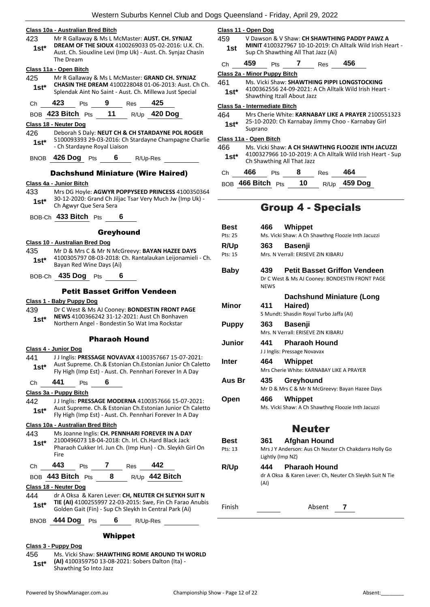#### **Class 10a - Australian Bred Bitch**

- 423 Mr R Gallaway & Ms L McMaster: **AUST. CH. SYNJAZ**
- **DREAM OF THE SIOUX** 4100269033 05-02-2016: U.K. Ch. Aust. Ch. Siouxline Levi (Imp Uk) - Aust. Ch. Synjaz Chasin The Dream **1st\***

#### **Class 11a - Open Bitch**

425 Mr R Gallaway & Ms L McMaster: **GRAND CH. SYNJAZ CHASIN THE DREAM** 4100228048 01-06-2013: Aust. Ch Ch. **Splendak Aint No Saint - Aust. Ch. Millewa Just Special Splendak Aint No Saint - Aust. Ch. Millewa Just Special** 

Ch **423** Pts **9** Res **425**

BOB **423 Bitch** Pts **11** R/Up **420 Dog**

#### **Class 18 - Neuter Dog**

- 426 Deborah S Daly: **NEUT CH & CH STARDAYNE POL ROGER** 5100093393 29-03-2016: Ch Stardayne Champagne Charlie - Ch Stardayne Royal Liaison **1st\***
- BNOB **426 Dog** Pts **6** R/Up-Res

#### Dachshund Miniature (Wire Haired)

#### **Class 4a - Junior Bitch**

- 433 Mrs DG Hoyle: **AGWYR POPPYSEED PRINCESS** 4100350364 30-12-2020: Grand Ch Jiljac Tsar Very Much Jw (Imp Uk) - **1st**\* <sup>30-12-2020: Grand Ch Ji<br>Ch Agwyr Que Sera Sera</sup>
- BOB-Ch **433 Bitch** Pts **6**

#### Greyhound

#### **Class 10 - Australian Bred Dog**

435 Mr D & Mrs C & Mr N McGreevy: **BAYAN HAZEE DAYS** 4100305797 08-03-2018: Ch. Rantalaukan Leijonamieli - Ch. Bayan Red Wine Days (Ai) **1st\***

#### BOB-Ch **435 Dog** Pts **6**

#### Petit Basset Griffon Vendeen

**Class 1 - Baby Puppy Dog**

439 Dr C West & Ms AJ Cooney: **BONDESTIN FRONT PAGE NEWS** 4100366242 31-12-2021: Aust Ch Bonhaven Northern Angel - Bondestin So Wat Ima Rockstar **1st\***

#### Pharaoh Hound

#### **Class 4 - Junior Dog**

- 441 J J Inglis: **PRESSAGE NOVAVAX** 4100357667 15-07-2021: Aust Supreme. Ch.& Estonian Ch.Estonian Junior Ch Caletto Fly High (Imp Est) - Aust. Ch. Pennhari Forever In A Day **1st\***
- Ch **441** Pts **6**

#### **Class 3a - Puppy Bitch**

442 J J Inglis: **PRESSAGE MODERNA** 4100357666 15-07-2021: Aust Supreme. Ch.& Estonian Ch.Estonian Junior Ch Caletto Fly High (Imp Est) - Aust. Ch. Pennhari Forever In A Day **1st\***

#### **Class 10a - Australian Bred Bitch**

443 Ms Joanne Inglis: **CH. PENNHARI FOREVER IN A DAY** 2100496073 18-04-2018: Ch. Irl. Ch.Hard Black Jack Pharaoh Cukker Irl. Jun Ch. (Imp Hun) - Ch. Sleykh Girl On Fire **1st\***

| Ch – | 443                   | <b>Pts</b> | Res | 442              |
|------|-----------------------|------------|-----|------------------|
|      | $BOB$ 443 Bitch $Pts$ |            |     | $R/Up$ 442 Bitch |

#### **Class 18 - Neuter Dog**

444 dr A Oksa & Karen Lever: **CH, NEUTER CH SLEYKH SUIT N TIE (AI)** 4100255997 22-03-2015: Swe, Fin Ch Farao Anubis Golden Gait (Fin) - Sup Ch Sleykh In Central Park (Ai) **1st\***

BNOB **444 Dog** Pts **6** R/Up-Res

#### Whippet

#### **Class 3 - Puppy Dog**

456 Ms. Vicki Shaw: **SHAWTHING ROME AROUND TH WORLD (AI)** 4100359750 13-08-2021: Sobers Dalton (Ita) - Shawthing So Into Jazz **1st\***

|     | Class 11 - Open Dog                                        |
|-----|------------------------------------------------------------|
| 459 | V Dawson & V Shaw: CH SHAWTHING PADDY PAWZ A               |
| 1st | MINIT 4100327967 10-10-2019: Ch Alltalk Wild Irish Heart - |
|     | Sup Ch Shawthing All That Jazz (Ai)                        |

Ch **459** Pts **7** Res **456**

**Class 2a - Minor Puppy Bitch**

- 461 Ms. Vicki Shaw: **SHAWTHING PIPPI LONGSTOCKING**
	- 4100362556 24-09-2021: A Ch Alltalk Wild Irish Heart **1st**\* 4100362336 24-09-2021: A<br>Shawthing Itzall About Jazz

#### **Class 5a - Intermediate Bitch**

464 Mrs Cherie White: **KARNABAY LIKE A PRAYER** 2100551323 25-10-2020: Ch Karnabay Jimmy Choo - Karnabay Girl 1st<sup>\*</sup> <sup>25-10-20</sup><br>Suprano

#### **Class 11a - Open Bitch**

466 Ms. Vicki Shaw: **A CH SHAWTHNG FLOOZIE INTH JACUZZI** 4100327966 10-10-2019: A Ch Alltalk Wild Irish Heart - Sup **1st**\*  $410032790010-10-2019.$ 

| Ch — | 466                                 | Pts |    | Res | 464                 |
|------|-------------------------------------|-----|----|-----|---------------------|
|      | $_{\rm BOB}$ 466 Bitch $_{\rm Pts}$ |     | 10 |     | R/Up <b>459 Dog</b> |

### Group 4 - Specials

| Best         | 466 Whippet                                                                                                 |
|--------------|-------------------------------------------------------------------------------------------------------------|
| Pts: 25      | Ms. Vicki Shaw: A Ch Shawthng Floozie Inth Jacuzzi                                                          |
| R/Up         | 363<br><b>Basenji</b>                                                                                       |
| Pts: 15      | Mrs. N Verrall: ERISEVE ZIN KIBARU                                                                          |
| Baby         | 439<br><b>Petit Basset Griffon Vendeen</b><br>Dr C West & Ms AJ Cooney: BONDESTIN FRONT PAGE<br><b>NEWS</b> |
|              | <b>Dachshund Miniature (Long</b>                                                                            |
| Minor        | 411                                                                                                         |
|              | Haired)<br>S Mundt: Shasdin Royal Turbo Jaffa (AI)                                                          |
|              |                                                                                                             |
| <b>Puppy</b> | <b>Basenji</b><br>363                                                                                       |
|              | Mrs. N Verrall: ERISEVE ZIN KIBARU                                                                          |
| Junior       | <b>Pharaoh Hound</b><br>441                                                                                 |
|              | J J Inglis: Pressage Novavax                                                                                |
| Inter        | 464<br>Whippet                                                                                              |
|              | Mrs Cherie White: KARNABAY LIKE A PRAYER                                                                    |
| Aus Br       | 435<br>Greyhound                                                                                            |
|              | Mr D & Mrs C & Mr N McGreevy: Bayan Hazee Days                                                              |
| Open         | 466<br>Whippet                                                                                              |
|              | Ms. Vicki Shaw: A Ch Shawthng Floozie Inth Jacuzzi                                                          |
|              |                                                                                                             |
|              | <b>Neuter</b>                                                                                               |
| Best         | Afghan Hound<br>361 —                                                                                       |
| Pts: 13      | Mrs J Y Anderson: Aus Ch Neuter Ch Chakdarra Holly Go                                                       |
|              | Lightly (Imp NZ)                                                                                            |
| R/Up         | <b>Pharaoh Hound</b><br>444                                                                                 |
|              | dr A Oksa & Karen Lever: Ch, Neuter Ch Sleykh Suit N Tie<br>(AI)                                            |
| Finish       | Absent<br>7                                                                                                 |
|              |                                                                                                             |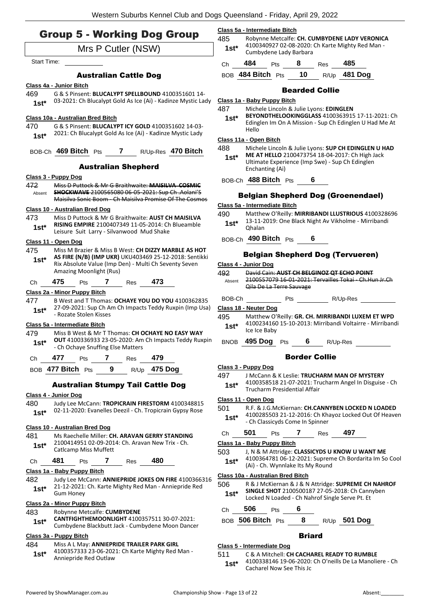|                | <b>Group 5 - Working Dog Group</b>                                                                         | Class 5a - Intermediate Bitch<br>485     |                                           |     |   |                 |                                                                                                   |                | Robynne Metcalfe: CH. CUMBYDENE LADY VERONICA                                                              |
|----------------|------------------------------------------------------------------------------------------------------------|------------------------------------------|-------------------------------------------|-----|---|-----------------|---------------------------------------------------------------------------------------------------|----------------|------------------------------------------------------------------------------------------------------------|
|                | Mrs P Cutler (NSW)                                                                                         | $1st*$                                   |                                           |     |   |                 | 4100340927 02-08-2020: Ch Karte Mighty Red Man -                                                  |                |                                                                                                            |
| Start Time:    |                                                                                                            | Ch                                       | Cumbydene Lady Barbara<br>484             | Pts | 8 |                 | Res                                                                                               | 485            |                                                                                                            |
|                | <b>Australian Cattle Dog</b>                                                                               |                                          | BOB 484 Bitch Pts                         |     |   | 10 <sub>1</sub> |                                                                                                   | R/Up 481 Dog   |                                                                                                            |
|                | Class 4a - Junior Bitch                                                                                    |                                          |                                           |     |   |                 |                                                                                                   |                |                                                                                                            |
| 469            | G & S Pinsent: BLUCALYPT SPELLBOUND 4100351601 14-                                                         |                                          |                                           |     |   |                 | <b>Bearded Collie</b>                                                                             |                |                                                                                                            |
| $1st*$         | 03-2021: Ch Blucalypt Gold As Ice (Ai) - Kadinze Mystic Lady                                               | Class 1a - Baby Puppy Bitch              |                                           |     |   |                 |                                                                                                   |                |                                                                                                            |
|                |                                                                                                            | 487                                      |                                           |     |   |                 | Michele Lincoln & Julie Lyons: EDINGLEN                                                           |                | BEYONDTHELOOKINGGLASS 4100363915 17-11-2021: Ch                                                            |
| 470            | Class 10a - Australian Bred Bitch<br>G & S Pinsent: BLUCALYPT ICY GOLD 4100351602 14-03-                   | $1st^*$                                  |                                           |     |   |                 |                                                                                                   |                | Edinglen Im On A Mission - Sup Ch Edinglen U Had Me At                                                     |
| $1st*$         | 2021: Ch Blucalypt Gold As Ice (Ai) - Kadinze Mystic Lady                                                  |                                          | Hello                                     |     |   |                 |                                                                                                   |                |                                                                                                            |
|                |                                                                                                            | Class 11a - Open Bitch                   |                                           |     |   |                 |                                                                                                   |                |                                                                                                            |
|                | BOB-Ch 469 Bitch Pts 7 R/Up-Res 470 Bitch                                                                  | 488<br>$1st^*$                           |                                           |     |   |                 | ME AT HELLO 2100473754 18-04-2017: Ch High Jack                                                   |                | Michele Lincoln & Julie Lyons: SUP CH EDINGLEN U HAD                                                       |
|                | <b>Australian Shepherd</b>                                                                                 |                                          | Enchanting (Ai)                           |     |   |                 | Ultimate Experience (Imp Swe) - Sup Ch Edinglen                                                   |                |                                                                                                            |
|                | Class 3 - Puppy Dog                                                                                        |                                          | BOB-Ch 488 Bitch Pts 6                    |     |   |                 |                                                                                                   |                |                                                                                                            |
| 472            | Miss D Puttock & Mr G Braithwaite: MAISILVA COSMIC                                                         |                                          |                                           |     |   |                 |                                                                                                   |                |                                                                                                            |
| Absent         | SHOCKWAVE 2100565080 06-05-2021: Sup Ch. Aolani'S<br>Maisilva Sonic Boom Ch Maisilva Promise Of The Cosmos |                                          | <b>Belgian Shepherd Dog (Groenendael)</b> |     |   |                 |                                                                                                   |                |                                                                                                            |
|                | <b>Class 10 - Australian Bred Dog</b>                                                                      | Class 5a - Intermediate Bitch            |                                           |     |   |                 |                                                                                                   |                |                                                                                                            |
| 473            | Miss D Puttock & Mr G Braithwaite: AUST CH MAISILVA                                                        | 490                                      |                                           |     |   |                 |                                                                                                   |                | Matthew O'Reilly: MIRRIBANDI LLUSTRIOUS 4100328696<br>13-11-2019: One Black Night Av Vikholme - Mirribandi |
| $1st*$         | RISING EMPIRE 2100407349 11-05-2014: Ch Blueamble                                                          | $1st^*$                                  | <b>Ohalan</b>                             |     |   |                 |                                                                                                   |                |                                                                                                            |
|                | Leisure Suit Larry - Silvanwood Mud Shake                                                                  |                                          | BOB-Ch 490 Bitch Pts                      |     |   | 6               |                                                                                                   |                |                                                                                                            |
| 475            | Class 11 - Open Dog<br>Miss M Brazier & Miss B West: CH DIZZY MARBLE AS HOT                                |                                          |                                           |     |   |                 |                                                                                                   |                |                                                                                                            |
| $1st*$         | AS FIRE (N/B) (IMP UKR) UKU403469 25-12-2018: Sentikki                                                     |                                          |                                           |     |   |                 | <b>Belgian Shepherd Dog (Tervueren)</b>                                                           |                |                                                                                                            |
|                | Rix Absolute Value (Imp Den) - Multi Ch Seventy Seven<br>Amazing Moonlight (Rus)                           | Class 4 - Junior Dog                     |                                           |     |   |                 |                                                                                                   |                |                                                                                                            |
|                | 473                                                                                                        | 492<br>Absent                            |                                           |     |   |                 | David Cain: AUST CH BELGINOZ QT ECHO POINT                                                        |                | 2100557079 16-01-2021: Tervailles Tokai - Ch. Hun Jr. Ch                                                   |
| Ch             | 475<br>Pts $\overline{7}$<br>Res                                                                           |                                          | Qila De La Terre Sauvage                  |     |   |                 |                                                                                                   |                |                                                                                                            |
| 477            | Class 2a - Minor Puppy Bitch<br>B West and T Thomas: OCHAYE YOU DO YOU 4100362835                          |                                          | BOB-Ch Pts R/Up-Res                       |     |   |                 |                                                                                                   |                |                                                                                                            |
| $1st*$         | 27-09-2021: Sup Ch Am Ch Impacts Teddy Ruxpin (Imp Usa)                                                    | Class 18 - Neuter Dog                    |                                           |     |   |                 |                                                                                                   |                |                                                                                                            |
|                | - Rozate Stolen Kisses                                                                                     | 495                                      |                                           |     |   |                 |                                                                                                   |                | Matthew O'Reilly: GR. CH. MIRRIBANDI LUXEM ET WPD                                                          |
|                | Class 5a - Intermediate Bitch                                                                              | $1st^*$                                  | Ice Ice Baby                              |     |   |                 |                                                                                                   |                | 4100234160 15-10-2013: Mirribandi Voltairre - Mirribandi                                                   |
| 479<br>$1st^*$ | Miss B West & Mr T Thomas: CH OCHAYE NO EASY WAY<br>OUT 4100336933 23-05-2020: Am Ch Impacts Teddy Ruxpin  |                                          | BNOB 495 Dog Pts 6 R/Up-Res               |     |   |                 |                                                                                                   |                |                                                                                                            |
|                | - Ch Ochaye Snuffing Else Matters                                                                          |                                          |                                           |     |   |                 |                                                                                                   |                |                                                                                                            |
| Ch             | 479<br>477<br>$\mathbf{7}$<br>Pts<br>Res                                                                   |                                          |                                           |     |   |                 | <b>Border Collie</b>                                                                              |                |                                                                                                            |
|                | $R/Up$ 475 Dog<br>BOB 477 Bitch Pts<br>9                                                                   | Class 3 - Puppy Dog                      |                                           |     |   |                 |                                                                                                   |                |                                                                                                            |
|                |                                                                                                            | 497                                      |                                           |     |   |                 | J McCann & K Leslie: TRUCHARM MAN OF MYSTERY                                                      |                | 4100358518 21-07-2021: Trucharm Angel In Disguise - Ch                                                     |
|                | <b>Australian Stumpy Tail Cattle Dog</b>                                                                   | $1st*$                                   | Trucharm Presidential Affair              |     |   |                 |                                                                                                   |                |                                                                                                            |
| 480            | Class 4 - Junior Dog<br>Judy Lee McCann: TROPICRAIN FIRESTORM 4100348815                                   | Class 11 - Open Dog                      |                                           |     |   |                 |                                                                                                   |                |                                                                                                            |
| $1st^*$        | 02-11-2020: Evanelles Deezil - Ch. Tropicrain Gypsy Rose                                                   | 501                                      |                                           |     |   |                 |                                                                                                   |                | R.F. & J.G.McKiernan: CH.CANNYBEN LOCKED N LOADED                                                          |
|                |                                                                                                            | $1st^*$                                  | - Ch Classicyds Come In Spinner           |     |   |                 |                                                                                                   |                | 4100285503 21-12-2016: Ch Khayoz Locked Out Of Heaven                                                      |
|                | Class 10 - Australian Bred Dog                                                                             | Ch                                       | 501                                       | Pts |   |                 | <b>7</b> Res                                                                                      | 497            |                                                                                                            |
| 481            | Ms Raechelle Miller: CH. ARAVAN GERRY STANDING<br>2100414951 02-09-2014: Ch. Aravan New Trix - Ch.         | Class 1a - Baby Puppy Bitch              |                                           |     |   |                 |                                                                                                   |                |                                                                                                            |
| $1st*$         | Catlcamp Miss Muffett                                                                                      | 503                                      |                                           |     |   |                 |                                                                                                   |                | J, N & M Attridge: CLASSICYDS U KNOW U WANT ME                                                             |
| Ch             | 481<br>480<br>Pts<br>7<br>Res                                                                              | $1st^*$                                  |                                           |     |   |                 |                                                                                                   |                | 4100364781 06-12-2021: Supreme Ch Bordarita Im So Cool                                                     |
|                | Class 1a - Baby Puppy Bitch                                                                                |                                          |                                           |     |   |                 | (Ai) - Ch. Wynnlake Its My Round                                                                  |                |                                                                                                            |
| 482            | Judy Lee McCann: ANNIEPRIDE JOKES ON FIRE 4100366316                                                       | Class 10a - Australian Bred Bitch<br>506 |                                           |     |   |                 |                                                                                                   |                | R & J McKiernan & J & N Attridge: SUPREME CH NAHROF                                                        |
| $1st^*$        | 21-12-2021: Ch. Karte Mighty Red Man - Anniepride Red<br><b>Gum Honey</b>                                  | $1st^*$                                  |                                           |     |   |                 | SINGLE SHOT 2100500187 27-05-2018: Ch Cannyben<br>Locked N Loaded - Ch Nahrof Single Serve Pt. Et |                |                                                                                                            |
|                | Class 2a - Minor Puppy Bitch                                                                               |                                          |                                           |     |   |                 |                                                                                                   |                |                                                                                                            |
| 483            | Robynne Metcalfe: CUMBYDENE                                                                                | Ch                                       | 506                                       | Pts | 6 |                 |                                                                                                   |                |                                                                                                            |
| $1st^*$        | CANTFIGHTHEMOONLIGHT 4100357511 30-07-2021:<br>Cumbydene Blackbutt Jack - Cumbydene Moon Dancer            |                                          | BOB 506 Bitch Pts                         |     |   | 8               |                                                                                                   | $R/Up$ 501 Dog |                                                                                                            |
|                | Class 3a - Puppy Bitch                                                                                     |                                          |                                           |     |   | <b>Briard</b>   |                                                                                                   |                |                                                                                                            |
| 484            | Miss A L May: ANNIEPRIDE TRAILER PARK GIRL                                                                 | Class 5 - Intermediate Dog               |                                           |     |   |                 |                                                                                                   |                |                                                                                                            |
| $1st*$         | 4100357333 23-06-2021: Ch Karte Mighty Red Man -                                                           | 511                                      |                                           |     |   |                 | C & A Mitchell: CH CACHAREL READY TO RUMBLE                                                       |                |                                                                                                            |
|                | Anniepride Red Outlaw                                                                                      |                                          |                                           |     |   |                 |                                                                                                   |                | 0220146 10 06 2020: Ch O'noille Do La Manoliere Ch                                                         |

4100338146 19-06-2020: Ch O'neills De La Manoliere - Ch

**1st**\* 4100338146 19-06-2020:<br>Cacharel Now See This Jc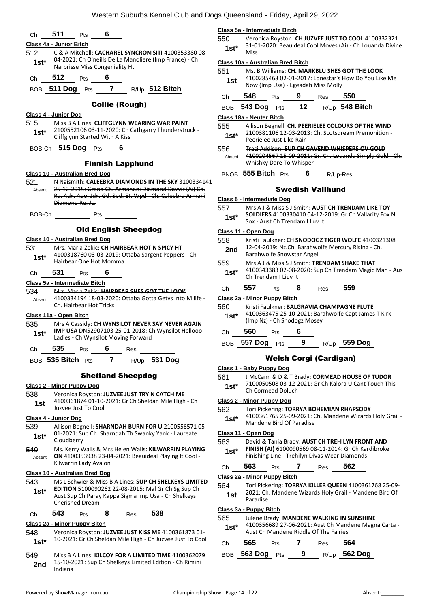|                                                                                                                                               | Class 5a - Intermediate Bitch                                                                                           |  |  |  |  |  |
|-----------------------------------------------------------------------------------------------------------------------------------------------|-------------------------------------------------------------------------------------------------------------------------|--|--|--|--|--|
| 511<br>6<br>Pts<br>Ch                                                                                                                         | 550<br>Veronica Royston: CH JUZVEE JUST TO COOL 4100332321                                                              |  |  |  |  |  |
| Class 4a - Junior Bitch                                                                                                                       | 31-01-2020: Beauideal Cool Moves (Ai) - Ch Louanda Divine<br>$1st*$                                                     |  |  |  |  |  |
| 512<br>C & A Mitchell: CACHAREL SYNCRONISITI 4100353380 08-<br>04-2021: Ch O'neills De La Manoliere (Imp France) - Ch                         | <b>Miss</b>                                                                                                             |  |  |  |  |  |
| $1st*$<br>Narbrisse Miss Congeniality Ht                                                                                                      | Class 10a - Australian Bred Bitch<br>551<br>Ms. B Williams: CH. MAJIKBLU SHES GOT THE LOOK                              |  |  |  |  |  |
| 512<br>6<br>Pts<br>Ch                                                                                                                         | 4100285463 02-01-2017: Lonestar's How Do You Like Me<br>1st                                                             |  |  |  |  |  |
| BOB 511 Dog Pts 7 R/Up 512 Bitch                                                                                                              | Now (Imp Usa) - Egeadah Miss Molly<br>550                                                                               |  |  |  |  |  |
| <b>Collie (Rough)</b>                                                                                                                         | 548<br>9<br>Ch<br>Pts<br>Res                                                                                            |  |  |  |  |  |
| <b>Class 4 - Junior Dog</b>                                                                                                                   | BOB 543 Dog Pts 12 R/Up 548 Bitch                                                                                       |  |  |  |  |  |
| 515<br>Miss B A Lines: CLIFFGLYNN WEARING WAR PAINT                                                                                           | Class 18a - Neuter Bitch<br>555<br>Allison Begnell: CH. PEERIELEE COLOURS OF THE WIND                                   |  |  |  |  |  |
| 2100552106 03-11-2020: Ch Cathgarry Thunderstruck -<br>$1st*$<br>Cliffglynn Started With A Kiss                                               | 2100381106 12-03-2013: Ch. Scotsdream Premonition -<br>$1st*$<br>Peerielee Just Like Rain                               |  |  |  |  |  |
| BOB-Ch 515 Dog Pts 6                                                                                                                          | <b>Traci Addison: SUP CH GAVEND WHISPERS OV GOLD</b><br>556<br>4100204567 15-09-2011: Gr. Ch. Louanda Simply Gold - Ch. |  |  |  |  |  |
| <b>Finnish Lapphund</b>                                                                                                                       | Absent<br>Whishky Dare To Whisper                                                                                       |  |  |  |  |  |
| Class 10 - Australian Bred Dog                                                                                                                | BNOB 555 Bitch Pts<br>6<br>R/Up-Res                                                                                     |  |  |  |  |  |
| N Naismith: CALEEBRA DIAMONDS IN THE SKY 3100334141<br>521                                                                                    |                                                                                                                         |  |  |  |  |  |
| 25-12-2015: Grand Ch. Armahani Diamond Davvir (Ai) Cd.<br>Absent<br>Ra. Adx. Ado. Jdx. Gd. Spd. Et. Wpd Ch. Caleebra Armani                   | <b>Swedish Vallhund</b>                                                                                                 |  |  |  |  |  |
| Diamond Re. Jc.                                                                                                                               | Class 5 - Intermediate Dog<br>Mrs A J & Miss S J Smith: AUST CH TRENDAM LIKE TOY<br>557                                 |  |  |  |  |  |
| <b>Pts</b><br>BOB-Ch                                                                                                                          | SOLDIERS 4100330410 04-12-2019: Gr Ch Vallarity Fox N<br>$1st*$                                                         |  |  |  |  |  |
|                                                                                                                                               | Sox - Aust Ch Trendam I Luv It                                                                                          |  |  |  |  |  |
| <b>Old English Sheepdog</b>                                                                                                                   | Class 11 - Open Dog                                                                                                     |  |  |  |  |  |
| Class 10 - Australian Bred Dog                                                                                                                | 558<br>Kristi Faulkner: CH SNODOGZ TIGER WOLFE 4100321308                                                               |  |  |  |  |  |
| 531<br>Mrs. Maria Zekic: CH HAIRBEAR HOT N SPICY HT<br>4100318760 03-03-2019: Ottaba Sargent Peppers - Ch                                     | 12-04-2019: Nz.Ch. Barahwolfe Mercury Rising - Ch.<br>2nd<br>Barahwolfe Snowstar Angel                                  |  |  |  |  |  |
| $1st*$<br>Hairbear One Hot Momma                                                                                                              | 559<br>Mrs A J & Miss S J Smith: TRENDAM SHAKE THAT                                                                     |  |  |  |  |  |
| 531<br>6<br>Pts<br>Ch                                                                                                                         | 4100343383 02-08-2020: Sup Ch Trendam Magic Man - Aus<br>$1st^*$                                                        |  |  |  |  |  |
| Class 5a - Intermediate Bitch                                                                                                                 | Ch Trendam I Liuv It                                                                                                    |  |  |  |  |  |
| 534<br>Mrs. Maria Zekic: HAIRBEAR SHES GOT THE LOOK                                                                                           | 557<br>559<br>8<br>Pts<br>Res<br>Ch                                                                                     |  |  |  |  |  |
| 4100334194 18-03-2020: Ottaba Gotta Getys Into Milife -<br>Absent                                                                             | Class 2a - Minor Puppy Bitch                                                                                            |  |  |  |  |  |
| Ch. Hairbear Hot Tricks                                                                                                                       | 560<br>Kristi Faulkner: BALGRAVIA CHAMPAGNE FLUTE                                                                       |  |  |  |  |  |
| Class 11a - Open Bitch                                                                                                                        | 4100363475 25-10-2021: Barahwolfe Capt James T Kirk<br>$1st*$<br>(Imp Nz) - Ch Snodogz Mosey                            |  |  |  |  |  |
| 535<br>Mrs A Cassidy: CH WYNSILOT NEVER SAY NEVER AGAIN                                                                                       |                                                                                                                         |  |  |  |  |  |
| IMP USA DN52907103 25-01-2018: Ch Wynsilot Hellooo<br>$1st*$<br>Ladies - Ch Wynsilot Moving Forward                                           | 560<br>6<br>Ch<br>Pts                                                                                                   |  |  |  |  |  |
| 535<br>Pts 6<br>Ch<br>Res                                                                                                                     | 557 Dog<br>9<br>R/Up 559 Dog<br>BOB<br>Pts                                                                              |  |  |  |  |  |
| BOB 535 Bitch Pts<br>7<br>R/Up 531 Dog                                                                                                        | <b>Welsh Corgi (Cardigan)</b>                                                                                           |  |  |  |  |  |
|                                                                                                                                               | Class 1 - Baby Puppy Dog                                                                                                |  |  |  |  |  |
| <b>Shetland Sheepdog</b>                                                                                                                      | J McCann & D & T Brady: CORMEAD HOUSE OF TUDOR<br>561<br>7100050508 03-12-2021: Gr Ch Kalora U Cant Touch This -        |  |  |  |  |  |
| <b>Class 2 - Minor Puppy Dog</b>                                                                                                              | $1st^*$<br>Ch Cormead Doluch                                                                                            |  |  |  |  |  |
| 538<br>Veronica Royston: JUZVEE JUST TRY N CATCH ME<br>4100361874 01-10-2021: Gr Ch Sheldan Mile High - Ch                                    | Class 2 - Minor Puppy Dog                                                                                               |  |  |  |  |  |
| 1st<br>Juzvee Just To Cool                                                                                                                    | 562<br>Tori Pickering: TORRYA BOHEMIAN RHAPSODY                                                                         |  |  |  |  |  |
| Class 4 - Junior Dog                                                                                                                          | 4100361765 25-09-2021: Ch. Mandene Wizards Holy Grail -<br>$1st^*$                                                      |  |  |  |  |  |
| 539<br>Allison Begnell: SHARNDAH BURN FOR U 2100556571 05-                                                                                    | Mandene Bird Of Paradise                                                                                                |  |  |  |  |  |
| 01-2021: Sup Ch. Sharndah Th Swanky Yank - Laureate<br>$1st*$                                                                                 | Class 11 - Open Dog                                                                                                     |  |  |  |  |  |
| Cloudberry                                                                                                                                    | 563<br>David & Tania Brady: AUST CH TREHILYN FRONT AND<br>FINISH (AI) 6100090569 08-11-2014: Gr Ch Kardibroke           |  |  |  |  |  |
| 540<br>Ms. Kerry Walls & Mrs Helen Walls: KILWARRIN PLAYING<br>ON 4100353938 23-04-2021: Beauideal Playing It Cool-<br>Absent                 | $1st*$<br>Finishing Line - Trehilyn Divas Wear Diamonds                                                                 |  |  |  |  |  |
| Kilwarrin Lady Avalon                                                                                                                         | 563<br>562<br>7<br>Pts<br>Ch<br>Res                                                                                     |  |  |  |  |  |
| Class 10 - Australian Bred Dog                                                                                                                | Class 2a - Minor Puppy Bitch                                                                                            |  |  |  |  |  |
| 543<br>Ms L Schwier & Miss B A Lines: SUP CH SHELKEYS LIMITED                                                                                 | 564<br>Tori Pickering: TORRYA KILLER QUEEN 4100361768 25-09-                                                            |  |  |  |  |  |
| EDITION 5100090262 22-08-2015: Mal Gr Ch Sg Sup Ch<br>$1st*$<br>Aust Sup Ch Paray Kappa Sigma Imp Usa - Ch Shelkeys<br><b>Cherished Dream</b> | 2021: Ch. Mandene Wizards Holy Grail - Mandene Bird Of<br>1st<br>Paradise                                               |  |  |  |  |  |
| 538                                                                                                                                           | Class 3a - Puppy Bitch                                                                                                  |  |  |  |  |  |
| 543<br>8<br>Pts<br>Res<br>Ch                                                                                                                  | 565<br>Julene Brady: MANDENE WALKING IN SUNSHINE                                                                        |  |  |  |  |  |
| Class 2a - Minor Puppy Bitch                                                                                                                  | 4100356689 27-06-2021: Aust Ch Mandene Magna Carta -<br>$1st^*$<br>Aust Ch Mandene Riddle Of The Fairies                |  |  |  |  |  |
| 548<br>Veronica Royston: JUZVEE JUST KISS ME 4100361873 01-<br>10-2021: Gr Ch Sheldan Mile High - Ch Juzvee Just To Cool                      |                                                                                                                         |  |  |  |  |  |
| $1st*$                                                                                                                                        | 565<br>564<br>7<br>Pts<br>Res<br>Ch                                                                                     |  |  |  |  |  |
| 549<br>Miss B A Lines: KILCOY FOR A LIMITED TIME 4100362079                                                                                   | $\boldsymbol{9}$<br><b>562 Dog</b><br>563 Dog<br><b>BOB</b><br>Pts<br>R/Up                                              |  |  |  |  |  |

**2nd** 15-10-2<br>Indiana

15-10-2021: Sup Ch Shelkeys Limited Edition - Ch Rimini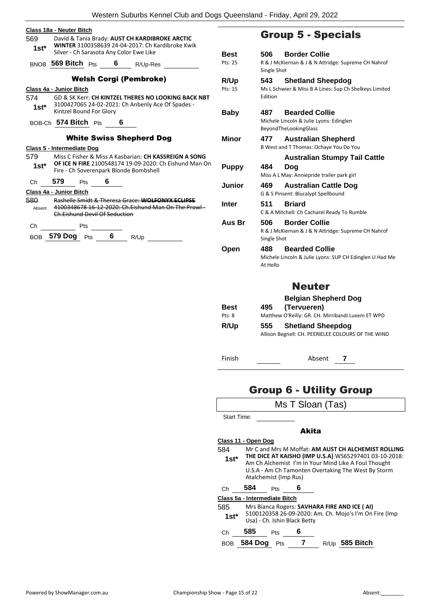| 569<br>$1st*$ | <b>Class 18a - Neuter Bitch</b> |                               |   | David & Tania Brady: AUST CH KARDIBROKE ARCTIC<br>WINTER 3100358639 24-04-2017: Ch Kardibroke Kwik       |                       |                 | <b>Group 5 - Specials</b>                                                      |
|---------------|---------------------------------|-------------------------------|---|----------------------------------------------------------------------------------------------------------|-----------------------|-----------------|--------------------------------------------------------------------------------|
|               |                                 |                               |   | Silver - Ch Sarasota Any Color Ewe Like                                                                  | <b>Best</b>           | 506             | <b>Border Collie</b>                                                           |
|               |                                 | BNOB $569$ Bitch $P_{ts}$ 6   |   | R/Up-Res                                                                                                 | Pts: 25               | Single Shot     | R & J McKiernan & J & N Attridge: Supreme CH Nahrof                            |
|               |                                 |                               |   | <b>Welsh Corgi (Pembroke)</b>                                                                            | R/Up                  | 543             | <b>Shetland Sheepdog</b>                                                       |
| 574<br>$1st*$ | Class 4a - Junior Bitch         |                               |   | GD & SK Kerr: CH KINTZEL THERES NO LOOKING BACK NBT<br>3100427065 24-02-2021: Ch Anbenly Ace Of Spades - | Pts: 15               | Edition         | Ms L Schwier & Miss B A Lines: Sup Ch Shelkeys Limited                         |
|               |                                 | Kintzel Bound For Glory       |   |                                                                                                          | <b>Baby</b>           | 487             | <b>Bearded Collie</b>                                                          |
|               |                                 | BOB-Ch 574 Bitch Pts          |   | 6                                                                                                        |                       |                 | Michele Lincoln & Julie Lyons: Edinglen<br>BeyondTheLookingGlass               |
|               |                                 | Class 5 - Intermediate Dog    |   | <b>White Swiss Shepherd Dog</b>                                                                          | Minor                 | 477             | <b>Australian Shepherd</b><br>B West and T Thomas: Ochaye You Do You           |
| 579           |                                 |                               |   | Miss C Fisher & Miss A Kasbarian: CH KASSREIGN A SONG                                                    |                       |                 | <b>Australian Stumpy Tail Cattle</b>                                           |
| $1st^*$       |                                 |                               |   | OF ICE N FIRE 2100548174 19-09-2020: Ch Eishund Man On<br>Fire - Ch Soverenpark Blonde Bombshell         | <b>Puppy</b>          | 484             | Dog<br>Miss A L May: Anniepride trailer park girl                              |
| Ch            | 579                             | Pts                           | 6 |                                                                                                          | Junior                | 469             | <b>Australian Cattle Dog</b>                                                   |
|               | Class 4a - Junior Bitch         |                               |   |                                                                                                          |                       |                 | G & S Pinsent: Blucalypt Spellbound                                            |
| 580<br>Absent |                                 | Ch.Eishund Devil Of Seduction |   | Rashelle Smidt & Theresa Grace: WOLFONYX ECLIPSE<br>4100348678 16 12 2020: Ch. Eishund Man On The Prowl  | <b>Inter</b>          | 511             | <b>Briard</b><br>C & A Mitchell: Ch Cacharel Ready To Rumble                   |
| Ch            |                                 | Pts                           |   |                                                                                                          | Aus Br                | 506             | <b>Border Collie</b>                                                           |
|               |                                 | BOB 579 Dog Pts 6             |   | R/Up                                                                                                     |                       | Single Shot     | R & J McKiernan & J & N Attridge: Supreme CH Nahrof                            |
|               |                                 |                               |   |                                                                                                          | Open                  | 488<br>At Hello | <b>Bearded Collie</b><br>Michele Lincoln & Julie Lyons: SUP CH Edinglen U Had  |
|               |                                 |                               |   |                                                                                                          |                       |                 | <b>Neuter</b>                                                                  |
|               |                                 |                               |   |                                                                                                          |                       |                 | <b>Belgian Shepherd Dog</b>                                                    |
|               |                                 |                               |   |                                                                                                          | <b>Best</b><br>Pts: 8 | 495             | (Tervueren)<br>Matthew O'Reilly: GR. CH. Mirribandi Luxem ET WPD               |
|               |                                 |                               |   |                                                                                                          | R/Up                  | 555             | <b>Shetland Sheepdog</b><br>Allison Begnell: CH. PEERIELEE COLOURS OF THE WIND |
|               |                                 |                               |   |                                                                                                          | Finish                |                 | 7<br>Absent                                                                    |

## up 5 - Specials

| R/Up<br>Pts: 15               | 543<br><b>Shetland Sheepdog</b><br>Ms L Schwier & Miss B A Lines: Sup Ch Shelkeys Limited<br>Edition                                                                                          |
|-------------------------------|-----------------------------------------------------------------------------------------------------------------------------------------------------------------------------------------------|
| <b>Baby</b>                   | 487<br><b>Bearded Collie</b><br>Michele Lincoln & Julie Lyons: Edinglen<br>BeyondTheLookingGlass                                                                                              |
| <b>Minor</b>                  | <b>Australian Shepherd</b><br>477<br>B West and T Thomas: Ochaye You Do You                                                                                                                   |
| <b>Puppy</b>                  | <b>Australian Stumpy Tail Cattle</b><br>484<br>Dog<br>Miss A L May: Anniepride trailer park girl                                                                                              |
| Junior                        | 469<br><b>Australian Cattle Dog</b><br>G & S Pinsent: Blucalypt Spellbound                                                                                                                    |
| Inter                         | <b>Briard</b><br>511<br>C & A Mitchell: Ch Cacharel Ready To Rumble                                                                                                                           |
| Aus Br                        | <b>Border Collie</b><br>506<br>R & J McKiernan & J & N Attridge: Supreme CH Nahrof<br>Single Shot                                                                                             |
| Open                          | <b>Bearded Collie</b><br>488<br>Michele Lincoln & Julie Lyons: SUP CH Edinglen U Had Me<br>At Hello                                                                                           |
|                               | <b>Neuter</b>                                                                                                                                                                                 |
| Best<br>Pts: 8                | <b>Belgian Shepherd Dog</b><br>(Tervueren)<br>495<br>Matthew O'Reilly: GR. CH. Mirribandi Luxem ET WPD                                                                                        |
| R/Up                          | 555<br><b>Shetland Sheepdog</b><br>Allison Begnell: CH. PEERIELEE COLOURS OF THE WIND                                                                                                         |
| Finish                        | Absent<br>7                                                                                                                                                                                   |
|                               | <b>Group 6 - Utility Group</b>                                                                                                                                                                |
|                               | Ms T Sloan (Tas)                                                                                                                                                                              |
| <b>Start Time:</b>            |                                                                                                                                                                                               |
|                               | Akita                                                                                                                                                                                         |
| Class 11 - Open Dog<br>584    | Mr C and Mrs M Moffat: AM AUST CH ALCHEMIST ROLLING                                                                                                                                           |
| $1st*$                        | THE DICE AT KAISHO (IMP U.S.A) WS65297401 03-10-2018:<br>Am Ch Alchemist I'm In Your Mind Like A Foul Thought<br>U.S.A - Am Ch Tamonten Overtaking The West By Storm<br>Atalchemist (Imp Rus) |
| 584<br>Ch                     | 6<br>Pts                                                                                                                                                                                      |
| Class 5a - Intermediate Bitch |                                                                                                                                                                                               |
| 585<br>$1st^*$                | Mrs Bianca Rogers: SAVHARA FIRE AND ICE (AI)<br>5100120358 26-09-2020: Am. Ch. Mojo's I'm On Fire (Imp<br>Usa) - Ch. Ishin Black Betty                                                        |
| 585<br>Ch                     | 6<br>Pts                                                                                                                                                                                      |
| BOB 584 Dog Pts               | 7 R/Up 585 Bitch                                                                                                                                                                              |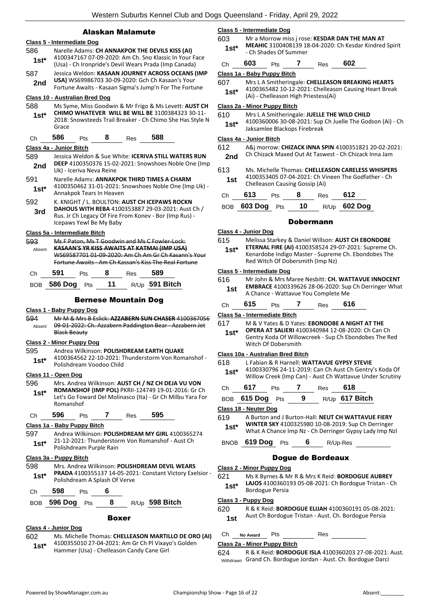#### Alaskan Malamute

#### **Class 5 - Intermediate Dog** 586 Narelle Adams: **CH ANNAKPOK THE DEVILS KISS (AI)**

4100347167 07-09-2020: Am Ch. Sno Klassic In Your Face (Usa) - Ch Ironpride's Devil Wears Prada (Imp Canada) **1st\*** 587 Jessica Weldon: **KASAAN JOURNEY ACROSS OCEANS (IMP USA)** WS69986703 30-09-2020: Gch Ch Kasaan's Your **2nd** USA) WS69986703 30-09-2020: Gch Ch Kasaan's Your<br>Fortune Awaits - Kasaan Sigma's Jump'n For The Fortune **Class 10 - Australian Bred Dog** 588 Ms Syme, Miss Goodwin & Mr Frigo & Ms Levett: **AUST CH CHIMO WHATEVER WILL BE WILL BE** 3100384323 30-11- 2018: Snowsteeds Trail Breaker - Ch Chimo She Has Style N Grace **1st\*** Ch **586** Pts **8** Res **588**

### **Class 4a - Junior Bitch**

- 589 Jessica Weldon & Sue White: **ICERIVA STILL WATERS RUN DEEP** 4100350376 15-02-2021: Snowshoes Noble One (Imp **2nd** Uk) - Iceriva Neva Reine
- 591 Narelle Adams: **ANNAKPOK THIRD TIMES A CHARM** 4100350462 31-01-2021: Snowshoes Noble One (Imp Uk) - Annakpok Tears In Heaven **1st\***
- 592 K. KNIGHT / L. BOULTON: **AUST CH ICEPAWS ROCKN DAHOUS WITH REBA** 4100353887 29-03-2021: Aust Ch / Rus. Jr Ch Legacy Of Fire From Konev - Bor (Imp Rus) - Icepaws Yewl Be My Baby **3rd**

#### **Class 5a - Intermediate Bitch**

| 593    |     |     | Ms F Paton, Ms T Goodwin and Ms C Fowler-Lock:        |                                                     |
|--------|-----|-----|-------------------------------------------------------|-----------------------------------------------------|
| Absent |     |     | KASAAN'S YR KISS AWAITS AT KATMAI (IMP USA)           |                                                     |
|        |     |     |                                                       | WS69587701 01-09-2020: Am Ch Am Gr Ch Kasann's Your |
|        |     |     | Fortune Awaits - Am Ch Kassan's Kiss The Real Fortune |                                                     |
|        | ٦tς | Res |                                                       |                                                     |

| BOB 586 Dog Pts | 11 | $R/Up$ 591 Bitch |  |
|-----------------|----|------------------|--|
|                 |    |                  |  |

#### Bernese Mountain Dog

#### **Class 1 - Baby Puppy Dog**

594 Mr M & Mrs B Eslick: **AZZABERN SUN CHASER** 4100367056 09-01-2022: Ch. Azzabern Paddington Bear - Azzabern Jet Black Beauty Absent

#### **Class 2 - Minor Puppy Dog**

#### 595 Andrea Wilkinson: **POLISHDREAM EARTH QUAKE**

4100364562 22-10-2021: Thunderstorm Von Romanshof - Polishdream Voodoo Child **1st\***

#### **Class 11 - Open Dog**

596 Mrs. Andrea Wilkinson: **AUST CH / NZ CH DEJA VU VON ROMANSHOF (IMP POL)** PKRII-124749 19-01-2016: Gr Ch Let's Go Foward Del Molinasco (Ita) - Gr Ch Milbu Yara For Romanshof **1st\***

#### Ch **596** Pts **7** Res **595**

#### **Class 1a - Baby Puppy Bitch**

597 Andrea Wilkinson: **POLISHDREAM MY GIRL** 4100365274 21-12-2021: Thunderstorm Von Romanshof - Aust Ch Polishdream Purple Rain **1st\***

#### **Class 3a - Puppy Bitch**

598 Mrs. Andrea Wilkinson: **POLISHDREAM DEVIL WEARS PRADA** 4100355137 14-05-2021: Constant Victory Exelsior - Polishdream A Splash Of Verve **1st\***

| Ch 598 Pts      |     |                       |
|-----------------|-----|-----------------------|
| BOB 596 Dog Pts | - 8 | R/Up <b>598 Bitch</b> |

#### Boxer

#### **Class 4 - Junior Dog**

602 Ms. Michelle Thomas: **CHELLEASON MARTILLO DE ORO (AI)** 4100355010 27-04-2021: Am Gr Ch Pl Vixayo's Golden Hammer (Usa) - Chelleason Candy Cane Girl **1st\***

#### **Class 5 - Intermediate Dog**

603 Mr a Morrow miss j rose: **KESDAR DAN THE MAN AT MEAHIC** 3100408139 18-04-2020: Ch Kesdar Kindred Spirit - Ch Shades Of Summer **1st\***

| Ch | 603 | Pts | Res | 602 |
|----|-----|-----|-----|-----|
|    |     |     |     |     |

**Class 1a - Baby Puppy Bitch**

- 607 Mrs L A Smitheringale: **CHELLEASON BREAKING HEARTS** 4100365482 10-12-2021: Chelleason Causing Heart Break
	- (Ai) Chelleason High Priestess(Ai) **1st\***

#### **Class 2a - Minor Puppy Bitch**

- 610 Mrs L A Smitheringale: **JUELLE THE WILD CHILD**
- 4100360006 30-08-2021: Sup Ch Juelle The Godson (Ai) Ch Jaksamlee Blackops Firebreak **1st\***

#### **Class 4a - Junior Bitch**

612 A&j morrow: **CHIZACK INNA SPIN** 4100351821 20-02-2021: Ch Chizack Maxed Out At Taswest - Ch Chizack Inna Jam **2nd**

| 613 | Ms. Michelle Thomas: CHELLEASON CARELESS WHISPERS |  |
|-----|---------------------------------------------------|--|
|     | $11000521050701013031656104222576666666667$       |  |

4100353405 07-04-2021: Ch Vineen The Godfather - Ch **1st** 4100353405 07-04-2021: Ch VI<br>Chelleason Causing Gossip (Ai)

| Ch | 613                | <b>Pts</b> | 8 | Res | 612            |
|----|--------------------|------------|---|-----|----------------|
|    | BOB 603 Dog Pts 10 |            |   |     | $R/Up$ 602 Dog |

#### Dobermann

#### **Class 4 - Junior Dog**

- 615 Melissa Starkey & Daniel Willson: **AUST CH EBONDOBE** 
	- **ETERNAL FIRE (AI)** 4100358524 29-07-2021: Supreme Ch. Kenardobe Indigo Master - Supreme Ch. Ebondobes The Red Witch Of Dobersmith (Imp Nz) **1st\***

#### **Class 5 - Intermediate Dog**

#### 616 Mr John & Mrs Maree Nesbitt: **CH. WATTAVUE INNOCENT EMBRACE** 4100339626 28-06-2020: Sup Ch Derringer What **1st EINBRACE** 4100339626 28-06-2020: Sup<br>A Chance - Wattavue You Complete Me

| 616<br>615<br>Ch<br>ĸes |  |
|-------------------------|--|
|-------------------------|--|

#### **Class 5a - Intermediate Bitch**

#### 617 M & V Yates & D Yates: **EBONDOBE A NIGHT AT THE**

**OPERA AT SALIERI** 4100340984 12-08-2020: Ch Can Ch Gentry Koda Of Willowcreek - Sup Ch Ebondobes The Red Witch Of Dobersmith **1st\***

#### **Class 10a - Australian Bred Bitch**

618 L Fabian & R Harnell: **WATTAVUE GYPSY STEVIE** 4100330796 24-11-2019: Can Ch Aust Ch Gentry's Koda Of Willow Creek (Imp Can) - Aust Ch Wattavue Under Scrutiny **1st\***

| Ch | 617             | <b>Pts</b> |     | Res 618 |                       |
|----|-----------------|------------|-----|---------|-----------------------|
|    | BOB 615 Dog Pts |            | - 9 |         | R/Up <b>617 Bitch</b> |

#### **Class 18 - Neuter Dog**

619 A Burton and J Burton-Hall: **NEUT CH WATTAVUE FIERY WINTER SKY** 4100325980 10-08-2019: Sup Ch Derringer What A Chance Imp Nz - Ch Derringer Gypsy Lady Imp Nzl **1st\***

BNOB **619 Dog** Pts **6** R/Up-Res

#### Dogue de Bordeaux

#### **Class 2 - Minor Puppy Dog**

621 Ms K Byrnes & Mr R & Mrs K Reid: **BORDOGUE AUBREY LAJOS** 4100360193 05-08-2021: Ch Bordogue Tristan - Ch 1st\* LAJOS 41003601<br>Bordogue Persia

#### **Class 3 - Puppy Dog**

#### 620 R & K Reid: **BORDOGUE ELIJAH** 4100360191 05-08-2021: Aust Ch Bordogue Tristan - Aust. Ch. Bordogue Persia **1st**

#### Ch **No Award** Pts Res

#### **Class 2a - Minor Puppy Bitch**

624 R & K Reid: **BORDOGUE ISLA** 4100360203 27-08-2021: Aust. Withdrawn Grand Ch. Bordogue Jordan - Aust. Ch. Bordogue Darci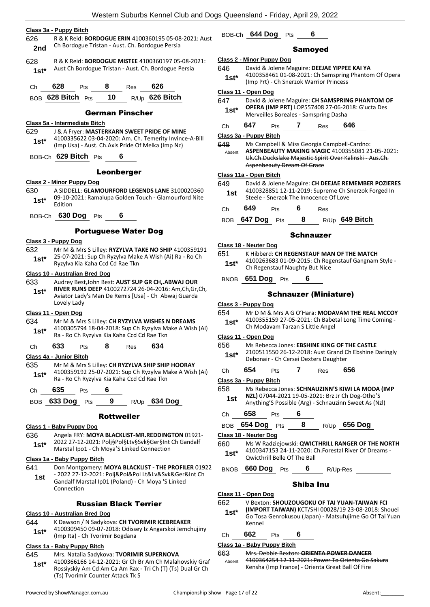|         | <u> Class 3a - Puppy Bitch</u>                                                                               |                  |
|---------|--------------------------------------------------------------------------------------------------------------|------------------|
| 626     | R & K Reid: BORDOGUE ERIN 4100360195 05-08-2021: Aust                                                        | B                |
| 2nd     | Ch Bordogue Tristan - Aust. Ch. Bordogue Persia                                                              |                  |
| 628     | R & K Reid: <b>BORDOGUE MISTEE</b> 4100360197 05-08-2021:                                                    | <u>Cla</u>       |
| $1st^*$ | Aust Ch Bordogue Tristan - Aust. Ch. Bordogue Persia                                                         | 64               |
|         |                                                                                                              |                  |
| Сh      | <b>628</b> Pts 8 Res<br>626                                                                                  | <u>Cla</u>       |
|         | BOB 628 Bitch Pts 10 R/Up 626 Bitch                                                                          | 64               |
|         | <b>German Pinscher</b>                                                                                       |                  |
|         | Class 5a - Intermediate Bitch                                                                                | С                |
| 629.    | J & A Fryer: MASTERKARN SWEET PRIDE OF MINE                                                                  | Cla              |
| $1st^*$ | 4100335622 03-04-2020: Am. Ch. Temerity Invince-A-Bill<br>(Imp Usa) - Aust. Ch. Axis Pride Of Melka (Imp Nz) | 64               |
|         | BOB-Ch 629 Bitch Pts 6                                                                                       |                  |
|         |                                                                                                              |                  |
|         | Leonberger                                                                                                   | <u>Cla</u>       |
|         | <b>Class 2 - Minor Puppy Dog</b>                                                                             | 64               |
| 630     | A SIDDELL: GLAMOURFORD LEGENDS LANE 3100020360<br>09-10-2021: Ramalupa Golden Touch - Glamourford Nite       |                  |
| 1st*    | Edition                                                                                                      | С                |
|         | BOB-Ch 630 Dog Pts 6                                                                                         | В                |
|         | <b>Portuguese Water Dog</b>                                                                                  |                  |
|         | <u> Class 3 - Puppy Dog</u>                                                                                  |                  |
| 632     | Mr M & Mrs S Lilley: RYZYLVA TAKE NO SHIP 4100359191                                                         | <u>Cla</u>       |
| $1st*$  | 25-07-2021: Sup Ch Ryzylva Make A Wish (Ai) Ra - Ro Ch                                                       | 65               |
|         | Ryzylva Kia Kaha Ccd Cd Rae Tkn                                                                              |                  |
|         | Class 10 - Australian Bred Dog                                                                               | В                |
| 633     | Audrey Best, John Best: AUST SUP GR CH, ABWAJ OUR<br>RIVER RUNS DEEP 4100272724 26-04-2016: Am, Ch, Gr, Ch,  |                  |
| $1st^*$ | Aviator Lady's Man De Remis [Usa] - Ch Abwaj Guarda                                                          |                  |
|         | Lovely Lady                                                                                                  | Cla              |
|         | Class 11 - Open Dog                                                                                          | 65               |
| 634     | Mr M & Mrs S Lilley: CH RYZYLVA WISHES N DREAMS<br>4100305794 18-04-2018: Sup Ch Ryzylva Make A Wish (Ai)    |                  |
| $1st^*$ | Ra - Ro Ch Ryzylva Kia Kaha Ccd Cd Rae Tkn                                                                   | Cla              |
| Сh      | 633<br>8<br>634<br>Pts<br>Res                                                                                | 65               |
|         | Class 4a - Junior Bitch                                                                                      |                  |
| 635     | Mr M & Mrs S Lilley: CH RYZYLVA SHIP SHIP HOORAY                                                             |                  |
| $1st^*$ | 4100359192 25-07-2021: Sup Ch Ryzylva Make A Wish (Ai)<br>Ra - Ro Ch Ryzylva Kia Kaha Ccd Cd Rae Tkn         | С                |
| Сh      | 635<br>6<br>Pts                                                                                              | <u>Cla</u><br>65 |
|         | 9<br><b>BOB 633 Dog</b><br>$R/Up$ 634 Dog<br>Pts                                                             |                  |
|         |                                                                                                              |                  |
|         | Rottweiler                                                                                                   | С                |
|         | Class 1 - Baby Puppy Dog                                                                                     | В                |
| 636     | Angela FRY: MOYA BLACKLIST-MR.REDDINGTON 01921-                                                              | Cla              |
| $1st*$  | 2022 27-12-2021: Polj§Pol§Ltv§Svk§Ger§Int Ch Gandalf<br>Marstal Ipo1 - Ch Moya'S Linked Connection           | 66               |
|         | Class 1a - Baby Puppy Bitch                                                                                  |                  |
| 641     | Don Montgomery: MOYA BLACKLIST - THE PROFILER 01922                                                          | В                |
| 1st     | - 2022 27-12-2021: Polj&Pol&Pol Lt&Lv&Svk&Ger∬ Ch<br>Gandalf Marstal Ip01 (Poland) - Ch Moya 'S Linked       |                  |
|         | Connection                                                                                                   |                  |
|         |                                                                                                              | Cla              |

Russian Black Terrier

#### **Class 10 - Australian Bred Dog**

644 K Dawson / N Sadykova: **CH TVORIMIR ICEBREAKER** 4100309450 09-07-2018: Odissey Iz Angarskoi Jemchujiny (Imp Ita) - Ch Tvorimir Bogdana **1st\***

#### **Class 1a - Baby Puppy Bitch**

- 645 Mrs. Natalia Sadykova: **TVORIMIR SUPERNOVA**
- 4100366166 14-12-2021: Gr Ch Br Am Ch Malahovskiy Graf Rossiyskiy Am Cd Am Ca Am Rax - Tri Ch (T) (Ts) Dual Gr Ch (Ts) Tvorimir Counter Attack Tk S **1st\***

#### BOB-Ch **644 Dog** Pts **6**

#### Samoyed

#### **Class 2 - Minor Puppy Dog**

- 646 David & Jolene Maguire: **DEEJAE YIPPEE KAI YA**
- 4100358461 01-08-2021: Ch Samspring Phantom Of Opera (Imp Prt) - Ch Snerzok Warrior Princess **1st\***

#### **Class 11 - Open Dog**

| 647    | David & Jolene Maguire: CH SAMSPRING PHANTOM OF         |
|--------|---------------------------------------------------------|
| $1st*$ | <b>OPERA (IMP PRT) LOP557408 27-06-2018: G'ucta Des</b> |
|        | Merveilles Boreales - Samspring Dasha                   |
|        |                                                         |

#### Ch **647** Pts **7** Res **646**

#### **Class 3a - Puppy Bitch**

8 Ms Campbell & Miss Georgia Campbell Cardno: **ASPENBEAUTY MAKING MAGIC** 4100355081 21-05-2021: Uk.Ch.Duckslake Majestic Spirit Over Kalinski - Aus.Ch. Aspenbeauty Dream Of Grace Absent

#### **Class 11a - Open Bitch**

| 649 | David & Jolene Maguire: CH DEEJAE REMEMBER POZIERES |            |   |                                        |                                                     |  |
|-----|-----------------------------------------------------|------------|---|----------------------------------------|-----------------------------------------------------|--|
| 1st |                                                     |            |   | Steele - Snerzok The Innocence Of Love | 4100328851 12-11-2019: Supreme Ch Snerzok Forged In |  |
| Ch  | 649                                                 | <b>Pts</b> | 6 | <b>Res</b>                             |                                                     |  |

BOB **647 Dog** Pts **8** R/Up **649 Bitch**

#### Schnauzer

#### **Class 18 - Neuter Dog**

- 651 K Hibberd: **CH REGENSTAUF MAN OF THE MATCH** 4100263683 01-09-2015: Ch Regenstauf Gangnam Style - **1st\*** 4100263683 01-09-2015: Ch Reg<br>Ch Regenstauf Naughty But Nice
- BNOB **651 Dog** Pts **6**

#### Schnauzer (Miniature)

#### **Class 3 - Puppy Dog**

654 Mr D M & Mrs A G O'Hara: **MODAVAM THE REAL MCCOY** 4100355159 27-05-2021: Ch Babetal Long Time Coming - **1st**\* 4100355159 27-05-2021: Ch Babet<br>Ch Modavam Tarzan S Little Angel

#### **Class 11 - Open Dog**

| 656<br>Ms Rebecca Jones: EBSHINE KING OF THE CASTLE |  |
|-----------------------------------------------------|--|
|-----------------------------------------------------|--|

2100511550 26-12-2018: Aust Grand Ch Ebshine Daringly 1st\* 2100511550 26-12-2018: Aust Grand C<br>Debonair - Ch Cersei Dexters Daughter

### Ch **654** Pts **7** Res **656 Class 3a - Puppy Bitch** 658 Ms Rebecca Jones: **SCHNAUZINN'S KIWI LA MODA (IMP NZL)** 07044-2021 19-05-2021: Brz Jr Ch Dog-Otho'S Anything'S Possible (Arg) - Schnauzinn Sweet As (Nzl) **1st** Ch **658** Pts **6** BOB **654 Dog** Pts **8** R/Up **656 Dog Class 18 - Neuter Dog** 660 Ms W Radziejowski: **QWICTHRILL RANGER OF THE NORTH** 4100347153 24-11-2020: Ch.Forestal River Of Dreams - **1st** <sup>4100347153 24-11-2020: Qwicthrill Belle Of The Ball</sup> BNOB **660 Dog** Pts **6** R/Up-Res Shiba Inu **Class 11 - Open Dog**

#### 662 V Bexton: **SHOUZOUGOKU OF TAI YUAN-TAIWAN FCI**

**(IMPORT TAIWAN)** KCT/SHI 00028/19 23-08-2018: Shouei Go Tosa Genrokusou (Japan) - Matsufujime Go Of Tai Yuan Kennel **1st\***

## Ch **662** Pts **6**

### **Class 1a - Baby Puppy Bitch**

663 Mrs. Debbie Bexton: **ORIENTA POWER DANCER**

4100364254 12-11-2021: Power To Orienta Go Sakura Kensha (Imp France) - Orienta Great Ball Of Fire Absent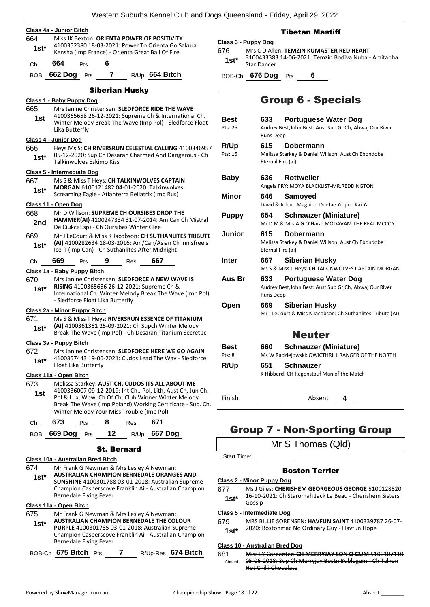|                |                                                                                                                                               |                |     | Western Suburbs Kennel Club and Do                                                                                |  |
|----------------|-----------------------------------------------------------------------------------------------------------------------------------------------|----------------|-----|-------------------------------------------------------------------------------------------------------------------|--|
|                | Class 4a - Junior Bitch                                                                                                                       |                |     |                                                                                                                   |  |
| 664            | Miss JK Bexton: ORIENTA POWER OF POSITIVITY                                                                                                   |                |     |                                                                                                                   |  |
| $1st*$         |                                                                                                                                               |                |     | 4100352380 18-03-2021: Power To Orienta Go Sakura                                                                 |  |
|                | Kensha (Imp France) - Orienta Great Ball Of Fire                                                                                              |                |     |                                                                                                                   |  |
| Сh             | 664<br>Pts                                                                                                                                    | 6              |     |                                                                                                                   |  |
| <b>BOB</b>     | <b>662 Dog</b><br>Pts                                                                                                                         | 7              |     | R/Up 664 Bitch                                                                                                    |  |
|                |                                                                                                                                               | Siberian Husky |     |                                                                                                                   |  |
|                | Class 1 - Baby Puppy Dog                                                                                                                      |                |     |                                                                                                                   |  |
| 665            |                                                                                                                                               |                |     | Mrs Janine Christensen: SLEDFORCE RIDE THE WAVE                                                                   |  |
| 1st            |                                                                                                                                               |                |     | 4100365658 26-12-2021: Supreme Ch & International Ch.<br>Winter Melody Break The Wave (Imp Pol) - Sledforce Float |  |
|                | Lika Butterfly                                                                                                                                |                |     |                                                                                                                   |  |
|                | Class 4 - Junior Dog                                                                                                                          |                |     |                                                                                                                   |  |
| 666            |                                                                                                                                               |                |     | Heys Ms S: CH RIVERSRUN CELESTIAL CALLING 4100346957                                                              |  |
| 1st*           | Talkinwolves Eskimo Kiss                                                                                                                      |                |     | 05-12-2020: Sup Ch Desaran Charmed And Dangerous - Ch                                                             |  |
|                | Class 5 - Intermediate Dog                                                                                                                    |                |     |                                                                                                                   |  |
| 667<br>1st*    | Ms S & Miss T Heys: CH TALKINWOLVES CAPTAIN<br>MORGAN 6100121482 04-01-2020: Talkinwolves<br>Screaming Eagle - Atlanterra Bellatrix (Imp Rus) |                |     |                                                                                                                   |  |
|                | Class 11 - Open Dog                                                                                                                           |                |     |                                                                                                                   |  |
| 668            | Mr D Willson: SUPREME CH OURSIBES DROP THE                                                                                                    |                |     |                                                                                                                   |  |
| 2nd            | De Ciukci(Esp) - Ch Oursibes Winter Glee                                                                                                      |                |     | HAMMER(AI) 4100247334 31-07-2014: Am Can Ch Mistral                                                               |  |
| 669<br>$1st^*$ | Ice-T (Imp Can) - Ch Suthanlites After Midnight                                                                                               |                |     | Mr J LeCourt & Miss K Jacobson: CH SUTHANLITES TRIBUTE<br>(AI) 4100282634 18-03-2016: Am/Can/Asian Ch Innisfree's |  |
| Сh             | 669<br>Pts                                                                                                                                    | 9              | Res | 667                                                                                                               |  |
|                | Class 1a - Baby Puppy Bitch                                                                                                                   |                |     |                                                                                                                   |  |
| 670            |                                                                                                                                               |                |     | Mrs Janine Christensen: SLEDFORCE A NEW WAVE IS                                                                   |  |
| 1st*           | RISING 4100365656 26-12-2021: Supreme Ch &                                                                                                    |                |     | International Ch. Winter Melody Break The Wave (Imp Pol)                                                          |  |
|                | - Sledforce Float Lika Butterfly                                                                                                              |                |     |                                                                                                                   |  |
|                | Class 2a - Minor Puppy Bitch                                                                                                                  |                |     |                                                                                                                   |  |
| 671            |                                                                                                                                               |                |     | Ms S & Miss T Heys: RIVERSRUN ESSENCE OF TITANIUM                                                                 |  |
| $1st^*$        |                                                                                                                                               |                |     | (AI) 4100361361 25-09-2021: Ch Supch Winter Melody<br>Break The Wave (Imp Pol) - Ch Desaran Titanium Secret Jc    |  |
|                | Class 3a - Puppy Bitch                                                                                                                        |                |     |                                                                                                                   |  |
| 672            |                                                                                                                                               |                |     | Mrs Janine Christensen: SLEDFORCE HERE WE GO AGAIN                                                                |  |
| $1st*$         | Float Lika Butterfly                                                                                                                          |                |     | 4100357443 19-06-2021: Cudos Lead The Way - Sledforce                                                             |  |
|                | Class 11a - Open Bitch                                                                                                                        |                |     |                                                                                                                   |  |
| 673            |                                                                                                                                               |                |     | Melissa Starkey: AUST CH. CUDOS ITS ALL ABOUT ME                                                                  |  |
| 1st            |                                                                                                                                               |                |     | 4100336007 09-12-2019: Int Ch., Pol, Lith, Aust Ch, Jun Ch.                                                       |  |

Pol & Lux, Wpw, Ch Of Ch, Club Winner Winter Melody Break The Wave (Imp Poland) Working Certificate - Sup. Ch. Winter Melody Your Miss Trouble (Imp Pol) **1st**

#### Ch **673** Pts **8** Res **671**

BOB **669 Dog** Pts **12** R/Up **667 Dog**

#### St. Bernard

#### **Class 10a - Australian Bred Bitch**

- 674 Mr Frank G Newman & Mrs Lesley A Newman:
- **AUSTRALIAN CHAMPION BERNEDALE ORANGES AND SUNSHINE** 4100301788 03-01-2018: Australian Supreme Champion Casperscove Franklin Ai - Australian Champion Bernedale Flying Fever **1st\***

#### **Class 11a - Open Bitch**

- 675 Mr Frank G Newman & Mrs Lesley A Newman: **AUSTRALIAN CHAMPION BERNEDALE THE COLOUR 1st\***
- **PURPLE** 4100301785 03-01-2018: Australian Supreme Champion Casperscove Franklin Ai - Australian Champion Bernedale Flying Fever

| BOB-Ch 675 Bitch Pts |  | R/Up-Res 674 Bitch |
|----------------------|--|--------------------|
|                      |  |                    |

#### Tibetan Mastiff

#### **Class 3 - Puppy Dog**

676 Mrs C D Allen: **TEMZIN KUMASTER RED HEART** 3100433383 14-06-2021: Temzin Bodiva Nuba - Amitabha **1st**\* <sup>310043338</sup>

BOB-Ch **676 Dog** Pts **6**

## Group 6 - Specials

| Best<br>Pts: 25        | 633                                   | <b>Portuguese Water Dog</b><br>Audrey Best, John Best: Aust Sup Gr Ch, Abwaj Our River |
|------------------------|---------------------------------------|----------------------------------------------------------------------------------------|
| <b>R/Up</b><br>Pts: 15 | Runs Deep<br>615<br>Eternal Fire (ai) | Dobermann<br>Melissa Starkey & Daniel Willson: Aust Ch Ebondobe                        |
| Baby                   | 636                                   | <b>Rottweiler</b><br>Angela FRY: MOYA BLACKLIST-MR.REDDINGTON                          |
| Minor                  | 646                                   | Samoyed<br>David & Jolene Maguire: DeeJae Yippee Kai Ya                                |
| <b>Puppy</b>           | 654                                   | <b>Schnauzer (Miniature)</b><br>Mr D M & Mrs A G O'Hara: MODAVAM THE REAL MCCOY        |
| Junior                 | 615<br>Eternal Fire (ai)              | Dobermann<br>Melissa Starkey & Daniel Willson: Aust Ch Ebondobe                        |
| <b>Inter</b>           | 667                                   | <b>Siberian Husky</b><br>Ms S & Miss T Heys: CH TALKINWOLVES CAPTAIN MORGAN            |
| Aus Br                 | 633<br><b>Runs Deep</b>               | <b>Portuguese Water Dog</b><br>Audrey Best, John Best: Aust Sup Gr Ch, Abwaj Our River |
| Open                   | 669                                   | Siberian Husky<br>Mr J LeCourt & Miss K Jacobson: Ch Suthanlites Tribute (AI)          |
|                        |                                       | <b>Neuter</b>                                                                          |
| Best                   | 660                                   | <b>Schnauzer (Miniature)</b>                                                           |
| Pts: 8                 |                                       | Ms W Radziejowski: QWICTHRILL RANGER OF THE NORTH                                      |

**R/Up 651 Schnauzer** K Hibberd: CH Regenstauf Man of the Match

Finish Absent **4**

## Group 7 - Non-Sporting Group

Mr S Thomas (Qld)

Start Time:

#### Boston Terrier

#### **Class 2 - Minor Puppy Dog**

677 Ms J Giles: **CHERISHEM GEORGEOUS GEORGE** 5100128520 16-10-2021: Ch Staromah Jack La Beau - Cherishem Sisters **1st**  $*$ <sup>10-10-</sup><br>Gossin

#### **Class 5 - Intermediate Dog**

679 MRS BILLIE SORENSEN: **HAVFUN SAINT** 4100339787 26-07- 2020: Bostonmac No Ordinary Guy - Havfun Hope **1st\***

#### **Class 10 - Australian Bred Dog**

681 Miss LY Carpenter: **CH MERRYJAY SON O GUM** 5100107110 05-06-2018: Sup Ch Merryjay Bostn Bublegum - Ch Talkon Hot Chilli Chocolate Absent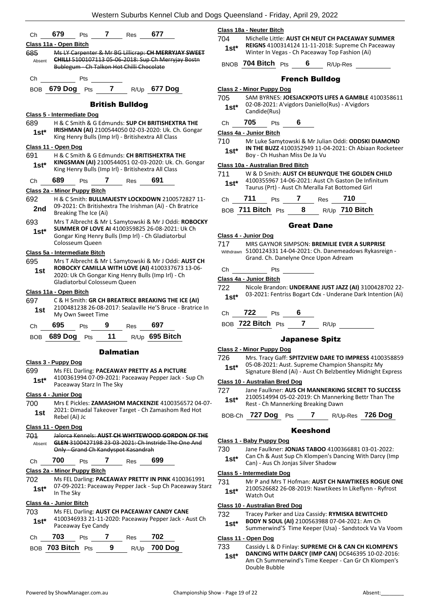| Ch            | 679                         | Pts                           | 7                          | Res                                     | 677                                                                                                            |                                                            | Class 1                   |
|---------------|-----------------------------|-------------------------------|----------------------------|-----------------------------------------|----------------------------------------------------------------------------------------------------------------|------------------------------------------------------------|---------------------------|
|               | Class 11a - Open Bitch      |                               |                            |                                         |                                                                                                                |                                                            | 704                       |
| 685           |                             |                               |                            |                                         | Ms LY Carpenter & Mr BG Lillicrap: CH MERRYJAY SWEET                                                           |                                                            | 1st*                      |
| Absent        |                             |                               |                            | Bublegum Ch Talkon Hot Chilli Chocolate | <b>CHILLI 5100107113 05-06-2018: Sup Ch Merryjay Bostn</b>                                                     |                                                            | BNOB                      |
| Ch            |                             | Pts                           |                            |                                         |                                                                                                                |                                                            |                           |
|               | BOB 679 Dog Pts             |                               | $\overline{\phantom{0}}$ 7 |                                         | R/Up 677 Dog                                                                                                   |                                                            | Class 2<br>705            |
|               |                             |                               |                            | <b>British Bulldog</b>                  |                                                                                                                |                                                            | $1st*$                    |
|               |                             | Class 5 - Intermediate Dog    |                            |                                         |                                                                                                                |                                                            |                           |
| 689           |                             |                               |                            |                                         | H & C Smith & G Edmunds: SUP CH BRITISHEXTRA THE<br><b>IRISHMAN (AI)</b> 2100544050 02-03-2020: Uk. Ch. Gongar |                                                            | Сh                        |
| 1st*          |                             |                               |                            |                                         | King Henry Bulls (Imp Irl) - Britishextra All Class                                                            |                                                            | Class 4<br>710            |
|               | <u>Class 11 - Open Dog</u>  |                               |                            |                                         |                                                                                                                |                                                            | 1st*                      |
| 691           |                             |                               |                            |                                         | H & C Smith & G Edmunds: CH BRITISHEXTRA THE                                                                   |                                                            |                           |
| 1st*          |                             |                               |                            |                                         | KINGSMAN (AI) 2100544051 02-03-2020: Uk. Ch. Gongar<br>King Henry Bulls (Imp Irl) - Britishextra All Class     |                                                            | Class 1                   |
| Сh            | 689                         | Pts                           | 7                          | Res                                     | 691                                                                                                            |                                                            | 711                       |
|               |                             | Class 2a - Minor Puppy Bitch  |                            |                                         |                                                                                                                |                                                            | $1st*$                    |
| 692           |                             |                               |                            |                                         | H & C Smith: BULLMAJESTY LOCKDOWN 2100572827 11-                                                               |                                                            | Ch                        |
| 2nd           |                             | Breaking The Ice (Ai)         |                            |                                         | 09-2021: Ch Britishextra The Irishman (Ai) - Ch Bratrice                                                       |                                                            | BOB                       |
| 693           |                             |                               |                            |                                         |                                                                                                                | Mrs T Albrecht & Mr L Samytowski & Mr J Oddi: ROBOCKY      |                           |
| 1st*          |                             |                               |                            |                                         | SUMMER OF LOVE AI 4100359825 26-08-2021: Uk Ch                                                                 |                                                            |                           |
|               |                             | Colosseum Queen               |                            |                                         | Gongar King Henry Bulls (Imp Irl) - Ch Gladiatorbul                                                            |                                                            | Class 4                   |
|               |                             |                               |                            |                                         |                                                                                                                |                                                            | 717<br>Withdray           |
| 695           |                             | Class 5a - Intermediate Bitch |                            |                                         | Mrs T Albrecht & Mr L Samytowski & Mr J Oddi: AUST CH                                                          |                                                            |                           |
| 1st           |                             |                               |                            |                                         | ROBOCKY CAMILLA WITH LOVE (AI) 4100337673 13-06-                                                               |                                                            | Ch                        |
|               |                             | Gladiatorbul Colosseum Queen  |                            |                                         | 2020: Uk Ch Gongar King Henry Bulls (Imp Irl) - Ch                                                             |                                                            | <u>Class 4</u>            |
|               | Class 11a - Open Bitch      |                               |                            |                                         |                                                                                                                |                                                            | 722                       |
| 697           |                             |                               |                            |                                         | C & H Smith: GR CH BREATRICE BREAKING THE ICE (AI)                                                             |                                                            | 1st*                      |
| 1st           |                             | My Own Sweet Time             |                            |                                         |                                                                                                                | 2100481238 26-08-2017: Sealaville He'S Bruce - Bratrice In | Сh                        |
| Ch            | 695                         | Pts                           | 9                          | <b>Res</b>                              | 697                                                                                                            |                                                            | BOB                       |
| <b>BOB</b>    | <b>689 Dog</b>              | Pts                           | 11                         |                                         | R/Up 695 Bitch                                                                                                 |                                                            |                           |
|               |                             |                               | <b>Dalmatian</b>           |                                         |                                                                                                                |                                                            | Class <sub>2</sub><br>726 |
|               | <u> Class 3 - Puppy Dog</u> |                               |                            |                                         |                                                                                                                |                                                            | 1st*                      |
| 699           |                             |                               |                            |                                         | Ms FEL Darling: PACEAWAY PRETTY AS A PICTURE<br>4100361994 07-09-2021: Paceaway Pepper Jack - Sup Ch           |                                                            |                           |
| 1st*          |                             | Paceaway Starz In The Sky     |                            |                                         |                                                                                                                |                                                            | <u>Class 1</u><br>727     |
| 700           | Class 4 - Junior Dog        |                               |                            |                                         |                                                                                                                | Mrs E Pickles: ZAMASHOM MACKENZIE 4100356572 04-07-        | 1st*                      |
| 1st           |                             |                               |                            |                                         | 2021: Dimadal Takeover Target - Ch Zamashom Red Hot                                                            |                                                            |                           |
|               | Rebel (Ai) Jc               |                               |                            |                                         |                                                                                                                |                                                            | BOB-0                     |
|               | Class 11 - Open Dog         |                               |                            |                                         |                                                                                                                |                                                            |                           |
| 701<br>Absent |                             |                               |                            |                                         | GLEN 3100427198 23 03 2021: Ch Instride The One And                                                            | Jalorca Kennels: AUST CH WHYTEWOOD GORDON OF THE           | <u>Class 1</u>            |
|               |                             |                               |                            | Only - Grand Ch Kandyspot Kasandrah     |                                                                                                                |                                                            | 730                       |
| Ch            | 700                         | Pts                           | 7                          | <b>Res</b>                              | 699                                                                                                            |                                                            | $1st*$                    |
|               |                             | Class 2a - Minor Puppy Bitch  |                            |                                         |                                                                                                                |                                                            | Class 5                   |
| 702           |                             |                               |                            |                                         | Ms FEL Darling: PACEAWAY PRETTY IN PINK 4100361991                                                             |                                                            | 731                       |
| 1st*          | In The Sky                  |                               |                            |                                         |                                                                                                                | 07-09-2021: Paceaway Pepper Jack - Sup Ch Paceaway Starz   | 1st*                      |
|               | Class 4a - Junior Bitch     |                               |                            |                                         |                                                                                                                |                                                            |                           |
| 703           |                             |                               |                            |                                         | Ms FEL Darling: AUST CH PACEAWAY CANDY CANE                                                                    |                                                            | Class 1<br>732            |
| $1st*$        |                             |                               |                            |                                         | 4100346933 21-11-2020: Paceaway Pepper Jack - Aust Ch                                                          |                                                            | 1st*                      |
|               |                             | Paceaway Eye Candy            |                            |                                         |                                                                                                                |                                                            |                           |
| Ch            | 703                         | Pts                           | 7                          | Res                                     | 702                                                                                                            |                                                            | Class 1                   |
|               | BOB 703 Bitch Pts           |                               | 9                          | R/Up                                    | <b>700 Dog</b>                                                                                                 |                                                            | 733                       |

#### **Class 18a - Neuter Bitch**

704 Michelle Little: **AUST CH NEUT CH PACEAWAY SUMMER REIGNS** 4100314124 11-11-2018: Supreme Ch Paceaway Winter In Vegas - Ch Paceaway Top Fashion (Ai) **1st\***

**704 Bitch** Pts **6** R/Up-Res

#### French Bulldog

#### **Class 2 - Minor Puppy Dog**

- SAM BYRNES: JOESJACKPOTS LIFES A GAMBLE 4100358611 02-08-2021: A'vigdors Daniello(Rus) - A'vigdors  $Candide(Rus)$
- Ch **705** Pts **6**

**Class 4a - Junior Bitch**

710 Mr Luke Samytowski & Mr Julian Oddi: **ODDSKI DIAMOND IN THE BUZZ** 4100352949 11-04-2021: Ch Abiaan Rocketeer Boy - Ch Hushan Miss De Ja Vu

#### **Class 10a - Australian Bred Bitch**

| 711    | W & D Smith: AUST CH BEUNYQUE THE GOLDEN CHILD     |
|--------|----------------------------------------------------|
| $1st*$ | 4100355967 14-06-2021: Aust Ch Gaston De Infinitum |
|        | Taurus (Prt) - Aust Ch Meralla Fat Bottomed Girl   |

| Ch 711            | Pts 7 Res 710 |                  |
|-------------------|---------------|------------------|
| BOB 711 Bitch Pts | 8             | $R/Up$ 710 Bitch |

#### Great Dane

#### **Class 4 - Junior Dog**

- 717 MRS GAYNOR SIMPSON: **BREMILIE EVER A SURPRISE** 5100124331 14-04-2021: Ch. Danemeadows Rykasreign - Withdrawn Grand. Ch. Danelyne Once Upon Adream
- Pts

#### **Class 4a - Junior Bitch**

- 722 Nicole Brandon: **UNDERANE JUST JAZZ (AI)** 3100428702 22- 03-2021: Fentriss Bogart Cdx - Underane Dark Intention (Ai)
- Ch **722** Pts **6**
- **722 Bitch** Pts **7** R/Up

#### Japanese Spitz

#### **Class 2 - Minor Puppy Dog**

- 726 Mrs. Tracy Gaff: **SPITZVIEW DARE TO IMPRESS** 4100358859 05-08-2021: Aust. Supreme Champion Shanspitz My
- Signature Blend (Ai) Aust Ch Belzbentley Midnight Express

#### **Class 10 - Australian Bred Dog**

- Jane Faulkner: AUS CH MANNERKING SECRET TO SUCCESS 2100514994 05-02-2019: Ch Mannerking Bettr Than The
- **Rest Ch Mannerking Breaking Dawn**
- BOB-Ch **727 Dog** Pts **7** R/Up-Res **726 Dog**

#### Keeshond

#### **Class 1 - Baby Puppy Dog**

730 Jane Faulkner: **JONJAS TABOO** 4100366881 03-01-2022: Can Ch & Aust Sup Ch Klompen's Dancing With Darcy (Imp Can) - Aus Ch Jonjas Silver Shadow

#### **Class 5 - Intermediate Dog**

Mr P and Mrs T Hofman: **AUST CH NAWTIKEES ROGUE ONE** 2100526682 26-08-2019: Nawtikees In Likeflynn - Ryfrost **Watch Out** 

#### **Class 10 - Australian Bred Dog**

- 732 Tracey Parker and Liza Cassidy: **RYMISKA BEWITCHED BODY N SOUL (AI)** 2100563988 07-04-2021: Am Ch
	- Summerwind'S Time Keeper (Usa) Sandstock Va Va Voom **1st\***

#### **Class 11 - Open Dog**

- 733 Cassidy L & D Finlay: **SUPREME CH & CAN CH KLOMPEN'S**
- **DANCING WITH DARCY (IMP CAN)** DC646395 10-02-2016: Am Ch Summerwind's Time Keeper - Can Gr Ch Klompen's Double Bubble **1st\***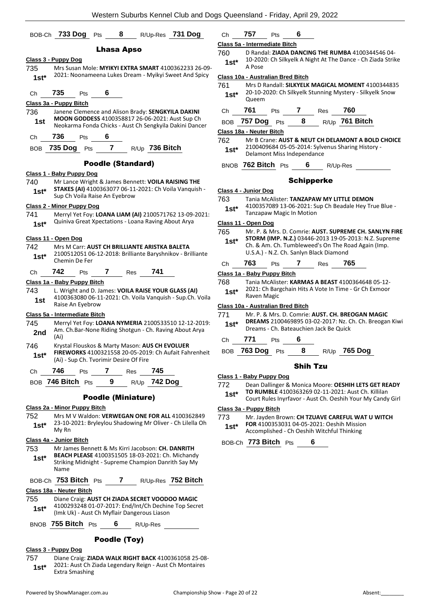|                | BOB-Ch 733 Dog                                                                                                                                        | Pts                       | 8                 | R/Up-Res       | 731 Doq                                                                                                        |                                           |
|----------------|-------------------------------------------------------------------------------------------------------------------------------------------------------|---------------------------|-------------------|----------------|----------------------------------------------------------------------------------------------------------------|-------------------------------------------|
|                |                                                                                                                                                       |                           | <b>Lhasa Apso</b> |                |                                                                                                                | <u>c</u><br>$\overline{7}$                |
|                | <u> Class 3 - Puppy Dog</u>                                                                                                                           |                           |                   |                |                                                                                                                |                                           |
| 735<br>$1st^*$ |                                                                                                                                                       |                           |                   |                | Mrs Susan Mole: MYIKYI EXTRA SMART 4100362233 26-09-<br>2021: Noonameena Lukes Dream - Myikyi Sweet And Spicy  | $\overline{\mathbf{C}}$<br>$\overline{7}$ |
| Ch             | 735<br>Pts                                                                                                                                            | 6                         |                   |                |                                                                                                                |                                           |
|                | Class 3a - Puppy Bitch                                                                                                                                |                           |                   |                |                                                                                                                |                                           |
| 736<br>1st     | Janene Clemence and Alison Brady: SENGKYILA DAKINI<br>MOON GODDESS 4100358817 26-06-2021: Aust Sup Ch                                                 |                           |                   |                | Neokarma Fonda Chicks - Aust Ch Sengkyila Dakini Dancer                                                        |                                           |
| Ch             | 736<br>Pts                                                                                                                                            | 6                         |                   |                |                                                                                                                | <u>Cl</u><br>$\overline{7}$               |
| BOB            | 735 Dog<br>Pts                                                                                                                                        | 7                         |                   | R/Up 736 Bitch |                                                                                                                |                                           |
|                |                                                                                                                                                       | <b>Poodle (Standard)</b>  |                   |                |                                                                                                                |                                           |
|                | Class 1 - Baby Puppy Dog                                                                                                                              |                           |                   |                |                                                                                                                |                                           |
| 740<br>$1st*$  | Mr Lance Wright & James Bennett: VOILA RAISING THE<br>Sup Ch Voila Raise An Eyebrow                                                                   |                           |                   |                | STAKES (AI) 4100363077 06-11-2021: Ch Voila Vanquish -                                                         | $\overline{\mathbf{C}}$<br>$\overline{7}$ |
|                | <b>Class 2 - Minor Puppy Dog</b>                                                                                                                      |                           |                   |                |                                                                                                                |                                           |
| 741<br>$1st^*$ | Quiniva Great Xpectations - Loana Raving About Arya                                                                                                   |                           |                   |                | Merryl Yet Foy: LOANA LIAM (AI) 2100571762 13-09-2021:                                                         | <u>Cl</u><br>$\overline{7}$               |
|                | Class 11 - Open Dog                                                                                                                                   |                           |                   |                |                                                                                                                |                                           |
| 742<br>$1st^*$ | Mrs M Carr: AUST CH BRILLIANTE ARISTKA BALETA<br>Chemin De Fer                                                                                        |                           |                   |                | 2100512051 06-12-2018: Brilliante Baryshnikov - Brilliante                                                     |                                           |
| Ch             | 742<br>Pts                                                                                                                                            | 7                         | Res               | 741            |                                                                                                                | C                                         |
|                | Class 1a - Baby Puppy Bitch                                                                                                                           |                           |                   |                |                                                                                                                | $\overline{7}$                            |
| 743<br>1st     | L. Wright and D. James: VOILA RAISE YOUR GLASS (AI)<br>Raise An Eyebrow                                                                               |                           |                   |                | 4100363080 06-11-2021: Ch. Voila Vanquish - Sup.Ch. Voila                                                      |                                           |
|                | Class 5a - Intermediate Bitch                                                                                                                         |                           |                   |                |                                                                                                                | <u>cı</u><br>7                            |
| 745<br>2nd     | (Ai)                                                                                                                                                  |                           |                   |                | Merryl Yet Foy: LOANA NYMERIA 2100533510 12-12-2019:<br>Am. Ch.Bar-None Riding Shotgun - Ch. Raving About Arya |                                           |
| 746<br>$1st^*$ | Krystal Flouskos & Marty Mason: AUS CH EVOLUER<br>(Ai) - Sup Ch. Tvorimir Desire Of Fire                                                              |                           |                   |                | FIREWORKS 4100321558 20-05-2019: Ch Aufait Fahrenheit                                                          | J.                                        |
| Ch             | 746 Pts 7 Res 745                                                                                                                                     |                           |                   |                |                                                                                                                |                                           |
|                | BOB 746 Bitch Pts 9 R/Up 742 Dog                                                                                                                      |                           |                   |                |                                                                                                                | СI<br>$\overline{7}$                      |
|                |                                                                                                                                                       | <b>Poodle (Miniature)</b> |                   |                |                                                                                                                |                                           |
|                | <u> Class 2a - Minor Puppy Bitch</u>                                                                                                                  |                           |                   |                |                                                                                                                | $\overline{\mathbf{C}}$                   |
| 752            |                                                                                                                                                       |                           |                   |                | Mrs M V Waldon: VERWEGAN ONE FOR ALL 4100362849                                                                | $\overline{7}$                            |
| $1st^*$        | My Rn                                                                                                                                                 |                           |                   |                | 23-10-2021: Bryleylou Shadowing Mr Oliver - Ch Lilella Oh                                                      |                                           |
|                | Class 4a - Junior Bitch                                                                                                                               |                           |                   |                |                                                                                                                |                                           |
| 753            | Mr James Bennett & Ms Kirri Jacobson: CH. DANRITH                                                                                                     |                           |                   |                |                                                                                                                |                                           |
| 1st*           | BEACH PLEASE 4100351505 18-03-2021: Ch. Michandy<br>Striking Midnight - Supreme Champion Danrith Say My<br>Name                                       |                           |                   |                |                                                                                                                |                                           |
|                | BOB-Ch 753 Bitch Pts 7 R/Up-Res 752 Bitch                                                                                                             |                           |                   |                |                                                                                                                |                                           |
|                | Class 18a - Neuter Bitch                                                                                                                              |                           |                   |                |                                                                                                                |                                           |
| 755<br>1st*    | Diane Craig: AUST CH ZIADA SECRET VOODOO MAGIC<br>4100293248 01-07-2017: End/Int/Ch Dechine Top Secret<br>(Imk Uk) - Aust Ch Myflair Dangerous Liason |                           |                   |                |                                                                                                                |                                           |
|                | BNOB $755$ Bitch $Pts$ 6 R/Up-Res                                                                                                                     |                           |                   |                |                                                                                                                |                                           |
|                |                                                                                                                                                       |                           | Poodle (Toy)      |                |                                                                                                                |                                           |

#### **Class 3 - Puppy Dog**

- 757 Diane Craig: **ZIADA WALK RIGHT BACK** 4100361058 25-08- 2021: Aust Ch Ziada Legendary Reign - Aust Ch Montaires
- **1st**\* <sup>2021</sup>: Aust Cn 2<br>Extra Smashing

| Ch | --<br>ו כי | ΊS | 6 |
|----|------------|----|---|
|    |            |    |   |

#### **Class 5a - Intermediate Bitch** 760 D Randal: **ZIADA DANCING THE RUMBA** 4100344546 04-

10-2020: Ch Silkyelk A Night At The Dance - Ch Ziada Strike A Pose **1st\***

#### **Class 10a - Australian Bred Bitch**

| 761    | Mrs D Randall: SILKYELK MAGICAL MOMENT 4100344835        |
|--------|----------------------------------------------------------|
| $1st*$ | 20-10-2020: Ch Silkyelk Stunning Mystery - Silkyelk Snow |
|        | Queem                                                    |

| Ch 761 Pts 7 Res 760  |  |                           |
|-----------------------|--|---------------------------|
| BOB $757$ Dog $Pts$ 8 |  | <sub>R/Up</sub> 761 Bitch |

#### **Class 18a - Neuter Bitch**

| 762    | Mr B Crane: AUST & NEUT CH DELAMONT A BOLD CHOICE |
|--------|---------------------------------------------------|
| $1st*$ | 2100409684 05-05-2014: Sylvenus Sharing History - |
|        | Delamont Miss Independance                        |

BNOB **762 Bitch** Pts **6** R/Up-Res

#### Schipperke

#### **Class 4 - Junior Dog**

763 Tania McAlister: **TANZAPAW MY LITTLE DEMON**

4100357089 13-06-2021: Sup Ch Beadale Hey True Blue - **1st**\* 4100357089 13-06-2021: Su<br>Tanzapaw Magic In Motion

#### **Class 11 - Open Dog**

- 765 Mr. P. & Mrs. D. Comrie: **AUST. SUPREME CH. SANLYN FIRE**
- **STORM (IMP. N.Z.)** 03446-2013 19-05-2013: N.Z. Supreme Ch. & Am. Ch. Tumbleweed's On The Road Again (Imp. U.S.A.) - N.Z. Ch. Sanlyn Black Diamond **1st\***
- Ch **763** Pts **7** Res **765**

#### **Class 1a - Baby Puppy Bitch**

768 Tania McAlister: **KARMAS A BEAST** 4100364648 05-12- 2021: Ch Bargchain Hits A Vote In Time - Gr Ch Exmoor **1st**\* <sup>2021: Ch Bara<br>Raven Magic</sup>

#### **Class 10a - Australian Bred Bitch**

- 771 Mr. P. & Mrs. D. Comrie: **AUST. CH. BREOGAN MAGIC DREAMS** 2100469895 03-02-2017: Nz. Ch. Ch. Breogan Kiwi **1st\* DREAMS** 2100469895 03-02-2017: NZ. C<br>Dreams - Ch. Bateauchien Jack Be Quick
- Ch **771** Pts **6**

### BOB **763 Dog** Pts **8** R/Up **765 Dog**

#### Shih Tzu

#### **Class 1 - Baby Puppy Dog**

- 772 Dean Dallinger & Monica Moore: **OESHIH LETS GET READY TO RUMBLE** 4100363269 02-11-2021: Aust Ch. Killilan
	- Court Rules Inyrfavor Aust Ch. Oeshih Your My Candy Girl **1st\***

#### **Class 3a - Puppy Bitch**

- 773 Mr. Jayden Brown: **CH TZUAVE CAREFUL WAT U WITCH**
- **FOR** 4100353031 04-05-2021: Oeshih Mission Accomplished - Ch Oeshih Witchful Thinking **1st\***

BOB-Ch **773 Bitch** Pts **6**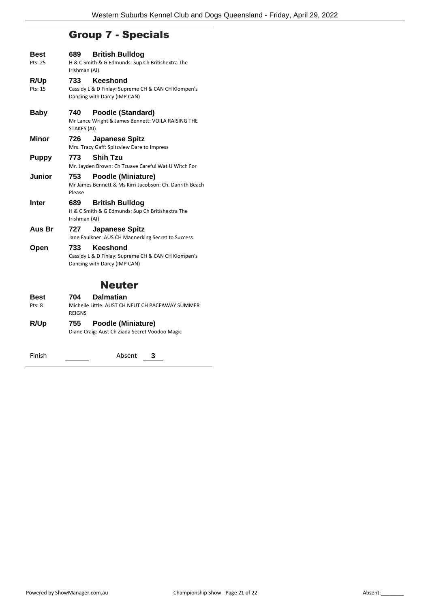## Group 7 - Specials

| <b>Best</b><br>Pts: 25 | 689.<br>Irishman (AI) | <b>British Bulldog</b><br>H & C Smith & G Edmunds: Sup Ch Britishextra The                      |
|------------------------|-----------------------|-------------------------------------------------------------------------------------------------|
| R/Up<br>Pts: 15        | 733                   | Keeshond<br>Cassidy L & D Finlay: Supreme CH & CAN CH Klompen's<br>Dancing with Darcy (IMP CAN) |
| Baby                   | 740<br>STAKES (AI)    | Poodle (Standard)<br>Mr Lance Wright & James Bennett: VOILA RAISING THE                         |
| Minor                  | 726                   | <b>Japanese Spitz</b><br>Mrs. Tracy Gaff: Spitzview Dare to Impress                             |
| <b>Puppy</b>           | 773                   | <b>Shih Tzu</b><br>Mr. Jayden Brown: Ch Tzuave Careful Wat U Witch For                          |
| <b>Junior</b>          | 753<br>Please         | <b>Poodle (Miniature)</b><br>Mr James Bennett & Ms Kirri Jacobson: Ch. Danrith Beach            |
| <b>Inter</b>           | 689<br>Irishman (AI)  | <b>British Bulldog</b><br>H & C Smith & G Edmunds: Sup Ch Britishextra The                      |
| Aus Br                 | 727                   | <b>Japanese Spitz</b><br>Jane Faulkner: AUS CH Mannerking Secret to Success                     |
| Open                   | 733                   | Keeshond<br>Cassidy L & D Finlay: Supreme CH & CAN CH Klompen's<br>Dancing with Darcy (IMP CAN) |
|                        |                       | Neuter                                                                                          |
|                        |                       |                                                                                                 |

| <b>Best</b> | <b>Dalmatian</b><br>704                                           |
|-------------|-------------------------------------------------------------------|
| Pts: 8      | Michelle Little: AUST CH NEUT CH PACEAWAY SUMMER<br><b>REIGNS</b> |
| R/Up        | <b>Poodle (Miniature)</b><br>755                                  |
|             | Diane Craig: Aust Ch Ziada Secret Voodoo Magic                    |

Finish <u>Conserver Conserver Conserver Conserver</u> Conserver Conserver Conserver Conserver Conserver Conserver Conserver Conserver Conserver Conserver Conserver Conserver Conserver Conserver Conserver Conserver Conserver Con